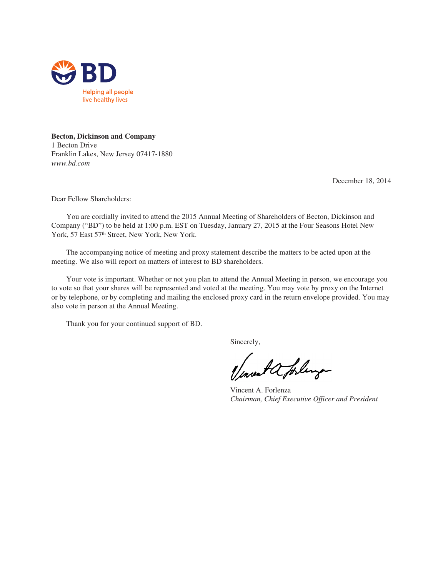

## **Becton, Dickinson and Company**

1 Becton Drive Franklin Lakes, New Jersey 07417-1880 *www.bd.com*

December 18, 2014

Dear Fellow Shareholders:

You are cordially invited to attend the 2015 Annual Meeting of Shareholders of Becton, Dickinson and Company ("BD") to be held at 1:00 p.m. EST on Tuesday, January 27, 2015 at the Four Seasons Hotel New York, 57 East 57th Street, New York, New York.

The accompanying notice of meeting and proxy statement describe the matters to be acted upon at the meeting. We also will report on matters of interest to BD shareholders.

Your vote is important. Whether or not you plan to attend the Annual Meeting in person, we encourage you to vote so that your shares will be represented and voted at the meeting. You may vote by proxy on the Internet or by telephone, or by completing and mailing the enclosed proxy card in the return envelope provided. You may also vote in person at the Annual Meeting.

Thank you for your continued support of BD.

Sincerely,

Incent a forling

Vincent A. Forlenza *Chairman, Chief Executive Officer and President*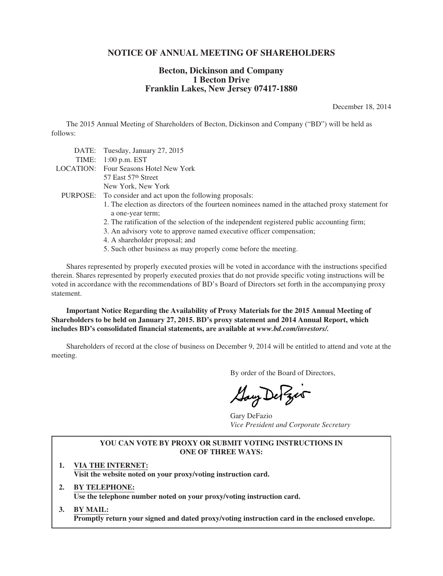## **NOTICE OF ANNUAL MEETING OF SHAREHOLDERS**

## **Becton, Dickinson and Company 1 Becton Drive Franklin Lakes, New Jersey 07417-1880**

December 18, 2014

The 2015 Annual Meeting of Shareholders of Becton, Dickinson and Company ("BD") will be held as follows:

| DATE: Tuesday, January 27, 2015                                                                 |
|-------------------------------------------------------------------------------------------------|
| TIME: $1:00$ p.m. EST                                                                           |
| <b>LOCATION:</b> Four Seasons Hotel New York                                                    |
| 57 East 57 <sup>th</sup> Street                                                                 |
| New York, New York                                                                              |
| PURPOSE: To consider and act upon the following proposals:                                      |
| 1. The election as directors of the fourteen nominees named in the attached proxy statement for |
| a one-year term;                                                                                |
| 2. The ratification of the selection of the independent registered public accounting firm;      |
| 3. An advisory vote to approve named executive officer compensation;                            |
| 4. A shareholder proposal; and                                                                  |

5. Such other business as may properly come before the meeting.

Shares represented by properly executed proxies will be voted in accordance with the instructions specified therein. Shares represented by properly executed proxies that do not provide specific voting instructions will be voted in accordance with the recommendations of BD's Board of Directors set forth in the accompanying proxy statement.

**Important Notice Regarding the Availability of Proxy Materials for the 2015 Annual Meeting of Shareholders to be held on January 27, 2015. BD's proxy statement and 2014 Annual Report, which includes BD's consolidated financial statements, are available at** *www.bd.com/investors/.*

Shareholders of record at the close of business on December 9, 2014 will be entitled to attend and vote at the meeting.

By order of the Board of Directors,

Gay De Zes

Gary DeFazio *Vice President and Corporate Secretary*

## **YOU CAN VOTE BY PROXY OR SUBMIT VOTING INSTRUCTIONS IN ONE OF THREE WAYS:**

- **1. VIA THE INTERNET: Visit the website noted on your proxy/voting instruction card.**
- **2. BY TELEPHONE: Use the telephone number noted on your proxy/voting instruction card.**
- **3. BY MAIL: Promptly return your signed and dated proxy/voting instruction card in the enclosed envelope.**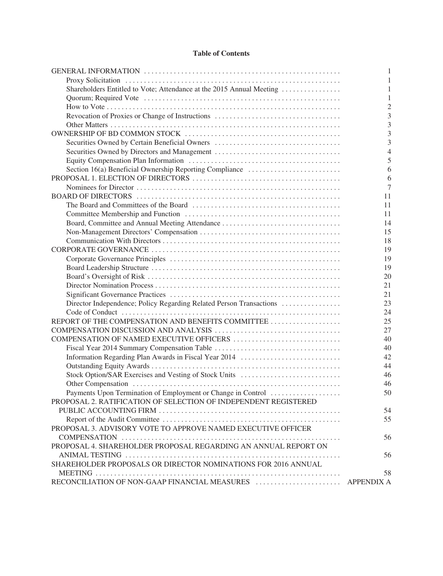## **Table of Contents**

|                                                                      | 1              |
|----------------------------------------------------------------------|----------------|
|                                                                      |                |
| Shareholders Entitled to Vote; Attendance at the 2015 Annual Meeting | 1              |
|                                                                      | -1             |
|                                                                      | $\mathfrak{D}$ |
| Revocation of Proxies or Change of Instructions                      | 3              |
|                                                                      | 3              |
|                                                                      | 3              |
| Securities Owned by Certain Beneficial Owners                        | 3              |
|                                                                      | $\overline{4}$ |
|                                                                      | 5              |
| Section 16(a) Beneficial Ownership Reporting Compliance              | 6              |
|                                                                      | 6              |
|                                                                      | 7              |
|                                                                      | 11             |
|                                                                      | 11             |
|                                                                      | 11             |
| Board, Committee and Annual Meeting Attendance                       | 14             |
|                                                                      | 15             |
|                                                                      | 18             |
|                                                                      | 19             |
|                                                                      | 19             |
|                                                                      |                |
|                                                                      | 19             |
|                                                                      | 20             |
|                                                                      | 21             |
|                                                                      | 21             |
| Director Independence; Policy Regarding Related Person Transactions  | 23             |
|                                                                      | 24             |
| REPORT OF THE COMPENSATION AND BENEFITS COMMITTEE                    | 25             |
|                                                                      | 27             |
| COMPENSATION OF NAMED EXECUTIVE OFFICERS                             | 40             |
|                                                                      | 40             |
| Information Regarding Plan Awards in Fiscal Year 2014                | 42             |
|                                                                      | 44             |
| Stock Option/SAR Exercises and Vesting of Stock Units                | 46             |
|                                                                      | 46             |
| Payments Upon Termination of Employment or Change in Control         | 50             |
| PROPOSAL 2. RATIFICATION OF SELECTION OF INDEPENDENT REGISTERED      |                |
|                                                                      | 54             |
|                                                                      | 55             |
| PROPOSAL 3. ADVISORY VOTE TO APPROVE NAMED EXECUTIVE OFFICER         |                |
|                                                                      | 56             |
| PROPOSAL 4. SHAREHOLDER PROPOSAL REGARDING AN ANNUAL REPORT ON       |                |
|                                                                      | 56             |
| SHAREHOLDER PROPOSALS OR DIRECTOR NOMINATIONS FOR 2016 ANNUAL        |                |
|                                                                      | 58             |
|                                                                      |                |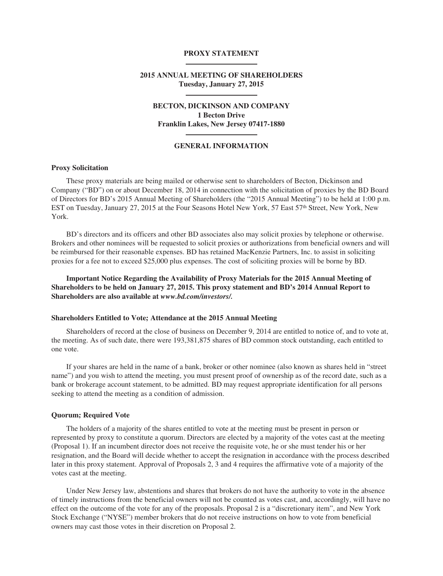#### **PROXY STATEMENT**

## **2015 ANNUAL MEETING OF SHAREHOLDERS Tuesday, January 27, 2015**

## **BECTON, DICKINSON AND COMPANY 1 Becton Drive Franklin Lakes, New Jersey 07417-1880**

#### **GENERAL INFORMATION**

## **Proxy Solicitation**

These proxy materials are being mailed or otherwise sent to shareholders of Becton, Dickinson and Company ("BD") on or about December 18, 2014 in connection with the solicitation of proxies by the BD Board of Directors for BD's 2015 Annual Meeting of Shareholders (the "2015 Annual Meeting") to be held at 1:00 p.m. EST on Tuesday, January 27, 2015 at the Four Seasons Hotel New York, 57 East 57th Street, New York, New York.

BD's directors and its officers and other BD associates also may solicit proxies by telephone or otherwise. Brokers and other nominees will be requested to solicit proxies or authorizations from beneficial owners and will be reimbursed for their reasonable expenses. BD has retained MacKenzie Partners, Inc. to assist in soliciting proxies for a fee not to exceed \$25,000 plus expenses. The cost of soliciting proxies will be borne by BD.

**Important Notice Regarding the Availability of Proxy Materials for the 2015 Annual Meeting of Shareholders to be held on January 27, 2015. This proxy statement and BD's 2014 Annual Report to Shareholders are also available at** *www.bd.com/investors/.*

#### **Shareholders Entitled to Vote; Attendance at the 2015 Annual Meeting**

Shareholders of record at the close of business on December 9, 2014 are entitled to notice of, and to vote at, the meeting. As of such date, there were 193,381,875 shares of BD common stock outstanding, each entitled to one vote.

If your shares are held in the name of a bank, broker or other nominee (also known as shares held in "street name") and you wish to attend the meeting, you must present proof of ownership as of the record date, such as a bank or brokerage account statement, to be admitted. BD may request appropriate identification for all persons seeking to attend the meeting as a condition of admission.

#### **Quorum; Required Vote**

The holders of a majority of the shares entitled to vote at the meeting must be present in person or represented by proxy to constitute a quorum. Directors are elected by a majority of the votes cast at the meeting (Proposal 1). If an incumbent director does not receive the requisite vote, he or she must tender his or her resignation, and the Board will decide whether to accept the resignation in accordance with the process described later in this proxy statement. Approval of Proposals 2, 3 and 4 requires the affirmative vote of a majority of the votes cast at the meeting.

Under New Jersey law, abstentions and shares that brokers do not have the authority to vote in the absence of timely instructions from the beneficial owners will not be counted as votes cast, and, accordingly, will have no effect on the outcome of the vote for any of the proposals. Proposal 2 is a "discretionary item", and New York Stock Exchange ("NYSE") member brokers that do not receive instructions on how to vote from beneficial owners may cast those votes in their discretion on Proposal 2.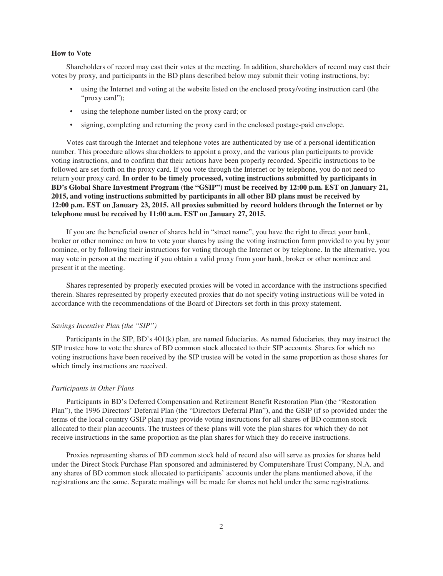#### **How to Vote**

Shareholders of record may cast their votes at the meeting. In addition, shareholders of record may cast their votes by proxy, and participants in the BD plans described below may submit their voting instructions, by:

- using the Internet and voting at the website listed on the enclosed proxy/voting instruction card (the "proxy card");
- using the telephone number listed on the proxy card; or
- signing, completing and returning the proxy card in the enclosed postage-paid envelope.

Votes cast through the Internet and telephone votes are authenticated by use of a personal identification number. This procedure allows shareholders to appoint a proxy, and the various plan participants to provide voting instructions, and to confirm that their actions have been properly recorded. Specific instructions to be followed are set forth on the proxy card. If you vote through the Internet or by telephone, you do not need to return your proxy card. **In order to be timely processed, voting instructions submitted by participants in BD's Global Share Investment Program (the "GSIP") must be received by 12:00 p.m. EST on January 21, 2015, and voting instructions submitted by participants in all other BD plans must be received by** 12:00 p.m. EST on January 23, 2015. All proxies submitted by record holders through the Internet or by **telephone must be received by 11:00 a.m. EST on January 27, 2015.**

If you are the beneficial owner of shares held in "street name", you have the right to direct your bank, broker or other nominee on how to vote your shares by using the voting instruction form provided to you by your nominee, or by following their instructions for voting through the Internet or by telephone. In the alternative, you may vote in person at the meeting if you obtain a valid proxy from your bank, broker or other nominee and present it at the meeting.

Shares represented by properly executed proxies will be voted in accordance with the instructions specified therein. Shares represented by properly executed proxies that do not specify voting instructions will be voted in accordance with the recommendations of the Board of Directors set forth in this proxy statement.

## *Savings Incentive Plan (the "SIP")*

Participants in the SIP, BD's 401(k) plan, are named fiduciaries. As named fiduciaries, they may instruct the SIP trustee how to vote the shares of BD common stock allocated to their SIP accounts. Shares for which no voting instructions have been received by the SIP trustee will be voted in the same proportion as those shares for which timely instructions are received.

#### *Participants in Other Plans*

Participants in BD's Deferred Compensation and Retirement Benefit Restoration Plan (the "Restoration Plan"), the 1996 Directors' Deferral Plan (the "Directors Deferral Plan"), and the GSIP (if so provided under the terms of the local country GSIP plan) may provide voting instructions for all shares of BD common stock allocated to their plan accounts. The trustees of these plans will vote the plan shares for which they do not receive instructions in the same proportion as the plan shares for which they do receive instructions.

Proxies representing shares of BD common stock held of record also will serve as proxies for shares held under the Direct Stock Purchase Plan sponsored and administered by Computershare Trust Company, N.A. and any shares of BD common stock allocated to participants' accounts under the plans mentioned above, if the registrations are the same. Separate mailings will be made for shares not held under the same registrations.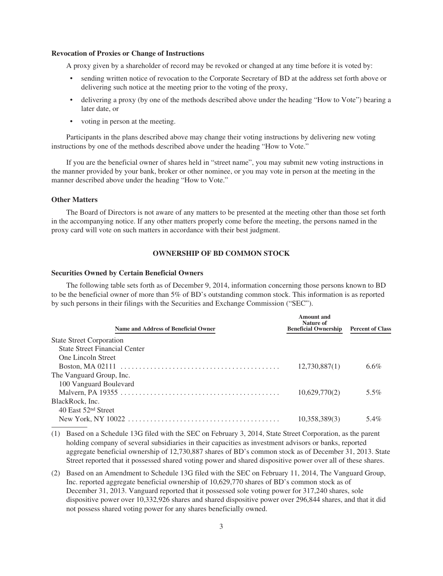### **Revocation of Proxies or Change of Instructions**

A proxy given by a shareholder of record may be revoked or changed at any time before it is voted by:

- sending written notice of revocation to the Corporate Secretary of BD at the address set forth above or delivering such notice at the meeting prior to the voting of the proxy,
- delivering a proxy (by one of the methods described above under the heading "How to Vote") bearing a later date, or
- voting in person at the meeting.

Participants in the plans described above may change their voting instructions by delivering new voting instructions by one of the methods described above under the heading "How to Vote."

If you are the beneficial owner of shares held in "street name", you may submit new voting instructions in the manner provided by your bank, broker or other nominee, or you may vote in person at the meeting in the manner described above under the heading "How to Vote."

#### **Other Matters**

The Board of Directors is not aware of any matters to be presented at the meeting other than those set forth in the accompanying notice. If any other matters properly come before the meeting, the persons named in the proxy card will vote on such matters in accordance with their best judgment.

## **OWNERSHIP OF BD COMMON STOCK**

#### **Securities Owned by Certain Beneficial Owners**

The following table sets forth as of December 9, 2014, information concerning those persons known to BD to be the beneficial owner of more than 5% of BD's outstanding common stock. This information is as reported by such persons in their filings with the Securities and Exchange Commission ("SEC").

| <b>Name and Address of Beneficial Owner</b> | <b>Amount</b> and<br>Nature of<br><b>Beneficial Ownership</b> | <b>Percent of Class</b> |
|---------------------------------------------|---------------------------------------------------------------|-------------------------|
| <b>State Street Corporation</b>             |                                                               |                         |
| <b>State Street Financial Center</b>        |                                                               |                         |
| <b>One Lincoln Street</b>                   |                                                               |                         |
|                                             | 12,730,887(1)                                                 | $6.6\%$                 |
| The Vanguard Group, Inc.                    |                                                               |                         |
| 100 Vanguard Boulevard                      |                                                               |                         |
|                                             | 10,629,770(2)                                                 | $5.5\%$                 |
| BlackRock, Inc.                             |                                                               |                         |
| 40 East 52nd Street                         |                                                               |                         |
|                                             | 10,358,389(3)                                                 | 5.4%                    |

<sup>(1)</sup> Based on a Schedule 13G filed with the SEC on February 3, 2014, State Street Corporation, as the parent holding company of several subsidiaries in their capacities as investment advisors or banks, reported aggregate beneficial ownership of 12,730,887 shares of BD's common stock as of December 31, 2013. State Street reported that it possessed shared voting power and shared dispositive power over all of these shares.

(2) Based on an Amendment to Schedule 13G filed with the SEC on February 11, 2014, The Vanguard Group, Inc. reported aggregate beneficial ownership of 10,629,770 shares of BD's common stock as of December 31, 2013. Vanguard reported that it possessed sole voting power for 317,240 shares, sole dispositive power over 10,332,926 shares and shared dispositive power over 296,844 shares, and that it did not possess shared voting power for any shares beneficially owned.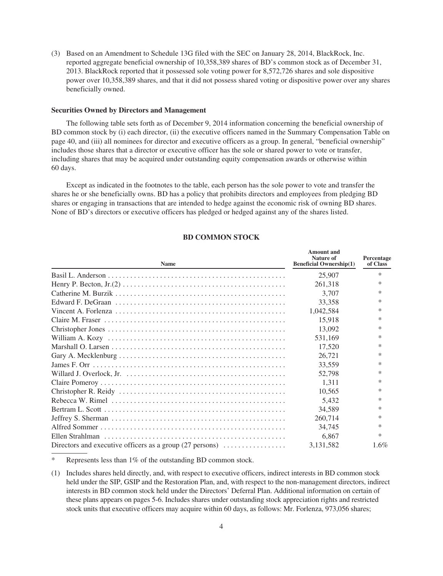(3) Based on an Amendment to Schedule 13G filed with the SEC on January 28, 2014, BlackRock, Inc. reported aggregate beneficial ownership of 10,358,389 shares of BD's common stock as of December 31, 2013. BlackRock reported that it possessed sole voting power for 8,572,726 shares and sole dispositive power over 10,358,389 shares, and that it did not possess shared voting or dispositive power over any shares beneficially owned.

#### **Securities Owned by Directors and Management**

The following table sets forth as of December 9, 2014 information concerning the beneficial ownership of BD common stock by (i) each director, (ii) the executive officers named in the Summary Compensation Table on page 40, and (iii) all nominees for director and executive officers as a group. In general, "beneficial ownership" includes those shares that a director or executive officer has the sole or shared power to vote or transfer, including shares that may be acquired under outstanding equity compensation awards or otherwise within 60 days.

Except as indicated in the footnotes to the table, each person has the sole power to vote and transfer the shares he or she beneficially owns. BD has a policy that prohibits directors and employees from pledging BD shares or engaging in transactions that are intended to hedge against the economic risk of owning BD shares. None of BD's directors or executive officers has pledged or hedged against any of the shares listed.

| <b>Name</b>                                                                                                    | Nature of<br><b>Beneficial Ownership(1)</b> | Percentage<br>of Class |  |
|----------------------------------------------------------------------------------------------------------------|---------------------------------------------|------------------------|--|
|                                                                                                                | 25,907                                      | $\ast$                 |  |
|                                                                                                                | 261,318                                     | $\ast$                 |  |
|                                                                                                                | 3.707                                       | ∗                      |  |
|                                                                                                                | 33,358                                      | *                      |  |
|                                                                                                                | 1,042,584                                   | ∗                      |  |
|                                                                                                                | 15.918                                      | $\ast$                 |  |
|                                                                                                                | 13,092                                      | ∗                      |  |
|                                                                                                                | 531,169                                     | ∗                      |  |
|                                                                                                                | 17,520                                      | *                      |  |
|                                                                                                                | 26,721                                      | ∗                      |  |
|                                                                                                                | 33,559                                      | $\ast$                 |  |
|                                                                                                                | 52,798                                      | ∗                      |  |
|                                                                                                                | 1.311                                       | *                      |  |
|                                                                                                                | 10.565                                      | ∗                      |  |
|                                                                                                                | 5.432                                       | $\ast$                 |  |
|                                                                                                                | 34,589                                      | $\ast$                 |  |
| Jeffrey S. Sherman $\dots \dots \dots \dots \dots \dots \dots \dots \dots \dots \dots \dots \dots \dots \dots$ | 260,714                                     | ∗                      |  |
|                                                                                                                | 34,745                                      | $\ast$                 |  |
|                                                                                                                | 6,867                                       | $\ast$                 |  |
| Directors and executive officers as a group $(27 \text{ persons}) \dots \dots \dots \dots$                     | 3,131,582                                   | $1.6\%$                |  |

#### **BD COMMON STOCK**

**Amount and**

Represents less than 1% of the outstanding BD common stock.

<sup>(1)</sup> Includes shares held directly, and, with respect to executive officers, indirect interests in BD common stock held under the SIP, GSIP and the Restoration Plan, and, with respect to the non-management directors, indirect interests in BD common stock held under the Directors' Deferral Plan. Additional information on certain of these plans appears on pages 5-6. Includes shares under outstanding stock appreciation rights and restricted stock units that executive officers may acquire within 60 days, as follows: Mr. Forlenza, 973,056 shares;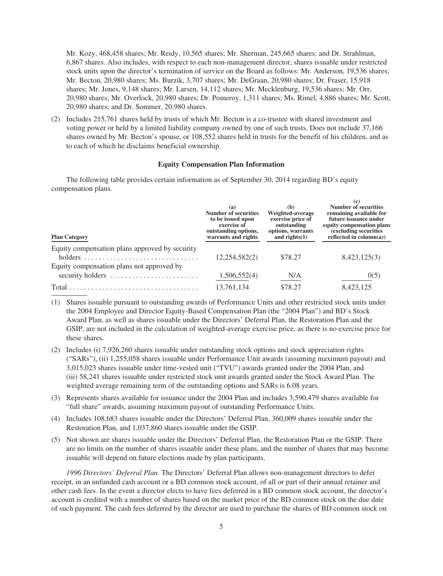Mr. Kozy, 468,458 shares; Mr. Reidy, 10,565 shares; Mr. Sherman, 245,665 shares; and Dr. Strahlman, 6,867 shares. Also includes, with respect to each non-management director, shares issuable under restricted stock units upon the director's termination of service on the Board as follows: Mr. Anderson, 19,536 shares; Mr. Becton, 20,980 shares; Ms. Burzik, 3,707 shares; Mr. DeGraan, 20,980 shares; Dr. Fraser, 15,918 shares; Mr. Jones, 9,148 shares; Mr. Larsen, 14,112 shares; Mr. Mecklenburg, 19,536 shares; Mr. Orr, 20,980 shares; Mr. Overlock, 20,980 shares; Dr. Pomeroy, 1,311 shares; Ms. Rimel, 4,886 shares; Mr. Scott, 20,980 shares; and Dr. Sommer, 20,980 shares.

(2) Includes 215,761 shares held by trusts of which Mr. Becton is a co-trustee with shared investment and voting power or held by a limited liability company owned by one of such trusts. Does not include 37,166 shares owned by Mr. Becton's spouse, or 108,552 shares held in trusts for the benefit of his children, and as to each of which he disclaims beneficial ownership.

#### **Equity Compensation Plan Information**

**(c)**

The following table provides certain information as of September 30, 2014 regarding BD's equity compensation plans.

| <b>Plan Category</b>                                                            | (a)<br><b>Number of securities</b><br>to be issued upon<br>exercise of<br>outstanding options,<br>warrants and rights | (b)<br>Weighted-average<br>exercise price of<br>outstanding<br>options, warrants<br>and rights $(1)$ | <b>Number of securities</b><br>remaining available for<br>future issuance under<br>equity compensation plans<br>(excluding securities)<br>reflected in $column(a))$ |
|---------------------------------------------------------------------------------|-----------------------------------------------------------------------------------------------------------------------|------------------------------------------------------------------------------------------------------|---------------------------------------------------------------------------------------------------------------------------------------------------------------------|
| Equity compensation plans approved by security                                  | 12,254,582(2)                                                                                                         | \$78.27                                                                                              | 8,423,125(3)                                                                                                                                                        |
| Equity compensation plans not approved by<br>security holders                   | 1,506,552(4)                                                                                                          | N/A                                                                                                  | 0(5)                                                                                                                                                                |
| $Total \dots \dots \dots \dots \dots \dots \dots \dots \dots \dots \dots \dots$ | 13,761,134                                                                                                            | \$78.27                                                                                              | 8,423,125                                                                                                                                                           |

(1) Shares issuable pursuant to outstanding awards of Performance Units and other restricted stock units under the 2004 Employee and Director Equity-Based Compensation Plan (the "2004 Plan") and BD's Stock Award Plan, as well as shares issuable under the Directors' Deferral Plan, the Restoration Plan and the GSIP, are not included in the calculation of weighted-average exercise price, as there is no exercise price for these shares.

- (2) Includes (i) 7,926,260 shares issuable under outstanding stock options and stock appreciation rights ("SARs"), (ii) 1,255,058 shares issuable under Performance Unit awards (assuming maximum payout) and 3,015,023 shares issuable under time-vested unit ("TVU") awards granted under the 2004 Plan, and (iii) 58,241 shares issuable under restricted stock unit awards granted under the Stock Award Plan. The weighted average remaining term of the outstanding options and SARs is 6.08 years.
- (3) Represents shares available for issuance under the 2004 Plan and includes 3,590,479 shares available for "full share" awards, assuming maximum payout of outstanding Performance Units.
- (4) Includes 108,683 shares issuable under the Directors' Deferral Plan, 360,009 shares issuable under the Restoration Plan, and 1,037,860 shares issuable under the GSIP.
- (5) Not shown are shares issuable under the Directors' Deferral Plan, the Restoration Plan or the GSIP. There are no limits on the number of shares issuable under these plans, and the number of shares that may become issuable will depend on future elections made by plan participants.

*1996 Directors' Deferral Plan.* The Directors' Deferral Plan allows non-management directors to defer receipt, in an unfunded cash account or a BD common stock account, of all or part of their annual retainer and other cash fees. In the event a director elects to have fees deferred in a BD common stock account, the director's account is credited with a number of shares based on the market price of the BD common stock on the due date of such payment. The cash fees deferred by the director are used to purchase the shares of BD common stock on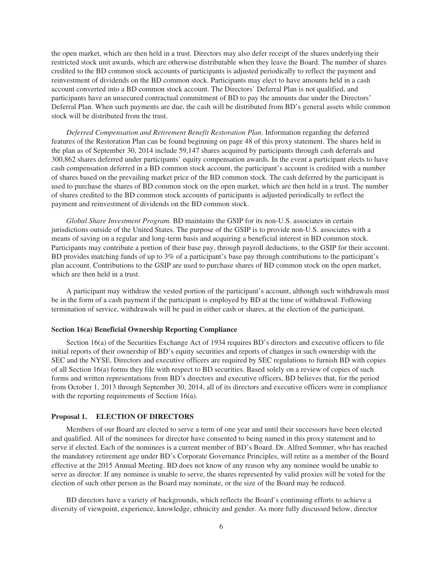the open market, which are then held in a trust. Directors may also defer receipt of the shares underlying their restricted stock unit awards, which are otherwise distributable when they leave the Board. The number of shares credited to the BD common stock accounts of participants is adjusted periodically to reflect the payment and reinvestment of dividends on the BD common stock. Participants may elect to have amounts held in a cash account converted into a BD common stock account. The Directors' Deferral Plan is not qualified, and participants have an unsecured contractual commitment of BD to pay the amounts due under the Directors' Deferral Plan. When such payments are due, the cash will be distributed from BD's general assets while common stock will be distributed from the trust.

*Deferred Compensation and Retirement Benefit Restoration Plan.* Information regarding the deferred features of the Restoration Plan can be found beginning on page 48 of this proxy statement. The shares held in the plan as of September 30, 2014 include 59,147 shares acquired by participants through cash deferrals and 300,862 shares deferred under participants' equity compensation awards. In the event a participant elects to have cash compensation deferred in a BD common stock account, the participant's account is credited with a number of shares based on the prevailing market price of the BD common stock. The cash deferred by the participant is used to purchase the shares of BD common stock on the open market, which are then held in a trust. The number of shares credited to the BD common stock accounts of participants is adjusted periodically to reflect the payment and reinvestment of dividends on the BD common stock.

*Global Share Investment Program.* BD maintains the GSIP for its non-U.S. associates in certain jurisdictions outside of the United States. The purpose of the GSIP is to provide non-U.S. associates with a means of saving on a regular and long-term basis and acquiring a beneficial interest in BD common stock. Participants may contribute a portion of their base pay, through payroll deductions, to the GSIP for their account. BD provides matching funds of up to 3% of a participant's base pay through contributions to the participant's plan account. Contributions to the GSIP are used to purchase shares of BD common stock on the open market, which are then held in a trust.

A participant may withdraw the vested portion of the participant's account, although such withdrawals must be in the form of a cash payment if the participant is employed by BD at the time of withdrawal. Following termination of service, withdrawals will be paid in either cash or shares, at the election of the participant.

#### **Section 16(a) Beneficial Ownership Reporting Compliance**

Section 16(a) of the Securities Exchange Act of 1934 requires BD's directors and executive officers to file initial reports of their ownership of BD's equity securities and reports of changes in such ownership with the SEC and the NYSE. Directors and executive officers are required by SEC regulations to furnish BD with copies of all Section 16(a) forms they file with respect to BD securities. Based solely on a review of copies of such forms and written representations from BD's directors and executive officers, BD believes that, for the period from October 1, 2013 through September 30, 2014, all of its directors and executive officers were in compliance with the reporting requirements of Section 16(a).

#### **Proposal 1. ELECTION OF DIRECTORS**

Members of our Board are elected to serve a term of one year and until their successors have been elected and qualified. All of the nominees for director have consented to being named in this proxy statement and to serve if elected. Each of the nominees is a current member of BD's Board. Dr. Alfred Sommer, who has reached the mandatory retirement age under BD's Corporate Governance Principles, will retire as a member of the Board effective at the 2015 Annual Meeting. BD does not know of any reason why any nominee would be unable to serve as director. If any nominee is unable to serve, the shares represented by valid proxies will be voted for the election of such other person as the Board may nominate, or the size of the Board may be reduced.

BD directors have a variety of backgrounds, which reflects the Board's continuing efforts to achieve a diversity of viewpoint, experience, knowledge, ethnicity and gender. As more fully discussed below, director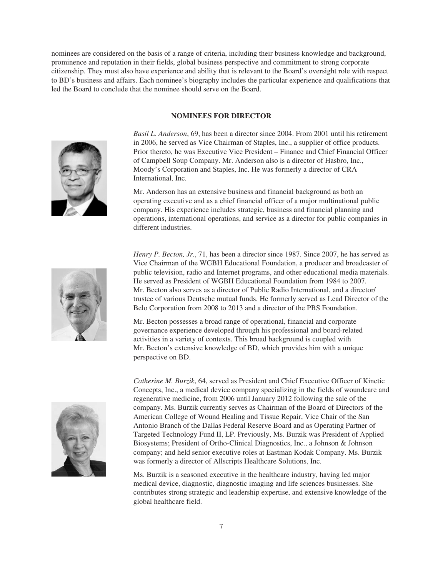nominees are considered on the basis of a range of criteria, including their business knowledge and background, prominence and reputation in their fields, global business perspective and commitment to strong corporate citizenship. They must also have experience and ability that is relevant to the Board's oversight role with respect to BD's business and affairs. Each nominee's biography includes the particular experience and qualifications that led the Board to conclude that the nominee should serve on the Board.

### **NOMINEES FOR DIRECTOR**



*Basil L. Anderson*, 69, has been a director since 2004. From 2001 until his retirement in 2006, he served as Vice Chairman of Staples, Inc., a supplier of office products. Prior thereto, he was Executive Vice President – Finance and Chief Financial Officer of Campbell Soup Company. Mr. Anderson also is a director of Hasbro, Inc., Moody's Corporation and Staples, Inc. He was formerly a director of CRA International, Inc.

Mr. Anderson has an extensive business and financial background as both an operating executive and as a chief financial officer of a major multinational public company. His experience includes strategic, business and financial planning and operations, international operations, and service as a director for public companies in different industries.



*Henry P. Becton, Jr.*, 71, has been a director since 1987. Since 2007, he has served as Vice Chairman of the WGBH Educational Foundation, a producer and broadcaster of public television, radio and Internet programs, and other educational media materials. He served as President of WGBH Educational Foundation from 1984 to 2007. Mr. Becton also serves as a director of Public Radio International, and a director/ trustee of various Deutsche mutual funds. He formerly served as Lead Director of the Belo Corporation from 2008 to 2013 and a director of the PBS Foundation.

Mr. Becton possesses a broad range of operational, financial and corporate governance experience developed through his professional and board-related activities in a variety of contexts. This broad background is coupled with Mr. Becton's extensive knowledge of BD, which provides him with a unique perspective on BD.



*Catherine M. Burzik*, 64, served as President and Chief Executive Officer of Kinetic Concepts, Inc., a medical device company specializing in the fields of woundcare and regenerative medicine, from 2006 until January 2012 following the sale of the company. Ms. Burzik currently serves as Chairman of the Board of Directors of the American College of Wound Healing and Tissue Repair, Vice Chair of the San Antonio Branch of the Dallas Federal Reserve Board and as Operating Partner of Targeted Technology Fund II, LP. Previously, Ms. Burzik was President of Applied Biosystems; President of Ortho-Clinical Diagnostics, Inc., a Johnson & Johnson company; and held senior executive roles at Eastman Kodak Company. Ms. Burzik was formerly a director of Allscripts Healthcare Solutions, Inc.

Ms. Burzik is a seasoned executive in the healthcare industry, having led major medical device, diagnostic, diagnostic imaging and life sciences businesses. She contributes strong strategic and leadership expertise, and extensive knowledge of the global healthcare field.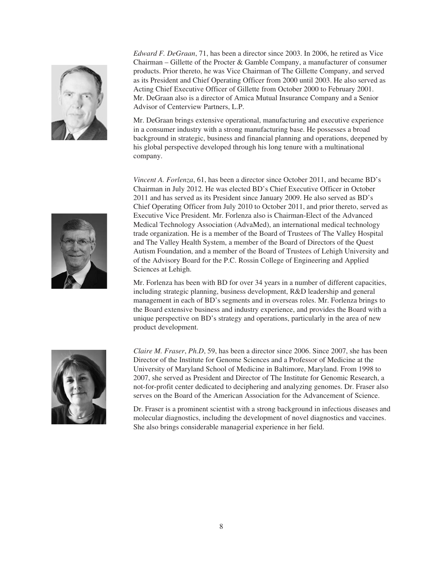

*Edward F. DeGraan*, 71, has been a director since 2003. In 2006, he retired as Vice Chairman – Gillette of the Procter & Gamble Company, a manufacturer of consumer products. Prior thereto, he was Vice Chairman of The Gillette Company, and served as its President and Chief Operating Officer from 2000 until 2003. He also served as Acting Chief Executive Officer of Gillette from October 2000 to February 2001. Mr. DeGraan also is a director of Amica Mutual Insurance Company and a Senior Advisor of Centerview Partners, L.P.

Mr. DeGraan brings extensive operational, manufacturing and executive experience in a consumer industry with a strong manufacturing base. He possesses a broad background in strategic, business and financial planning and operations, deepened by his global perspective developed through his long tenure with a multinational company.

*Vincent A. Forlenza*, 61, has been a director since October 2011, and became BD's Chairman in July 2012. He was elected BD's Chief Executive Officer in October 2011 and has served as its President since January 2009. He also served as BD's Chief Operating Officer from July 2010 to October 2011, and prior thereto, served as Executive Vice President. Mr. Forlenza also is Chairman-Elect of the Advanced Medical Technology Association (AdvaMed), an international medical technology trade organization. He is a member of the Board of Trustees of The Valley Hospital and The Valley Health System, a member of the Board of Directors of the Quest Autism Foundation, and a member of the Board of Trustees of Lehigh University and of the Advisory Board for the P.C. Rossin College of Engineering and Applied Sciences at Lehigh.

Mr. Forlenza has been with BD for over 34 years in a number of different capacities, including strategic planning, business development, R&D leadership and general management in each of BD's segments and in overseas roles. Mr. Forlenza brings to the Board extensive business and industry experience, and provides the Board with a unique perspective on BD's strategy and operations, particularly in the area of new product development.



*Claire M. Fraser*, *Ph.D*, 59, has been a director since 2006. Since 2007, she has been Director of the Institute for Genome Sciences and a Professor of Medicine at the University of Maryland School of Medicine in Baltimore, Maryland. From 1998 to 2007, she served as President and Director of The Institute for Genomic Research, a not-for-profit center dedicated to deciphering and analyzing genomes. Dr. Fraser also serves on the Board of the American Association for the Advancement of Science.

Dr. Fraser is a prominent scientist with a strong background in infectious diseases and molecular diagnostics, including the development of novel diagnostics and vaccines. She also brings considerable managerial experience in her field.

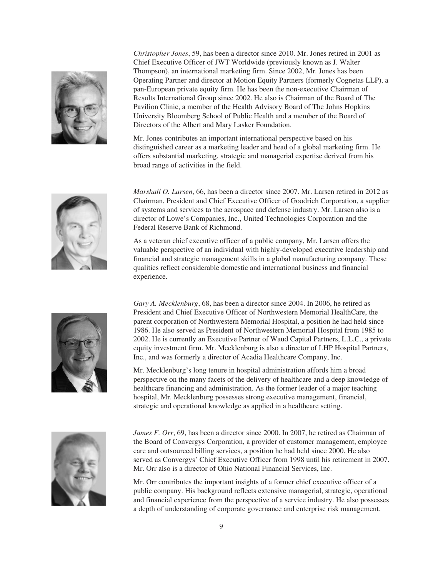

*Christopher Jones*, 59, has been a director since 2010. Mr. Jones retired in 2001 as Chief Executive Officer of JWT Worldwide (previously known as J. Walter Thompson), an international marketing firm. Since 2002, Mr. Jones has been Operating Partner and director at Motion Equity Partners (formerly Cognetas LLP), a pan-European private equity firm. He has been the non-executive Chairman of Results International Group since 2002. He also is Chairman of the Board of The Pavilion Clinic, a member of the Health Advisory Board of The Johns Hopkins University Bloomberg School of Public Health and a member of the Board of Directors of the Albert and Mary Lasker Foundation.

Mr. Jones contributes an important international perspective based on his distinguished career as a marketing leader and head of a global marketing firm. He offers substantial marketing, strategic and managerial expertise derived from his broad range of activities in the field.



*Marshall O. Larsen*, 66, has been a director since 2007. Mr. Larsen retired in 2012 as Chairman, President and Chief Executive Officer of Goodrich Corporation, a supplier of systems and services to the aerospace and defense industry. Mr. Larsen also is a director of Lowe's Companies, Inc., United Technologies Corporation and the Federal Reserve Bank of Richmond.

As a veteran chief executive officer of a public company, Mr. Larsen offers the valuable perspective of an individual with highly-developed executive leadership and financial and strategic management skills in a global manufacturing company. These qualities reflect considerable domestic and international business and financial experience.



*Gary A. Mecklenburg*, 68, has been a director since 2004. In 2006, he retired as President and Chief Executive Officer of Northwestern Memorial HealthCare, the parent corporation of Northwestern Memorial Hospital, a position he had held since 1986. He also served as President of Northwestern Memorial Hospital from 1985 to 2002. He is currently an Executive Partner of Waud Capital Partners, L.L.C., a private equity investment firm. Mr. Mecklenburg is also a director of LHP Hospital Partners, Inc., and was formerly a director of Acadia Healthcare Company, Inc.

Mr. Mecklenburg's long tenure in hospital administration affords him a broad perspective on the many facets of the delivery of healthcare and a deep knowledge of healthcare financing and administration. As the former leader of a major teaching hospital, Mr. Mecklenburg possesses strong executive management, financial, strategic and operational knowledge as applied in a healthcare setting.



*James F. Orr*, 69, has been a director since 2000. In 2007, he retired as Chairman of the Board of Convergys Corporation, a provider of customer management, employee care and outsourced billing services, a position he had held since 2000. He also served as Convergys' Chief Executive Officer from 1998 until his retirement in 2007. Mr. Orr also is a director of Ohio National Financial Services, Inc.

Mr. Orr contributes the important insights of a former chief executive officer of a public company. His background reflects extensive managerial, strategic, operational and financial experience from the perspective of a service industry. He also possesses a depth of understanding of corporate governance and enterprise risk management.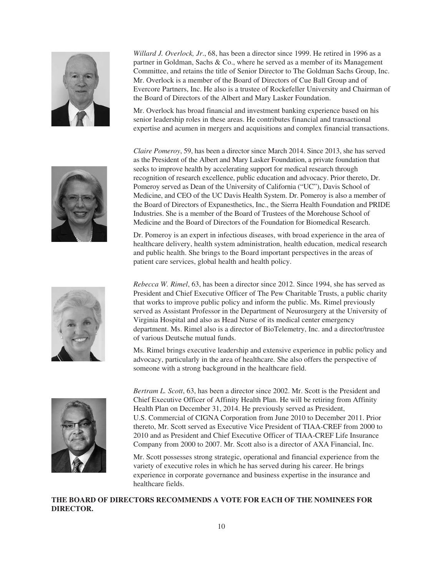

*Willard J. Overlock, Jr*., 68, has been a director since 1999. He retired in 1996 as a partner in Goldman, Sachs & Co., where he served as a member of its Management Committee, and retains the title of Senior Director to The Goldman Sachs Group, Inc. Mr. Overlock is a member of the Board of Directors of Cue Ball Group and of Evercore Partners, Inc. He also is a trustee of Rockefeller University and Chairman of the Board of Directors of the Albert and Mary Lasker Foundation.

Mr. Overlock has broad financial and investment banking experience based on his senior leadership roles in these areas. He contributes financial and transactional expertise and acumen in mergers and acquisitions and complex financial transactions.

*Claire Pomeroy*, 59, has been a director since March 2014. Since 2013, she has served as the President of the Albert and Mary Lasker Foundation, a private foundation that seeks to improve health by accelerating support for medical research through recognition of research excellence, public education and advocacy. Prior thereto, Dr. Pomeroy served as Dean of the University of California ("UC"), Davis School of Medicine, and CEO of the UC Davis Health System. Dr. Pomeroy is also a member of the Board of Directors of Expanesthetics, Inc., the Sierra Health Foundation and PRIDE Industries. She is a member of the Board of Trustees of the Morehouse School of Medicine and the Board of Directors of the Foundation for Biomedical Research.

Dr. Pomeroy is an expert in infectious diseases, with broad experience in the area of healthcare delivery, health system administration, health education, medical research and public health. She brings to the Board important perspectives in the areas of patient care services, global health and health policy.

*Rebecca W. Rimel*, 63, has been a director since 2012. Since 1994, she has served as President and Chief Executive Officer of The Pew Charitable Trusts, a public charity that works to improve public policy and inform the public. Ms. Rimel previously served as Assistant Professor in the Department of Neurosurgery at the University of Virginia Hospital and also as Head Nurse of its medical center emergency department. Ms. Rimel also is a director of BioTelemetry, Inc. and a director/trustee of various Deutsche mutual funds.

Ms. Rimel brings executive leadership and extensive experience in public policy and advocacy, particularly in the area of healthcare. She also offers the perspective of someone with a strong background in the healthcare field.



*Bertram L. Scott*, 63, has been a director since 2002. Mr. Scott is the President and Chief Executive Officer of Affinity Health Plan. He will be retiring from Affinity Health Plan on December 31, 2014. He previously served as President, U.S. Commercial of CIGNA Corporation from June 2010 to December 2011. Prior thereto, Mr. Scott served as Executive Vice President of TIAA-CREF from 2000 to 2010 and as President and Chief Executive Officer of TIAA-CREF Life Insurance Company from 2000 to 2007. Mr. Scott also is a director of AXA Financial, Inc.

Mr. Scott possesses strong strategic, operational and financial experience from the variety of executive roles in which he has served during his career. He brings experience in corporate governance and business expertise in the insurance and healthcare fields.

**THE BOARD OF DIRECTORS RECOMMENDS A VOTE FOR EACH OF THE NOMINEES FOR DIRECTOR.**

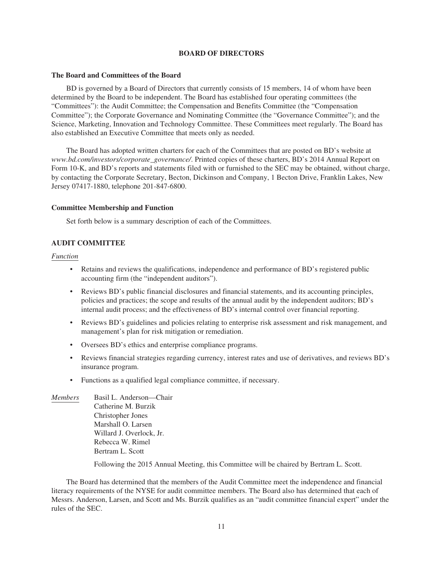## **BOARD OF DIRECTORS**

#### **The Board and Committees of the Board**

BD is governed by a Board of Directors that currently consists of 15 members, 14 of whom have been determined by the Board to be independent. The Board has established four operating committees (the "Committees"): the Audit Committee; the Compensation and Benefits Committee (the "Compensation Committee"); the Corporate Governance and Nominating Committee (the "Governance Committee"); and the Science, Marketing, Innovation and Technology Committee. These Committees meet regularly. The Board has also established an Executive Committee that meets only as needed.

The Board has adopted written charters for each of the Committees that are posted on BD's website at *www.bd.com/investors/corporate\_governance/*. Printed copies of these charters, BD's 2014 Annual Report on Form 10-K, and BD's reports and statements filed with or furnished to the SEC may be obtained, without charge, by contacting the Corporate Secretary, Becton, Dickinson and Company, 1 Becton Drive, Franklin Lakes, New Jersey 07417-1880, telephone 201-847-6800.

#### **Committee Membership and Function**

Set forth below is a summary description of each of the Committees.

### **AUDIT COMMITTEE**

### *Function*

- Retains and reviews the qualifications, independence and performance of BD's registered public accounting firm (the "independent auditors").
- Reviews BD's public financial disclosures and financial statements, and its accounting principles, policies and practices; the scope and results of the annual audit by the independent auditors; BD's internal audit process; and the effectiveness of BD's internal control over financial reporting.
- Reviews BD's guidelines and policies relating to enterprise risk assessment and risk management, and management's plan for risk mitigation or remediation.
- Oversees BD's ethics and enterprise compliance programs.
- Reviews financial strategies regarding currency, interest rates and use of derivatives, and reviews BD's insurance program.
- Functions as a qualified legal compliance committee, if necessary.
- *Members* Basil L. Anderson—Chair Catherine M. Burzik Christopher Jones Marshall O. Larsen Willard J. Overlock, Jr. Rebecca W. Rimel Bertram L. Scott

Following the 2015 Annual Meeting, this Committee will be chaired by Bertram L. Scott.

The Board has determined that the members of the Audit Committee meet the independence and financial literacy requirements of the NYSE for audit committee members. The Board also has determined that each of Messrs. Anderson, Larsen, and Scott and Ms. Burzik qualifies as an "audit committee financial expert" under the rules of the SEC.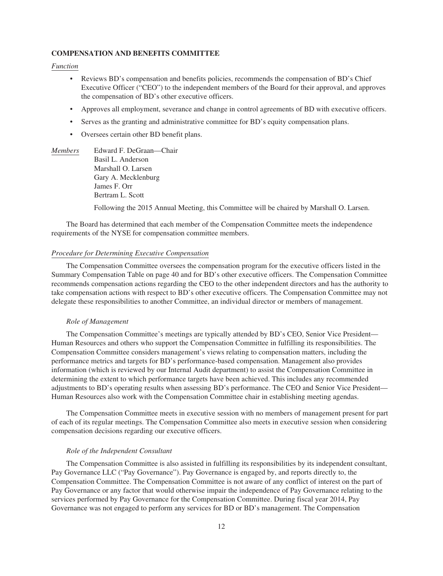### **COMPENSATION AND BENEFITS COMMITTEE**

#### *Function*

- Reviews BD's compensation and benefits policies, recommends the compensation of BD's Chief Executive Officer ("CEO") to the independent members of the Board for their approval, and approves the compensation of BD's other executive officers.
- Approves all employment, severance and change in control agreements of BD with executive officers.
- Serves as the granting and administrative committee for BD's equity compensation plans.
- Oversees certain other BD benefit plans.
- *Members* Edward F. DeGraan—Chair Basil L. Anderson Marshall O. Larsen Gary A. Mecklenburg James F. Orr Bertram L. Scott

Following the 2015 Annual Meeting, this Committee will be chaired by Marshall O. Larsen.

The Board has determined that each member of the Compensation Committee meets the independence requirements of the NYSE for compensation committee members.

### *Procedure for Determining Executive Compensation*

The Compensation Committee oversees the compensation program for the executive officers listed in the Summary Compensation Table on page 40 and for BD's other executive officers. The Compensation Committee recommends compensation actions regarding the CEO to the other independent directors and has the authority to take compensation actions with respect to BD's other executive officers. The Compensation Committee may not delegate these responsibilities to another Committee, an individual director or members of management.

#### *Role of Management*

The Compensation Committee's meetings are typically attended by BD's CEO, Senior Vice President— Human Resources and others who support the Compensation Committee in fulfilling its responsibilities. The Compensation Committee considers management's views relating to compensation matters, including the performance metrics and targets for BD's performance-based compensation. Management also provides information (which is reviewed by our Internal Audit department) to assist the Compensation Committee in determining the extent to which performance targets have been achieved. This includes any recommended adjustments to BD's operating results when assessing BD's performance. The CEO and Senior Vice President— Human Resources also work with the Compensation Committee chair in establishing meeting agendas.

The Compensation Committee meets in executive session with no members of management present for part of each of its regular meetings. The Compensation Committee also meets in executive session when considering compensation decisions regarding our executive officers.

#### *Role of the Independent Consultant*

The Compensation Committee is also assisted in fulfilling its responsibilities by its independent consultant, Pay Governance LLC ("Pay Governance"). Pay Governance is engaged by, and reports directly to, the Compensation Committee. The Compensation Committee is not aware of any conflict of interest on the part of Pay Governance or any factor that would otherwise impair the independence of Pay Governance relating to the services performed by Pay Governance for the Compensation Committee. During fiscal year 2014, Pay Governance was not engaged to perform any services for BD or BD's management. The Compensation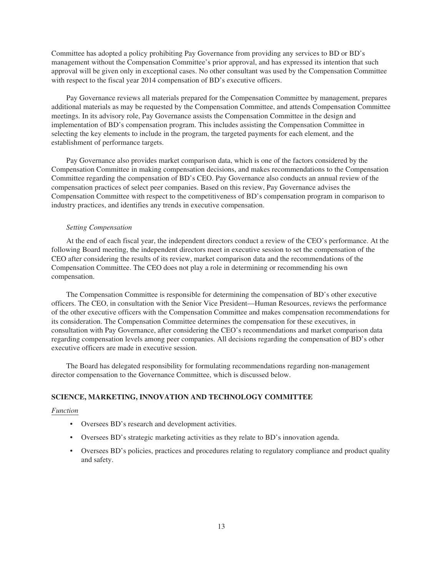Committee has adopted a policy prohibiting Pay Governance from providing any services to BD or BD's management without the Compensation Committee's prior approval, and has expressed its intention that such approval will be given only in exceptional cases. No other consultant was used by the Compensation Committee with respect to the fiscal year 2014 compensation of BD's executive officers.

Pay Governance reviews all materials prepared for the Compensation Committee by management, prepares additional materials as may be requested by the Compensation Committee, and attends Compensation Committee meetings. In its advisory role, Pay Governance assists the Compensation Committee in the design and implementation of BD's compensation program. This includes assisting the Compensation Committee in selecting the key elements to include in the program, the targeted payments for each element, and the establishment of performance targets.

Pay Governance also provides market comparison data, which is one of the factors considered by the Compensation Committee in making compensation decisions, and makes recommendations to the Compensation Committee regarding the compensation of BD's CEO. Pay Governance also conducts an annual review of the compensation practices of select peer companies. Based on this review, Pay Governance advises the Compensation Committee with respect to the competitiveness of BD's compensation program in comparison to industry practices, and identifies any trends in executive compensation.

### *Setting Compensation*

At the end of each fiscal year, the independent directors conduct a review of the CEO's performance. At the following Board meeting, the independent directors meet in executive session to set the compensation of the CEO after considering the results of its review, market comparison data and the recommendations of the Compensation Committee. The CEO does not play a role in determining or recommending his own compensation.

The Compensation Committee is responsible for determining the compensation of BD's other executive officers. The CEO, in consultation with the Senior Vice President—Human Resources, reviews the performance of the other executive officers with the Compensation Committee and makes compensation recommendations for its consideration. The Compensation Committee determines the compensation for these executives, in consultation with Pay Governance, after considering the CEO's recommendations and market comparison data regarding compensation levels among peer companies. All decisions regarding the compensation of BD's other executive officers are made in executive session.

The Board has delegated responsibility for formulating recommendations regarding non-management director compensation to the Governance Committee, which is discussed below.

#### **SCIENCE, MARKETING, INNOVATION AND TECHNOLOGY COMMITTEE**

#### *Function*

- Oversees BD's research and development activities.
- Oversees BD's strategic marketing activities as they relate to BD's innovation agenda.
- Oversees BD's policies, practices and procedures relating to regulatory compliance and product quality and safety.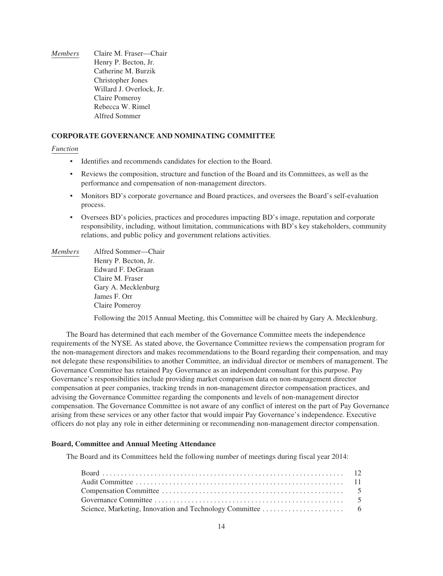*Members* Claire M. Fraser—Chair Henry P. Becton, Jr. Catherine M. Burzik Christopher Jones Willard J. Overlock, Jr. Claire Pomeroy Rebecca W. Rimel Alfred Sommer

## **CORPORATE GOVERNANCE AND NOMINATING COMMITTEE**

#### *Function*

- Identifies and recommends candidates for election to the Board.
- Reviews the composition, structure and function of the Board and its Committees, as well as the performance and compensation of non-management directors.
- Monitors BD's corporate governance and Board practices, and oversees the Board's self-evaluation process.
- Oversees BD's policies, practices and procedures impacting BD's image, reputation and corporate responsibility, including, without limitation, communications with BD's key stakeholders, community relations, and public policy and government relations activities.
- *Members* Alfred Sommer—Chair Henry P. Becton, Jr. Edward F. DeGraan Claire M. Fraser Gary A. Mecklenburg James F. Orr Claire Pomeroy

Following the 2015 Annual Meeting, this Committee will be chaired by Gary A. Mecklenburg.

The Board has determined that each member of the Governance Committee meets the independence requirements of the NYSE. As stated above, the Governance Committee reviews the compensation program for the non-management directors and makes recommendations to the Board regarding their compensation, and may not delegate these responsibilities to another Committee, an individual director or members of management. The Governance Committee has retained Pay Governance as an independent consultant for this purpose. Pay Governance's responsibilities include providing market comparison data on non-management director compensation at peer companies, tracking trends in non-management director compensation practices, and advising the Governance Committee regarding the components and levels of non-management director compensation. The Governance Committee is not aware of any conflict of interest on the part of Pay Governance arising from these services or any other factor that would impair Pay Governance's independence. Executive officers do not play any role in either determining or recommending non-management director compensation.

### **Board, Committee and Annual Meeting Attendance**

The Board and its Committees held the following number of meetings during fiscal year 2014: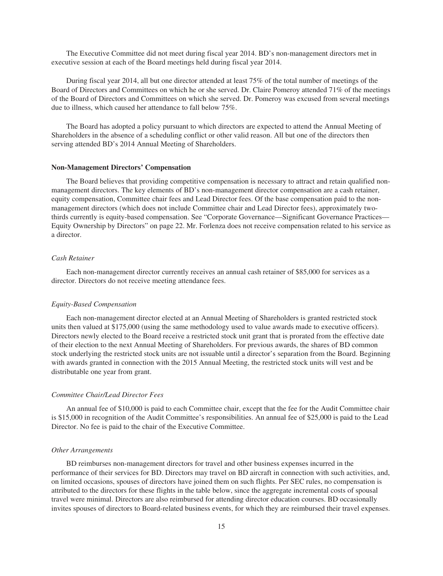The Executive Committee did not meet during fiscal year 2014. BD's non-management directors met in executive session at each of the Board meetings held during fiscal year 2014.

During fiscal year 2014, all but one director attended at least 75% of the total number of meetings of the Board of Directors and Committees on which he or she served. Dr. Claire Pomeroy attended 71% of the meetings of the Board of Directors and Committees on which she served. Dr. Pomeroy was excused from several meetings due to illness, which caused her attendance to fall below 75%.

The Board has adopted a policy pursuant to which directors are expected to attend the Annual Meeting of Shareholders in the absence of a scheduling conflict or other valid reason. All but one of the directors then serving attended BD's 2014 Annual Meeting of Shareholders.

#### **Non-Management Directors' Compensation**

The Board believes that providing competitive compensation is necessary to attract and retain qualified nonmanagement directors. The key elements of BD's non-management director compensation are a cash retainer, equity compensation, Committee chair fees and Lead Director fees. Of the base compensation paid to the nonmanagement directors (which does not include Committee chair and Lead Director fees), approximately twothirds currently is equity-based compensation. See "Corporate Governance—Significant Governance Practices— Equity Ownership by Directors" on page 22. Mr. Forlenza does not receive compensation related to his service as a director.

## *Cash Retainer*

Each non-management director currently receives an annual cash retainer of \$85,000 for services as a director. Directors do not receive meeting attendance fees.

#### *Equity-Based Compensation*

Each non-management director elected at an Annual Meeting of Shareholders is granted restricted stock units then valued at \$175,000 (using the same methodology used to value awards made to executive officers). Directors newly elected to the Board receive a restricted stock unit grant that is prorated from the effective date of their election to the next Annual Meeting of Shareholders. For previous awards, the shares of BD common stock underlying the restricted stock units are not issuable until a director's separation from the Board. Beginning with awards granted in connection with the 2015 Annual Meeting, the restricted stock units will vest and be distributable one year from grant.

#### *Committee Chair/Lead Director Fees*

An annual fee of \$10,000 is paid to each Committee chair, except that the fee for the Audit Committee chair is \$15,000 in recognition of the Audit Committee's responsibilities. An annual fee of \$25,000 is paid to the Lead Director. No fee is paid to the chair of the Executive Committee.

#### *Other Arrangements*

BD reimburses non-management directors for travel and other business expenses incurred in the performance of their services for BD. Directors may travel on BD aircraft in connection with such activities, and, on limited occasions, spouses of directors have joined them on such flights. Per SEC rules, no compensation is attributed to the directors for these flights in the table below, since the aggregate incremental costs of spousal travel were minimal. Directors are also reimbursed for attending director education courses. BD occasionally invites spouses of directors to Board-related business events, for which they are reimbursed their travel expenses.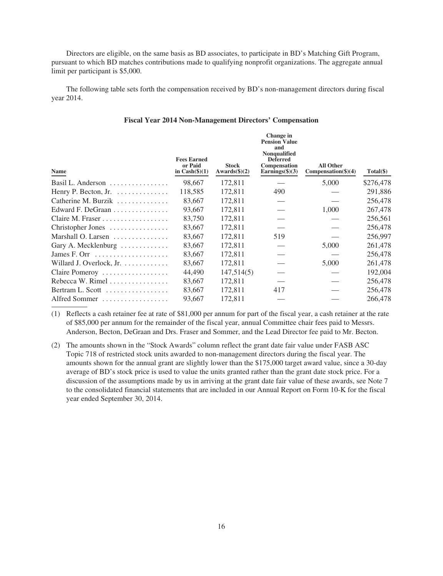Directors are eligible, on the same basis as BD associates, to participate in BD's Matching Gift Program, pursuant to which BD matches contributions made to qualifying nonprofit organizations. The aggregate annual limit per participant is \$5,000.

The following table sets forth the compensation received by BD's non-management directors during fiscal year 2014.

| Name                                               | <b>Fees Earned</b><br>or Paid<br>in $Cash(\$)(1)$ | <b>Stock</b><br>Awards $(\text{$}5)(2)$ | Change in<br><b>Pension Value</b><br>and<br><b>Nonqualified</b><br><b>Deferred</b><br>Compensation<br>Earnings $(\frac{6}{3})$ | <b>All Other</b><br>Comparison(4) | Total(\$) |
|----------------------------------------------------|---------------------------------------------------|-----------------------------------------|--------------------------------------------------------------------------------------------------------------------------------|-----------------------------------|-----------|
| Basil L. Anderson $\dots \dots \dots \dots$        | 98,667                                            | 172,811                                 |                                                                                                                                | 5,000                             | \$276,478 |
| Henry P. Becton, Jr. $\dots \dots \dots \dots$     | 118,585                                           | 172.811                                 | 490                                                                                                                            |                                   | 291,886   |
| Catherine M. Burzik                                | 83,667                                            | 172,811                                 |                                                                                                                                |                                   | 256,478   |
| Edward F. DeGraan                                  | 93,667                                            | 172,811                                 |                                                                                                                                | 1,000                             | 267,478   |
| Claire M. Fraser                                   | 83,750                                            | 172,811                                 |                                                                                                                                |                                   | 256,561   |
| Christopher Jones                                  | 83,667                                            | 172,811                                 |                                                                                                                                |                                   | 256,478   |
| Marshall O. Larsen                                 | 83,667                                            | 172,811                                 | 519                                                                                                                            |                                   | 256,997   |
| Gary A. Mecklenburg                                | 83,667                                            | 172,811                                 |                                                                                                                                | 5,000                             | 261,478   |
| James F. Orr $\dots\dots\dots\dots\dots\dots\dots$ | 83,667                                            | 172,811                                 |                                                                                                                                |                                   | 256,478   |
| Willard J. Overlock, Jr. $\dots \dots \dots$       | 83,667                                            | 172,811                                 |                                                                                                                                | 5,000                             | 261,478   |
| Claire Pomeroy                                     | 44,490                                            | 147,514(5)                              |                                                                                                                                |                                   | 192,004   |
| Rebecca W. Rimel $\dots\dots\dots\dots\dots$       | 83,667                                            | 172,811                                 |                                                                                                                                |                                   | 256,478   |
| Bertram L. Scott $\ldots \ldots \ldots \ldots$     | 83,667                                            | 172,811                                 | 417                                                                                                                            |                                   | 256,478   |
| Alfred Sommer                                      | 93,667                                            | 172.811                                 |                                                                                                                                |                                   | 266,478   |

## **Fiscal Year 2014 Non-Management Directors' Compensation**

(1) Reflects a cash retainer fee at rate of \$81,000 per annum for part of the fiscal year, a cash retainer at the rate of \$85,000 per annum for the remainder of the fiscal year, annual Committee chair fees paid to Messrs. Anderson, Becton, DeGraan and Drs. Fraser and Sommer, and the Lead Director fee paid to Mr. Becton.

(2) The amounts shown in the "Stock Awards" column reflect the grant date fair value under FASB ASC Topic 718 of restricted stock units awarded to non-management directors during the fiscal year. The amounts shown for the annual grant are slightly lower than the \$175,000 target award value, since a 30-day average of BD's stock price is used to value the units granted rather than the grant date stock price. For a discussion of the assumptions made by us in arriving at the grant date fair value of these awards, see Note 7 to the consolidated financial statements that are included in our Annual Report on Form 10-K for the fiscal year ended September 30, 2014.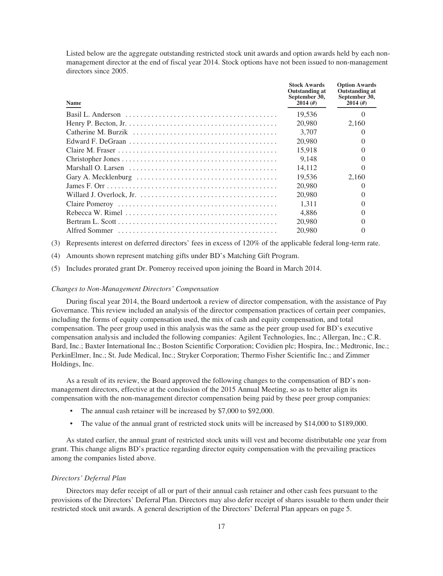Listed below are the aggregate outstanding restricted stock unit awards and option awards held by each nonmanagement director at the end of fiscal year 2014. Stock options have not been issued to non-management directors since 2005.

| <b>Name</b> | <b>Stock Awards</b><br>Outstanding at<br>September 30,<br>2014(f) | <b>Option Awards</b><br><b>Outstanding at</b><br>September 30,<br>2014(f) |
|-------------|-------------------------------------------------------------------|---------------------------------------------------------------------------|
|             | 19,536                                                            |                                                                           |
|             | 20,980                                                            | 2.160                                                                     |
|             | 3.707                                                             |                                                                           |
|             | 20,980                                                            |                                                                           |
|             | 15.918                                                            |                                                                           |
|             | 9.148                                                             |                                                                           |
|             | 14.112                                                            |                                                                           |
|             | 19.536                                                            | 2.160                                                                     |
|             | 20,980                                                            |                                                                           |
|             | 20,980                                                            |                                                                           |
|             | 1.311                                                             |                                                                           |
|             | 4.886                                                             |                                                                           |
|             | 20,980                                                            |                                                                           |
|             | 20,980                                                            |                                                                           |

(3) Represents interest on deferred directors' fees in excess of 120% of the applicable federal long-term rate.

(4) Amounts shown represent matching gifts under BD's Matching Gift Program.

(5) Includes prorated grant Dr. Pomeroy received upon joining the Board in March 2014.

#### *Changes to Non-Management Directors' Compensation*

During fiscal year 2014, the Board undertook a review of director compensation, with the assistance of Pay Governance. This review included an analysis of the director compensation practices of certain peer companies, including the forms of equity compensation used, the mix of cash and equity compensation, and total compensation. The peer group used in this analysis was the same as the peer group used for BD's executive compensation analysis and included the following companies: Agilent Technologies, Inc.; Allergan, Inc.; C.R. Bard, Inc.; Baxter International Inc.; Boston Scientific Corporation; Covidien plc; Hospira, Inc.; Medtronic, Inc.; PerkinElmer, Inc.; St. Jude Medical, Inc.; Stryker Corporation; Thermo Fisher Scientific Inc.; and Zimmer Holdings, Inc.

As a result of its review, the Board approved the following changes to the compensation of BD's nonmanagement directors, effective at the conclusion of the 2015 Annual Meeting, so as to better align its compensation with the non-management director compensation being paid by these peer group companies:

- The annual cash retainer will be increased by \$7,000 to \$92,000.
- The value of the annual grant of restricted stock units will be increased by \$14,000 to \$189,000.

As stated earlier, the annual grant of restricted stock units will vest and become distributable one year from grant. This change aligns BD's practice regarding director equity compensation with the prevailing practices among the companies listed above.

#### *Directors' Deferral Plan*

Directors may defer receipt of all or part of their annual cash retainer and other cash fees pursuant to the provisions of the Directors' Deferral Plan. Directors may also defer receipt of shares issuable to them under their restricted stock unit awards. A general description of the Directors' Deferral Plan appears on page 5.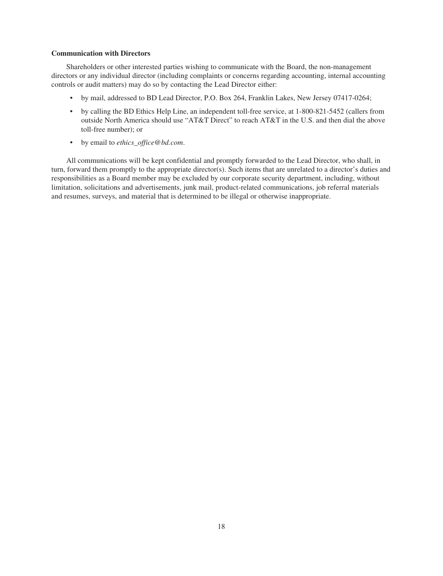### **Communication with Directors**

Shareholders or other interested parties wishing to communicate with the Board, the non-management directors or any individual director (including complaints or concerns regarding accounting, internal accounting controls or audit matters) may do so by contacting the Lead Director either:

- by mail, addressed to BD Lead Director, P.O. Box 264, Franklin Lakes, New Jersey 07417-0264;
- by calling the BD Ethics Help Line, an independent toll-free service, at 1-800-821-5452 (callers from outside North America should use "AT&T Direct" to reach AT&T in the U.S. and then dial the above toll-free number); or
- by email to *ethics\_office@bd.com*.

All communications will be kept confidential and promptly forwarded to the Lead Director, who shall, in turn, forward them promptly to the appropriate director(s). Such items that are unrelated to a director's duties and responsibilities as a Board member may be excluded by our corporate security department, including, without limitation, solicitations and advertisements, junk mail, product-related communications, job referral materials and resumes, surveys, and material that is determined to be illegal or otherwise inappropriate.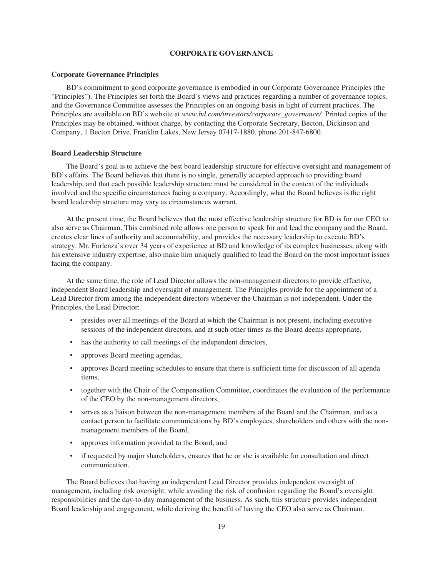## **CORPORATE GOVERNANCE**

#### **Corporate Governance Principles**

BD's commitment to good corporate governance is embodied in our Corporate Governance Principles (the "Principles"). The Principles set forth the Board's views and practices regarding a number of governance topics, and the Governance Committee assesses the Principles on an ongoing basis in light of current practices. The Principles are available on BD's website at *www.bd.com/investors/corporate\_governance/*. Printed copies of the Principles may be obtained, without charge, by contacting the Corporate Secretary, Becton, Dickinson and Company, 1 Becton Drive, Franklin Lakes, New Jersey 07417-1880, phone 201-847-6800.

#### **Board Leadership Structure**

The Board's goal is to achieve the best board leadership structure for effective oversight and management of BD's affairs. The Board believes that there is no single, generally accepted approach to providing board leadership, and that each possible leadership structure must be considered in the context of the individuals involved and the specific circumstances facing a company. Accordingly, what the Board believes is the right board leadership structure may vary as circumstances warrant.

At the present time, the Board believes that the most effective leadership structure for BD is for our CEO to also serve as Chairman. This combined role allows one person to speak for and lead the company and the Board, creates clear lines of authority and accountability, and provides the necessary leadership to execute BD's strategy. Mr. Forlenza's over 34 years of experience at BD and knowledge of its complex businesses, along with his extensive industry expertise, also make him uniquely qualified to lead the Board on the most important issues facing the company.

At the same time, the role of Lead Director allows the non-management directors to provide effective, independent Board leadership and oversight of management. The Principles provide for the appointment of a Lead Director from among the independent directors whenever the Chairman is not independent. Under the Principles, the Lead Director:

- presides over all meetings of the Board at which the Chairman is not present, including executive sessions of the independent directors, and at such other times as the Board deems appropriate,
- has the authority to call meetings of the independent directors,
- approves Board meeting agendas,
- approves Board meeting schedules to ensure that there is sufficient time for discussion of all agenda items,
- together with the Chair of the Compensation Committee, coordinates the evaluation of the performance of the CEO by the non-management directors,
- serves as a liaison between the non-management members of the Board and the Chairman, and as a contact person to facilitate communications by BD's employees, shareholders and others with the nonmanagement members of the Board,
- approves information provided to the Board, and
- if requested by major shareholders, ensures that he or she is available for consultation and direct communication.

The Board believes that having an independent Lead Director provides independent oversight of management, including risk oversight, while avoiding the risk of confusion regarding the Board's oversight responsibilities and the day-to-day management of the business. As such, this structure provides independent Board leadership and engagement, while deriving the benefit of having the CEO also serve as Chairman.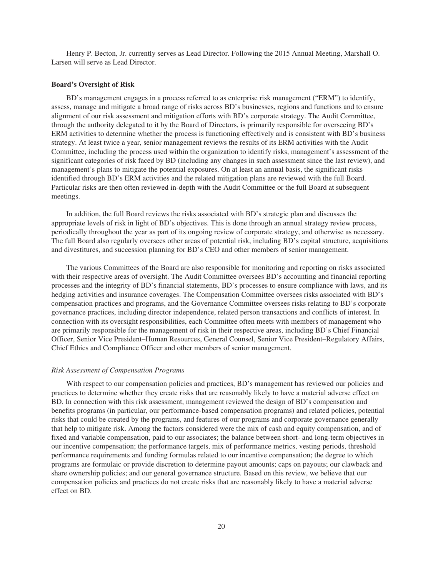Henry P. Becton, Jr. currently serves as Lead Director. Following the 2015 Annual Meeting, Marshall O. Larsen will serve as Lead Director.

#### **Board's Oversight of Risk**

BD's management engages in a process referred to as enterprise risk management ("ERM") to identify, assess, manage and mitigate a broad range of risks across BD's businesses, regions and functions and to ensure alignment of our risk assessment and mitigation efforts with BD's corporate strategy. The Audit Committee, through the authority delegated to it by the Board of Directors, is primarily responsible for overseeing BD's ERM activities to determine whether the process is functioning effectively and is consistent with BD's business strategy. At least twice a year, senior management reviews the results of its ERM activities with the Audit Committee, including the process used within the organization to identify risks, management's assessment of the significant categories of risk faced by BD (including any changes in such assessment since the last review), and management's plans to mitigate the potential exposures. On at least an annual basis, the significant risks identified through BD's ERM activities and the related mitigation plans are reviewed with the full Board. Particular risks are then often reviewed in-depth with the Audit Committee or the full Board at subsequent meetings.

In addition, the full Board reviews the risks associated with BD's strategic plan and discusses the appropriate levels of risk in light of BD's objectives. This is done through an annual strategy review process, periodically throughout the year as part of its ongoing review of corporate strategy, and otherwise as necessary. The full Board also regularly oversees other areas of potential risk, including BD's capital structure, acquisitions and divestitures, and succession planning for BD's CEO and other members of senior management.

The various Committees of the Board are also responsible for monitoring and reporting on risks associated with their respective areas of oversight. The Audit Committee oversees BD's accounting and financial reporting processes and the integrity of BD's financial statements, BD's processes to ensure compliance with laws, and its hedging activities and insurance coverages. The Compensation Committee oversees risks associated with BD's compensation practices and programs, and the Governance Committee oversees risks relating to BD's corporate governance practices, including director independence, related person transactions and conflicts of interest. In connection with its oversight responsibilities, each Committee often meets with members of management who are primarily responsible for the management of risk in their respective areas, including BD's Chief Financial Officer, Senior Vice President–Human Resources, General Counsel, Senior Vice President–Regulatory Affairs, Chief Ethics and Compliance Officer and other members of senior management.

#### *Risk Assessment of Compensation Programs*

With respect to our compensation policies and practices, BD's management has reviewed our policies and practices to determine whether they create risks that are reasonably likely to have a material adverse effect on BD. In connection with this risk assessment, management reviewed the design of BD's compensation and benefits programs (in particular, our performance-based compensation programs) and related policies, potential risks that could be created by the programs, and features of our programs and corporate governance generally that help to mitigate risk. Among the factors considered were the mix of cash and equity compensation, and of fixed and variable compensation, paid to our associates; the balance between short- and long-term objectives in our incentive compensation; the performance targets, mix of performance metrics, vesting periods, threshold performance requirements and funding formulas related to our incentive compensation; the degree to which programs are formulaic or provide discretion to determine payout amounts; caps on payouts; our clawback and share ownership policies; and our general governance structure. Based on this review, we believe that our compensation policies and practices do not create risks that are reasonably likely to have a material adverse effect on BD.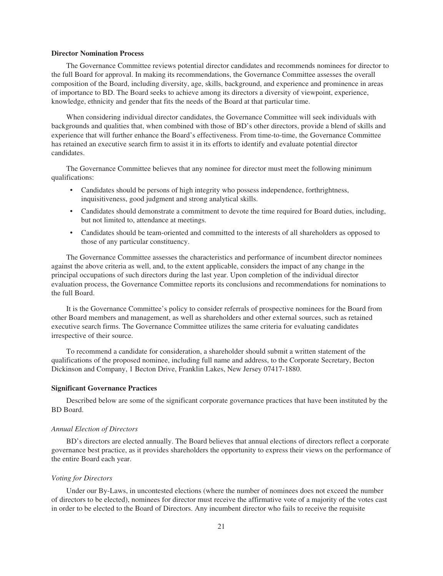#### **Director Nomination Process**

The Governance Committee reviews potential director candidates and recommends nominees for director to the full Board for approval. In making its recommendations, the Governance Committee assesses the overall composition of the Board, including diversity, age, skills, background, and experience and prominence in areas of importance to BD. The Board seeks to achieve among its directors a diversity of viewpoint, experience, knowledge, ethnicity and gender that fits the needs of the Board at that particular time.

When considering individual director candidates, the Governance Committee will seek individuals with backgrounds and qualities that, when combined with those of BD's other directors, provide a blend of skills and experience that will further enhance the Board's effectiveness. From time-to-time, the Governance Committee has retained an executive search firm to assist it in its efforts to identify and evaluate potential director candidates.

The Governance Committee believes that any nominee for director must meet the following minimum qualifications:

- Candidates should be persons of high integrity who possess independence, forthrightness, inquisitiveness, good judgment and strong analytical skills.
- Candidates should demonstrate a commitment to devote the time required for Board duties, including, but not limited to, attendance at meetings.
- Candidates should be team-oriented and committed to the interests of all shareholders as opposed to those of any particular constituency.

The Governance Committee assesses the characteristics and performance of incumbent director nominees against the above criteria as well, and, to the extent applicable, considers the impact of any change in the principal occupations of such directors during the last year. Upon completion of the individual director evaluation process, the Governance Committee reports its conclusions and recommendations for nominations to the full Board.

It is the Governance Committee's policy to consider referrals of prospective nominees for the Board from other Board members and management, as well as shareholders and other external sources, such as retained executive search firms. The Governance Committee utilizes the same criteria for evaluating candidates irrespective of their source.

To recommend a candidate for consideration, a shareholder should submit a written statement of the qualifications of the proposed nominee, including full name and address, to the Corporate Secretary, Becton Dickinson and Company, 1 Becton Drive, Franklin Lakes, New Jersey 07417-1880.

#### **Significant Governance Practices**

Described below are some of the significant corporate governance practices that have been instituted by the BD Board.

#### *Annual Election of Directors*

BD's directors are elected annually. The Board believes that annual elections of directors reflect a corporate governance best practice, as it provides shareholders the opportunity to express their views on the performance of the entire Board each year.

#### *Voting for Directors*

Under our By-Laws, in uncontested elections (where the number of nominees does not exceed the number of directors to be elected), nominees for director must receive the affirmative vote of a majority of the votes cast in order to be elected to the Board of Directors. Any incumbent director who fails to receive the requisite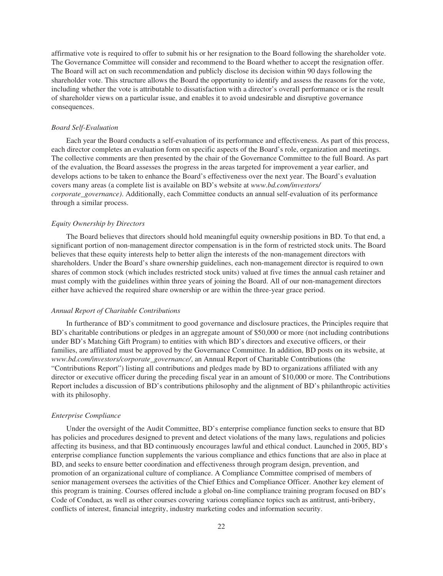affirmative vote is required to offer to submit his or her resignation to the Board following the shareholder vote. The Governance Committee will consider and recommend to the Board whether to accept the resignation offer. The Board will act on such recommendation and publicly disclose its decision within 90 days following the shareholder vote. This structure allows the Board the opportunity to identify and assess the reasons for the vote, including whether the vote is attributable to dissatisfaction with a director's overall performance or is the result of shareholder views on a particular issue, and enables it to avoid undesirable and disruptive governance consequences.

#### *Board Self-Evaluation*

Each year the Board conducts a self-evaluation of its performance and effectiveness. As part of this process, each director completes an evaluation form on specific aspects of the Board's role, organization and meetings. The collective comments are then presented by the chair of the Governance Committee to the full Board. As part of the evaluation, the Board assesses the progress in the areas targeted for improvement a year earlier, and develops actions to be taken to enhance the Board's effectiveness over the next year. The Board's evaluation covers many areas (a complete list is available on BD's website at *www.bd.com/investors/ corporate\_governance)*. Additionally, each Committee conducts an annual self-evaluation of its performance through a similar process.

#### *Equity Ownership by Directors*

The Board believes that directors should hold meaningful equity ownership positions in BD. To that end, a significant portion of non-management director compensation is in the form of restricted stock units. The Board believes that these equity interests help to better align the interests of the non-management directors with shareholders. Under the Board's share ownership guidelines, each non-management director is required to own shares of common stock (which includes restricted stock units) valued at five times the annual cash retainer and must comply with the guidelines within three years of joining the Board. All of our non-management directors either have achieved the required share ownership or are within the three-year grace period.

#### *Annual Report of Charitable Contributions*

In furtherance of BD's commitment to good governance and disclosure practices, the Principles require that BD's charitable contributions or pledges in an aggregate amount of \$50,000 or more (not including contributions under BD's Matching Gift Program) to entities with which BD's directors and executive officers, or their families, are affiliated must be approved by the Governance Committee. In addition, BD posts on its website, at *www.bd.com/investors/corporate\_governance/*, an Annual Report of Charitable Contributions (the "Contributions Report") listing all contributions and pledges made by BD to organizations affiliated with any director or executive officer during the preceding fiscal year in an amount of \$10,000 or more. The Contributions Report includes a discussion of BD's contributions philosophy and the alignment of BD's philanthropic activities with its philosophy.

#### *Enterprise Compliance*

Under the oversight of the Audit Committee, BD's enterprise compliance function seeks to ensure that BD has policies and procedures designed to prevent and detect violations of the many laws, regulations and policies affecting its business, and that BD continuously encourages lawful and ethical conduct. Launched in 2005, BD's enterprise compliance function supplements the various compliance and ethics functions that are also in place at BD, and seeks to ensure better coordination and effectiveness through program design, prevention, and promotion of an organizational culture of compliance. A Compliance Committee comprised of members of senior management oversees the activities of the Chief Ethics and Compliance Officer. Another key element of this program is training. Courses offered include a global on-line compliance training program focused on BD's Code of Conduct, as well as other courses covering various compliance topics such as antitrust, anti-bribery, conflicts of interest, financial integrity, industry marketing codes and information security.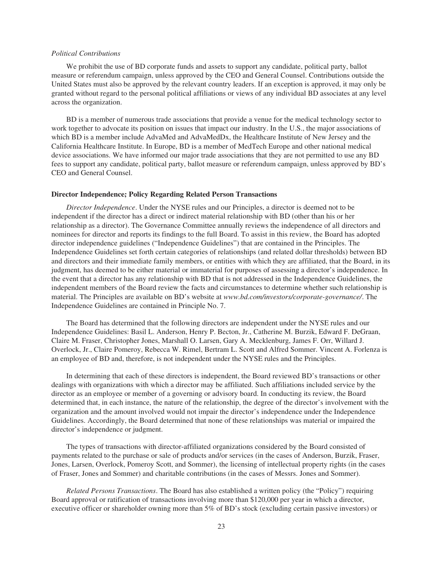#### *Political Contributions*

We prohibit the use of BD corporate funds and assets to support any candidate, political party, ballot measure or referendum campaign, unless approved by the CEO and General Counsel. Contributions outside the United States must also be approved by the relevant country leaders. If an exception is approved, it may only be granted without regard to the personal political affiliations or views of any individual BD associates at any level across the organization.

BD is a member of numerous trade associations that provide a venue for the medical technology sector to work together to advocate its position on issues that impact our industry. In the U.S., the major associations of which BD is a member include AdvaMed and AdvaMedDx, the Healthcare Institute of New Jersey and the California Healthcare Institute. In Europe, BD is a member of MedTech Europe and other national medical device associations. We have informed our major trade associations that they are not permitted to use any BD fees to support any candidate, political party, ballot measure or referendum campaign, unless approved by BD's CEO and General Counsel.

#### **Director Independence; Policy Regarding Related Person Transactions**

*Director Independence*. Under the NYSE rules and our Principles, a director is deemed not to be independent if the director has a direct or indirect material relationship with BD (other than his or her relationship as a director). The Governance Committee annually reviews the independence of all directors and nominees for director and reports its findings to the full Board. To assist in this review, the Board has adopted director independence guidelines ("Independence Guidelines") that are contained in the Principles. The Independence Guidelines set forth certain categories of relationships (and related dollar thresholds) between BD and directors and their immediate family members, or entities with which they are affiliated, that the Board, in its judgment, has deemed to be either material or immaterial for purposes of assessing a director's independence. In the event that a director has any relationship with BD that is not addressed in the Independence Guidelines, the independent members of the Board review the facts and circumstances to determine whether such relationship is material. The Principles are available on BD's website at *www.bd.com/investors/corporate-governance/*. The Independence Guidelines are contained in Principle No. 7.

The Board has determined that the following directors are independent under the NYSE rules and our Independence Guidelines: Basil L. Anderson, Henry P. Becton, Jr., Catherine M. Burzik, Edward F. DeGraan, Claire M. Fraser, Christopher Jones, Marshall O. Larsen, Gary A. Mecklenburg, James F. Orr, Willard J. Overlock, Jr., Claire Pomeroy, Rebecca W. Rimel, Bertram L. Scott and Alfred Sommer. Vincent A. Forlenza is an employee of BD and, therefore, is not independent under the NYSE rules and the Principles.

In determining that each of these directors is independent, the Board reviewed BD's transactions or other dealings with organizations with which a director may be affiliated. Such affiliations included service by the director as an employee or member of a governing or advisory board. In conducting its review, the Board determined that, in each instance, the nature of the relationship, the degree of the director's involvement with the organization and the amount involved would not impair the director's independence under the Independence Guidelines. Accordingly, the Board determined that none of these relationships was material or impaired the director's independence or judgment.

The types of transactions with director-affiliated organizations considered by the Board consisted of payments related to the purchase or sale of products and/or services (in the cases of Anderson, Burzik, Fraser, Jones, Larsen, Overlock, Pomeroy Scott, and Sommer), the licensing of intellectual property rights (in the cases of Fraser, Jones and Sommer) and charitable contributions (in the cases of Messrs. Jones and Sommer).

*Related Persons Transactions*. The Board has also established a written policy (the "Policy") requiring Board approval or ratification of transactions involving more than \$120,000 per year in which a director, executive officer or shareholder owning more than 5% of BD's stock (excluding certain passive investors) or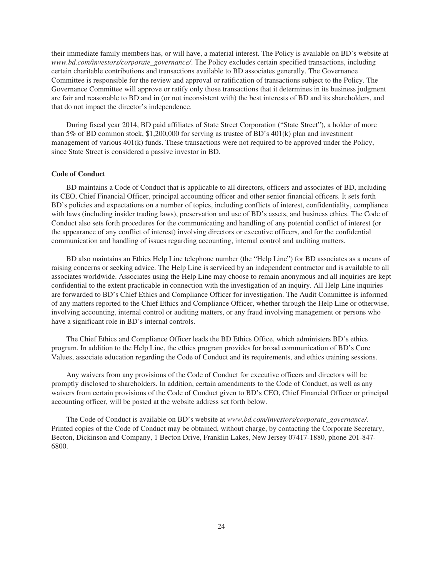their immediate family members has, or will have, a material interest. The Policy is available on BD's website at *www.bd.com/investors/corporate\_governance/*. The Policy excludes certain specified transactions, including certain charitable contributions and transactions available to BD associates generally. The Governance Committee is responsible for the review and approval or ratification of transactions subject to the Policy. The Governance Committee will approve or ratify only those transactions that it determines in its business judgment are fair and reasonable to BD and in (or not inconsistent with) the best interests of BD and its shareholders, and that do not impact the director's independence.

During fiscal year 2014, BD paid affiliates of State Street Corporation ("State Street"), a holder of more than 5% of BD common stock, \$1,200,000 for serving as trustee of BD's 401(k) plan and investment management of various 401(k) funds. These transactions were not required to be approved under the Policy, since State Street is considered a passive investor in BD.

#### **Code of Conduct**

BD maintains a Code of Conduct that is applicable to all directors, officers and associates of BD, including its CEO, Chief Financial Officer, principal accounting officer and other senior financial officers. It sets forth BD's policies and expectations on a number of topics, including conflicts of interest, confidentiality, compliance with laws (including insider trading laws), preservation and use of BD's assets, and business ethics. The Code of Conduct also sets forth procedures for the communicating and handling of any potential conflict of interest (or the appearance of any conflict of interest) involving directors or executive officers, and for the confidential communication and handling of issues regarding accounting, internal control and auditing matters.

BD also maintains an Ethics Help Line telephone number (the "Help Line") for BD associates as a means of raising concerns or seeking advice. The Help Line is serviced by an independent contractor and is available to all associates worldwide. Associates using the Help Line may choose to remain anonymous and all inquiries are kept confidential to the extent practicable in connection with the investigation of an inquiry. All Help Line inquiries are forwarded to BD's Chief Ethics and Compliance Officer for investigation. The Audit Committee is informed of any matters reported to the Chief Ethics and Compliance Officer, whether through the Help Line or otherwise, involving accounting, internal control or auditing matters, or any fraud involving management or persons who have a significant role in BD's internal controls.

The Chief Ethics and Compliance Officer leads the BD Ethics Office, which administers BD's ethics program. In addition to the Help Line, the ethics program provides for broad communication of BD's Core Values, associate education regarding the Code of Conduct and its requirements, and ethics training sessions.

Any waivers from any provisions of the Code of Conduct for executive officers and directors will be promptly disclosed to shareholders. In addition, certain amendments to the Code of Conduct, as well as any waivers from certain provisions of the Code of Conduct given to BD's CEO, Chief Financial Officer or principal accounting officer, will be posted at the website address set forth below.

The Code of Conduct is available on BD's website at *www.bd.com/investors/corporate\_governance/*. Printed copies of the Code of Conduct may be obtained, without charge, by contacting the Corporate Secretary, Becton, Dickinson and Company, 1 Becton Drive, Franklin Lakes, New Jersey 07417-1880, phone 201-847- 6800.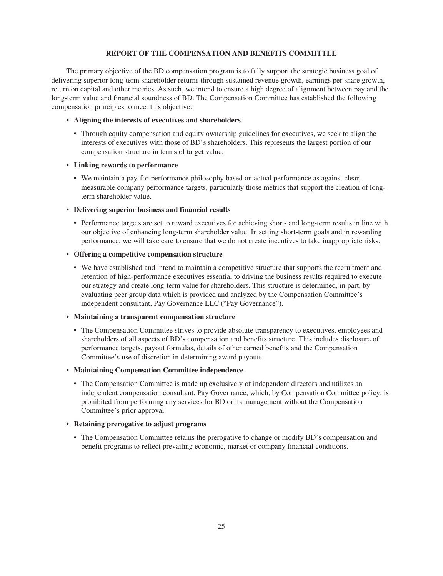## **REPORT OF THE COMPENSATION AND BENEFITS COMMITTEE**

The primary objective of the BD compensation program is to fully support the strategic business goal of delivering superior long-term shareholder returns through sustained revenue growth, earnings per share growth, return on capital and other metrics. As such, we intend to ensure a high degree of alignment between pay and the long-term value and financial soundness of BD. The Compensation Committee has established the following compensation principles to meet this objective:

## **• Aligning the interests of executives and shareholders**

• Through equity compensation and equity ownership guidelines for executives, we seek to align the interests of executives with those of BD's shareholders. This represents the largest portion of our compensation structure in terms of target value.

#### **• Linking rewards to performance**

• We maintain a pay-for-performance philosophy based on actual performance as against clear, measurable company performance targets, particularly those metrics that support the creation of longterm shareholder value.

## **• Delivering superior business and financial results**

• Performance targets are set to reward executives for achieving short- and long-term results in line with our objective of enhancing long-term shareholder value. In setting short-term goals and in rewarding performance, we will take care to ensure that we do not create incentives to take inappropriate risks.

## **• Offering a competitive compensation structure**

• We have established and intend to maintain a competitive structure that supports the recruitment and retention of high-performance executives essential to driving the business results required to execute our strategy and create long-term value for shareholders. This structure is determined, in part, by evaluating peer group data which is provided and analyzed by the Compensation Committee's independent consultant, Pay Governance LLC ("Pay Governance").

## **• Maintaining a transparent compensation structure**

• The Compensation Committee strives to provide absolute transparency to executives, employees and shareholders of all aspects of BD's compensation and benefits structure. This includes disclosure of performance targets, payout formulas, details of other earned benefits and the Compensation Committee's use of discretion in determining award payouts.

## **• Maintaining Compensation Committee independence**

• The Compensation Committee is made up exclusively of independent directors and utilizes an independent compensation consultant, Pay Governance, which, by Compensation Committee policy, is prohibited from performing any services for BD or its management without the Compensation Committee's prior approval.

## **• Retaining prerogative to adjust programs**

• The Compensation Committee retains the prerogative to change or modify BD's compensation and benefit programs to reflect prevailing economic, market or company financial conditions.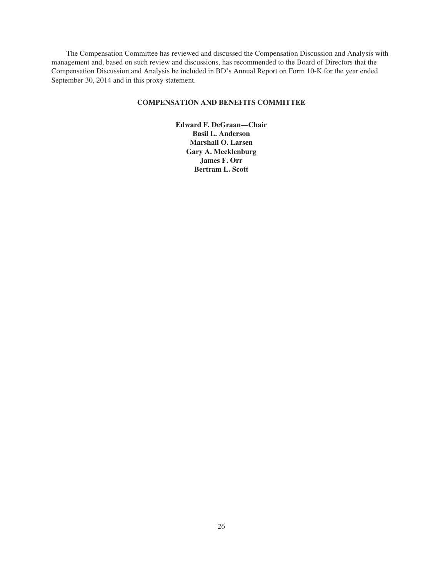The Compensation Committee has reviewed and discussed the Compensation Discussion and Analysis with management and, based on such review and discussions, has recommended to the Board of Directors that the Compensation Discussion and Analysis be included in BD's Annual Report on Form 10-K for the year ended September 30, 2014 and in this proxy statement.

## **COMPENSATION AND BENEFITS COMMITTEE**

**Edward F. DeGraan—Chair Basil L. Anderson Marshall O. Larsen Gary A. Mecklenburg James F. Orr Bertram L. Scott**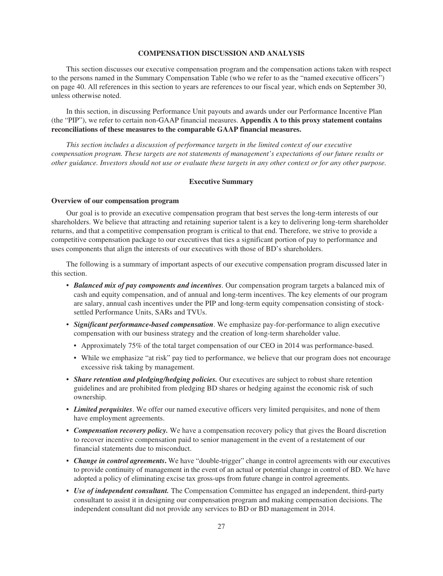### **COMPENSATION DISCUSSION AND ANALYSIS**

This section discusses our executive compensation program and the compensation actions taken with respect to the persons named in the Summary Compensation Table (who we refer to as the "named executive officers") on page 40. All references in this section to years are references to our fiscal year, which ends on September 30, unless otherwise noted.

In this section, in discussing Performance Unit payouts and awards under our Performance Incentive Plan (the "PIP"), we refer to certain non-GAAP financial measures. **Appendix A to this proxy statement contains reconciliations of these measures to the comparable GAAP financial measures.**

*This section includes a discussion of performance targets in the limited context of our executive compensation program. These targets are not statements of management's expectations of our future results or* other guidance. Investors should not use or evaluate these targets in any other context or for any other purpose.

### **Executive Summary**

#### **Overview of our compensation program**

Our goal is to provide an executive compensation program that best serves the long-term interests of our shareholders. We believe that attracting and retaining superior talent is a key to delivering long-term shareholder returns, and that a competitive compensation program is critical to that end. Therefore, we strive to provide a competitive compensation package to our executives that ties a significant portion of pay to performance and uses components that align the interests of our executives with those of BD's shareholders.

The following is a summary of important aspects of our executive compensation program discussed later in this section.

- *Balanced mix of pay components and incentives.* Our compensation program targets a balanced mix of cash and equity compensation, and of annual and long-term incentives. The key elements of our program are salary, annual cash incentives under the PIP and long-term equity compensation consisting of stocksettled Performance Units, SARs and TVUs.
- *Significant performance-based compensation*. We emphasize pay-for-performance to align executive compensation with our business strategy and the creation of long-term shareholder value.
	- Approximately 75% of the total target compensation of our CEO in 2014 was performance-based.
	- While we emphasize "at risk" pay tied to performance, we believe that our program does not encourage excessive risk taking by management.
- *Share retention and pledging/hedging policies.* Our executives are subject to robust share retention guidelines and are prohibited from pledging BD shares or hedging against the economic risk of such ownership.
- *Limited perquisites*. We offer our named executive officers very limited perquisites, and none of them have employment agreements.
- *Compensation recovery policy.* We have a compensation recovery policy that gives the Board discretion to recover incentive compensation paid to senior management in the event of a restatement of our financial statements due to misconduct.
- *Change in control agreements***.** We have "double-trigger" change in control agreements with our executives to provide continuity of management in the event of an actual or potential change in control of BD. We have adopted a policy of eliminating excise tax gross-ups from future change in control agreements.
- *Use of independent consultant.* The Compensation Committee has engaged an independent, third-party consultant to assist it in designing our compensation program and making compensation decisions. The independent consultant did not provide any services to BD or BD management in 2014.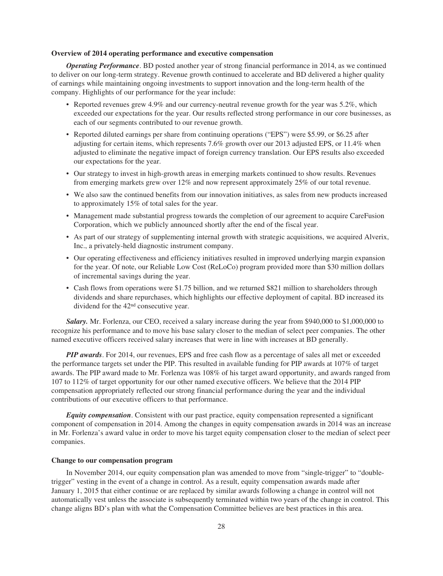### **Overview of 2014 operating performance and executive compensation**

*Operating Performance*. BD posted another year of strong financial performance in 2014, as we continued to deliver on our long-term strategy. Revenue growth continued to accelerate and BD delivered a higher quality of earnings while maintaining ongoing investments to support innovation and the long-term health of the company. Highlights of our performance for the year include:

- Reported revenues grew 4.9% and our currency-neutral revenue growth for the year was 5.2%, which exceeded our expectations for the year. Our results reflected strong performance in our core businesses, as each of our segments contributed to our revenue growth.
- Reported diluted earnings per share from continuing operations ("EPS") were \$5.99, or \$6.25 after adjusting for certain items, which represents 7.6% growth over our 2013 adjusted EPS, or 11.4% when adjusted to eliminate the negative impact of foreign currency translation. Our EPS results also exceeded our expectations for the year.
- Our strategy to invest in high-growth areas in emerging markets continued to show results. Revenues from emerging markets grew over 12% and now represent approximately 25% of our total revenue.
- We also saw the continued benefits from our innovation initiatives, as sales from new products increased to approximately 15% of total sales for the year.
- Management made substantial progress towards the completion of our agreement to acquire CareFusion Corporation, which we publicly announced shortly after the end of the fiscal year.
- As part of our strategy of supplementing internal growth with strategic acquisitions, we acquired Alverix, Inc., a privately-held diagnostic instrument company.
- Our operating effectiveness and efficiency initiatives resulted in improved underlying margin expansion for the year. Of note, our Reliable Low Cost (ReLoCo) program provided more than \$30 million dollars of incremental savings during the year.
- Cash flows from operations were \$1.75 billion, and we returned \$821 million to shareholders through dividends and share repurchases, which highlights our effective deployment of capital. BD increased its dividend for the 42nd consecutive year.

*Salary.* Mr. Forlenza, our CEO, received a salary increase during the year from \$940,000 to \$1,000,000 to recognize his performance and to move his base salary closer to the median of select peer companies. The other named executive officers received salary increases that were in line with increases at BD generally.

*PIP awards*. For 2014, our revenues, EPS and free cash flow as a percentage of sales all met or exceeded the performance targets set under the PIP. This resulted in available funding for PIP awards at 107% of target awards. The PIP award made to Mr. Forlenza was 108% of his target award opportunity, and awards ranged from 107 to 112% of target opportunity for our other named executive officers. We believe that the 2014 PIP compensation appropriately reflected our strong financial performance during the year and the individual contributions of our executive officers to that performance.

*Equity compensation*. Consistent with our past practice, equity compensation represented a significant component of compensation in 2014. Among the changes in equity compensation awards in 2014 was an increase in Mr. Forlenza's award value in order to move his target equity compensation closer to the median of select peer companies.

## **Change to our compensation program**

In November 2014, our equity compensation plan was amended to move from "single-trigger" to "doubletrigger" vesting in the event of a change in control. As a result, equity compensation awards made after January 1, 2015 that either continue or are replaced by similar awards following a change in control will not automatically vest unless the associate is subsequently terminated within two years of the change in control. This change aligns BD's plan with what the Compensation Committee believes are best practices in this area.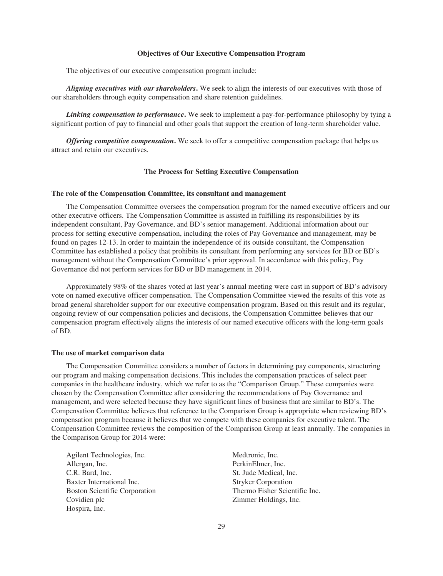#### **Objectives of Our Executive Compensation Program**

The objectives of our executive compensation program include:

*Aligning executives with our shareholders***.** We seek to align the interests of our executives with those of our shareholders through equity compensation and share retention guidelines.

*Linking compensation to performance***.** We seek to implement a pay-for-performance philosophy by tying a significant portion of pay to financial and other goals that support the creation of long-term shareholder value.

*Offering competitive compensation***.** We seek to offer a competitive compensation package that helps us attract and retain our executives.

#### **The Process for Setting Executive Compensation**

#### **The role of the Compensation Committee, its consultant and management**

The Compensation Committee oversees the compensation program for the named executive officers and our other executive officers. The Compensation Committee is assisted in fulfilling its responsibilities by its independent consultant, Pay Governance, and BD's senior management. Additional information about our process for setting executive compensation, including the roles of Pay Governance and management, may be found on pages 12-13. In order to maintain the independence of its outside consultant, the Compensation Committee has established a policy that prohibits its consultant from performing any services for BD or BD's management without the Compensation Committee's prior approval. In accordance with this policy, Pay Governance did not perform services for BD or BD management in 2014.

Approximately 98% of the shares voted at last year's annual meeting were cast in support of BD's advisory vote on named executive officer compensation. The Compensation Committee viewed the results of this vote as broad general shareholder support for our executive compensation program. Based on this result and its regular, ongoing review of our compensation policies and decisions, the Compensation Committee believes that our compensation program effectively aligns the interests of our named executive officers with the long-term goals of BD.

#### **The use of market comparison data**

The Compensation Committee considers a number of factors in determining pay components, structuring our program and making compensation decisions. This includes the compensation practices of select peer companies in the healthcare industry, which we refer to as the "Comparison Group." These companies were chosen by the Compensation Committee after considering the recommendations of Pay Governance and management, and were selected because they have significant lines of business that are similar to BD's. The Compensation Committee believes that reference to the Comparison Group is appropriate when reviewing BD's compensation program because it believes that we compete with these companies for executive talent. The Compensation Committee reviews the composition of the Comparison Group at least annually. The companies in the Comparison Group for 2014 were:

Agilent Technologies, Inc. Allergan, Inc. C.R. Bard, Inc. Baxter International Inc. Boston Scientific Corporation Covidien plc Hospira, Inc.

Medtronic, Inc. PerkinElmer, Inc. St. Jude Medical, Inc. Stryker Corporation Thermo Fisher Scientific Inc. Zimmer Holdings, Inc.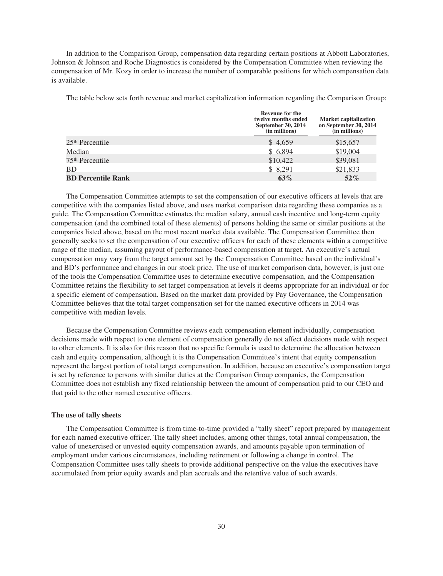In addition to the Comparison Group, compensation data regarding certain positions at Abbott Laboratories, Johnson & Johnson and Roche Diagnostics is considered by the Compensation Committee when reviewing the compensation of Mr. Kozy in order to increase the number of comparable positions for which compensation data is available.

The table below sets forth revenue and market capitalization information regarding the Comparison Group:

|                             | <b>Revenue for the</b><br>twelve months ended<br>September 30, 2014<br>(in millions) | <b>Market capitalization</b><br>on September 30, 2014<br>(in millions) |  |
|-----------------------------|--------------------------------------------------------------------------------------|------------------------------------------------------------------------|--|
| 25 <sup>th</sup> Percentile | \$4,659                                                                              | \$15,657                                                               |  |
| Median                      | \$6,894                                                                              | \$19,004                                                               |  |
| 75 <sup>th</sup> Percentile | \$10,422                                                                             | \$39,081                                                               |  |
| <b>BD</b>                   | \$8,291                                                                              | \$21,833                                                               |  |
| <b>BD Percentile Rank</b>   | 63%                                                                                  | $52\%$                                                                 |  |

The Compensation Committee attempts to set the compensation of our executive officers at levels that are competitive with the companies listed above, and uses market comparison data regarding these companies as a guide. The Compensation Committee estimates the median salary, annual cash incentive and long-term equity compensation (and the combined total of these elements) of persons holding the same or similar positions at the companies listed above, based on the most recent market data available. The Compensation Committee then generally seeks to set the compensation of our executive officers for each of these elements within a competitive range of the median, assuming payout of performance-based compensation at target. An executive's actual compensation may vary from the target amount set by the Compensation Committee based on the individual's and BD's performance and changes in our stock price. The use of market comparison data, however, is just one of the tools the Compensation Committee uses to determine executive compensation, and the Compensation Committee retains the flexibility to set target compensation at levels it deems appropriate for an individual or for a specific element of compensation. Based on the market data provided by Pay Governance, the Compensation Committee believes that the total target compensation set for the named executive officers in 2014 was competitive with median levels.

Because the Compensation Committee reviews each compensation element individually, compensation decisions made with respect to one element of compensation generally do not affect decisions made with respect to other elements. It is also for this reason that no specific formula is used to determine the allocation between cash and equity compensation, although it is the Compensation Committee's intent that equity compensation represent the largest portion of total target compensation. In addition, because an executive's compensation target is set by reference to persons with similar duties at the Comparison Group companies, the Compensation Committee does not establish any fixed relationship between the amount of compensation paid to our CEO and that paid to the other named executive officers.

#### **The use of tally sheets**

The Compensation Committee is from time-to-time provided a "tally sheet" report prepared by management for each named executive officer. The tally sheet includes, among other things, total annual compensation, the value of unexercised or unvested equity compensation awards, and amounts payable upon termination of employment under various circumstances, including retirement or following a change in control. The Compensation Committee uses tally sheets to provide additional perspective on the value the executives have accumulated from prior equity awards and plan accruals and the retentive value of such awards.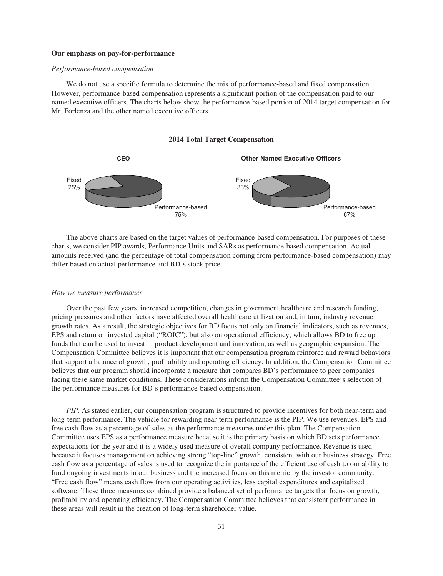#### **Our emphasis on pay-for-performance**

#### *Performance-based compensation*

We do not use a specific formula to determine the mix of performance-based and fixed compensation. However, performance-based compensation represents a significant portion of the compensation paid to our named executive officers. The charts below show the performance-based portion of 2014 target compensation for Mr. Forlenza and the other named executive officers.





The above charts are based on the target values of performance-based compensation. For purposes of these charts, we consider PIP awards, Performance Units and SARs as performance-based compensation. Actual amounts received (and the percentage of total compensation coming from performance-based compensation) may differ based on actual performance and BD's stock price.

## *How we measure performance*

Over the past few years, increased competition, changes in government healthcare and research funding, pricing pressures and other factors have affected overall healthcare utilization and, in turn, industry revenue growth rates. As a result, the strategic objectives for BD focus not only on financial indicators, such as revenues, EPS and return on invested capital ("ROIC"), but also on operational efficiency, which allows BD to free up funds that can be used to invest in product development and innovation, as well as geographic expansion. The Compensation Committee believes it is important that our compensation program reinforce and reward behaviors that support a balance of growth, profitability and operating efficiency. In addition, the Compensation Committee believes that our program should incorporate a measure that compares BD's performance to peer companies facing these same market conditions. These considerations inform the Compensation Committee's selection of the performance measures for BD's performance-based compensation.

*PIP*. As stated earlier, our compensation program is structured to provide incentives for both near-term and long-term performance. The vehicle for rewarding near-term performance is the PIP. We use revenues, EPS and free cash flow as a percentage of sales as the performance measures under this plan. The Compensation Committee uses EPS as a performance measure because it is the primary basis on which BD sets performance expectations for the year and it is a widely used measure of overall company performance. Revenue is used because it focuses management on achieving strong "top-line" growth, consistent with our business strategy. Free cash flow as a percentage of sales is used to recognize the importance of the efficient use of cash to our ability to fund ongoing investments in our business and the increased focus on this metric by the investor community. "Free cash flow" means cash flow from our operating activities, less capital expenditures and capitalized software. These three measures combined provide a balanced set of performance targets that focus on growth, profitability and operating efficiency. The Compensation Committee believes that consistent performance in these areas will result in the creation of long-term shareholder value.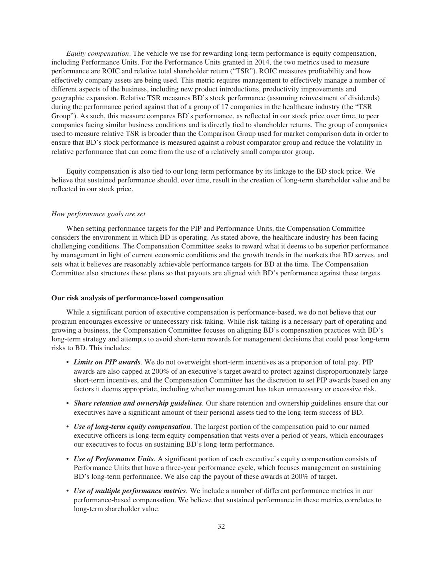*Equity compensation*. The vehicle we use for rewarding long-term performance is equity compensation, including Performance Units. For the Performance Units granted in 2014, the two metrics used to measure performance are ROIC and relative total shareholder return ("TSR"). ROIC measures profitability and how effectively company assets are being used. This metric requires management to effectively manage a number of different aspects of the business, including new product introductions, productivity improvements and geographic expansion. Relative TSR measures BD's stock performance (assuming reinvestment of dividends) during the performance period against that of a group of 17 companies in the healthcare industry (the "TSR Group"). As such, this measure compares BD's performance, as reflected in our stock price over time, to peer companies facing similar business conditions and is directly tied to shareholder returns. The group of companies used to measure relative TSR is broader than the Comparison Group used for market comparison data in order to ensure that BD's stock performance is measured against a robust comparator group and reduce the volatility in relative performance that can come from the use of a relatively small comparator group.

Equity compensation is also tied to our long-term performance by its linkage to the BD stock price. We believe that sustained performance should, over time, result in the creation of long-term shareholder value and be reflected in our stock price.

#### *How performance goals are set*

When setting performance targets for the PIP and Performance Units, the Compensation Committee considers the environment in which BD is operating. As stated above, the healthcare industry has been facing challenging conditions. The Compensation Committee seeks to reward what it deems to be superior performance by management in light of current economic conditions and the growth trends in the markets that BD serves, and sets what it believes are reasonably achievable performance targets for BD at the time. The Compensation Committee also structures these plans so that payouts are aligned with BD's performance against these targets.

#### **Our risk analysis of performance-based compensation**

While a significant portion of executive compensation is performance-based, we do not believe that our program encourages excessive or unnecessary risk-taking. While risk-taking is a necessary part of operating and growing a business, the Compensation Committee focuses on aligning BD's compensation practices with BD's long-term strategy and attempts to avoid short-term rewards for management decisions that could pose long-term risks to BD. This includes:

- *Limits on PIP awards.* We do not overweight short-term incentives as a proportion of total pay. PIP awards are also capped at 200% of an executive's target award to protect against disproportionately large short-term incentives, and the Compensation Committee has the discretion to set PIP awards based on any factors it deems appropriate, including whether management has taken unnecessary or excessive risk.
- *Share retention and ownership guidelines.* Our share retention and ownership guidelines ensure that our executives have a significant amount of their personal assets tied to the long-term success of BD.
- *Use of long-term equity compensation.* The largest portion of the compensation paid to our named executive officers is long-term equity compensation that vests over a period of years, which encourages our executives to focus on sustaining BD's long-term performance.
- *Use of Performance Units.* A significant portion of each executive's equity compensation consists of Performance Units that have a three-year performance cycle, which focuses management on sustaining BD's long-term performance. We also cap the payout of these awards at 200% of target.
- *Use of multiple performance metrics.* We include a number of different performance metrics in our performance-based compensation. We believe that sustained performance in these metrics correlates to long-term shareholder value.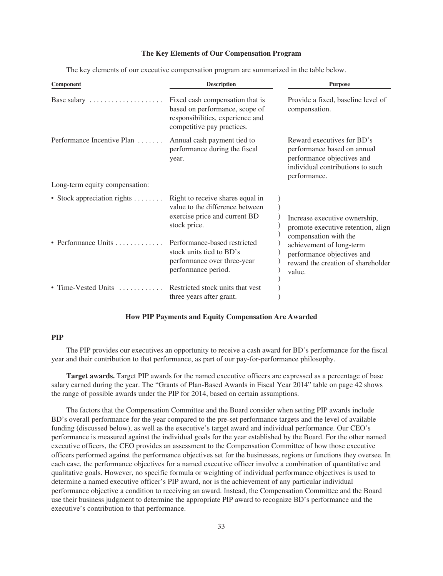## **The Key Elements of Our Compensation Program**

The key elements of our executive compensation program are summarized in the table below.

| <b>Description</b>                                                                                                                                   | <b>Purpose</b>                                                                                                                              |  |  |
|------------------------------------------------------------------------------------------------------------------------------------------------------|---------------------------------------------------------------------------------------------------------------------------------------------|--|--|
| Fixed cash compensation that is<br>based on performance, scope of<br>responsibilities, experience and<br>competitive pay practices.                  | Provide a fixed, baseline level of<br>compensation.                                                                                         |  |  |
| Annual cash payment tied to<br>performance during the fiscal<br>year.                                                                                | Reward executives for BD's<br>performance based on annual<br>performance objectives and<br>individual contributions to such<br>performance. |  |  |
|                                                                                                                                                      |                                                                                                                                             |  |  |
| Right to receive shares equal in<br>value to the difference between<br>exercise price and current BD<br>stock price.<br>Performance-based restricted | Increase executive ownership,<br>promote executive retention, align<br>compensation with the<br>achievement of long-term                    |  |  |
| performance over three-year<br>performance period.<br>Restricted stock units that yest                                                               | performance objectives and<br>reward the creation of shareholder<br>value.                                                                  |  |  |
|                                                                                                                                                      | • Stock appreciation rights $\dots \dots$<br>stock units tied to BD's<br>three years after grant.                                           |  |  |

## **How PIP Payments and Equity Compensation Are Awarded**

## **PIP**

The PIP provides our executives an opportunity to receive a cash award for BD's performance for the fiscal year and their contribution to that performance, as part of our pay-for-performance philosophy.

**Target awards.** Target PIP awards for the named executive officers are expressed as a percentage of base salary earned during the year. The "Grants of Plan-Based Awards in Fiscal Year 2014" table on page 42 shows the range of possible awards under the PIP for 2014, based on certain assumptions.

The factors that the Compensation Committee and the Board consider when setting PIP awards include BD's overall performance for the year compared to the pre-set performance targets and the level of available funding (discussed below), as well as the executive's target award and individual performance. Our CEO's performance is measured against the individual goals for the year established by the Board. For the other named executive officers, the CEO provides an assessment to the Compensation Committee of how those executive officers performed against the performance objectives set for the businesses, regions or functions they oversee. In each case, the performance objectives for a named executive officer involve a combination of quantitative and qualitative goals. However, no specific formula or weighting of individual performance objectives is used to determine a named executive officer's PIP award, nor is the achievement of any particular individual performance objective a condition to receiving an award. Instead, the Compensation Committee and the Board use their business judgment to determine the appropriate PIP award to recognize BD's performance and the executive's contribution to that performance.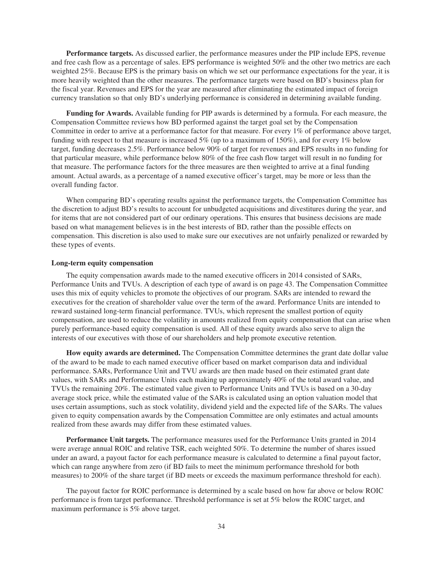**Performance targets.** As discussed earlier, the performance measures under the PIP include EPS, revenue and free cash flow as a percentage of sales. EPS performance is weighted 50% and the other two metrics are each weighted 25%. Because EPS is the primary basis on which we set our performance expectations for the year, it is more heavily weighted than the other measures. The performance targets were based on BD's business plan for the fiscal year. Revenues and EPS for the year are measured after eliminating the estimated impact of foreign currency translation so that only BD's underlying performance is considered in determining available funding.

**Funding for Awards.** Available funding for PIP awards is determined by a formula. For each measure, the Compensation Committee reviews how BD performed against the target goal set by the Compensation Committee in order to arrive at a performance factor for that measure. For every 1% of performance above target, funding with respect to that measure is increased 5% (up to a maximum of 150%), and for every 1% below target, funding decreases 2.5%. Performance below 90% of target for revenues and EPS results in no funding for that particular measure, while performance below 80% of the free cash flow target will result in no funding for that measure. The performance factors for the three measures are then weighted to arrive at a final funding amount. Actual awards, as a percentage of a named executive officer's target, may be more or less than the overall funding factor.

When comparing BD's operating results against the performance targets, the Compensation Committee has the discretion to adjust BD's results to account for unbudgeted acquisitions and divestitures during the year, and for items that are not considered part of our ordinary operations. This ensures that business decisions are made based on what management believes is in the best interests of BD, rather than the possible effects on compensation. This discretion is also used to make sure our executives are not unfairly penalized or rewarded by these types of events.

### **Long-term equity compensation**

The equity compensation awards made to the named executive officers in 2014 consisted of SARs, Performance Units and TVUs. A description of each type of award is on page 43. The Compensation Committee uses this mix of equity vehicles to promote the objectives of our program. SARs are intended to reward the executives for the creation of shareholder value over the term of the award. Performance Units are intended to reward sustained long-term financial performance. TVUs, which represent the smallest portion of equity compensation, are used to reduce the volatility in amounts realized from equity compensation that can arise when purely performance-based equity compensation is used. All of these equity awards also serve to align the interests of our executives with those of our shareholders and help promote executive retention.

**How equity awards are determined.** The Compensation Committee determines the grant date dollar value of the award to be made to each named executive officer based on market comparison data and individual performance. SARs, Performance Unit and TVU awards are then made based on their estimated grant date values, with SARs and Performance Units each making up approximately 40% of the total award value, and TVUs the remaining 20%. The estimated value given to Performance Units and TVUs is based on a 30-day average stock price, while the estimated value of the SARs is calculated using an option valuation model that uses certain assumptions, such as stock volatility, dividend yield and the expected life of the SARs. The values given to equity compensation awards by the Compensation Committee are only estimates and actual amounts realized from these awards may differ from these estimated values.

**Performance Unit targets.** The performance measures used for the Performance Units granted in 2014 were average annual ROIC and relative TSR, each weighted 50%. To determine the number of shares issued under an award, a payout factor for each performance measure is calculated to determine a final payout factor, which can range anywhere from zero (if BD fails to meet the minimum performance threshold for both measures) to 200% of the share target (if BD meets or exceeds the maximum performance threshold for each).

The payout factor for ROIC performance is determined by a scale based on how far above or below ROIC performance is from target performance. Threshold performance is set at 5% below the ROIC target, and maximum performance is 5% above target.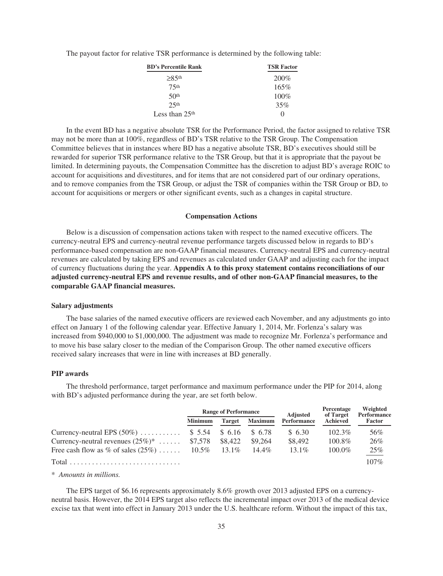The payout factor for relative TSR performance is determined by the following table:

| <b>BD's Percentile Rank</b> | <b>TSR Factor</b> |  |  |
|-----------------------------|-------------------|--|--|
| $\geq 8.5$ <sup>th</sup>    | 200%              |  |  |
| 75 <sup>th</sup>            | 165%              |  |  |
| 50 <sup>th</sup>            | $100\%$           |  |  |
| 25 <sup>th</sup>            | 35%               |  |  |
| Less than $25th$            | $\Omega$          |  |  |

In the event BD has a negative absolute TSR for the Performance Period, the factor assigned to relative TSR may not be more than at 100%, regardless of BD's TSR relative to the TSR Group. The Compensation Committee believes that in instances where BD has a negative absolute TSR, BD's executives should still be rewarded for superior TSR performance relative to the TSR Group, but that it is appropriate that the payout be limited. In determining payouts, the Compensation Committee has the discretion to adjust BD's average ROIC to account for acquisitions and divestitures, and for items that are not considered part of our ordinary operations, and to remove companies from the TSR Group, or adjust the TSR of companies within the TSR Group or BD, to account for acquisitions or mergers or other significant events, such as a changes in capital structure.

#### **Compensation Actions**

Below is a discussion of compensation actions taken with respect to the named executive officers. The currency-neutral EPS and currency-neutral revenue performance targets discussed below in regards to BD's performance-based compensation are non-GAAP financial measures. Currency-neutral EPS and currency-neutral revenues are calculated by taking EPS and revenues as calculated under GAAP and adjusting each for the impact of currency fluctuations during the year. **Appendix A to this proxy statement contains reconciliations of our adjusted currency-neutral EPS and revenue results, and of other non-GAAP financial measures, to the comparable GAAP financial measures.**

#### **Salary adjustments**

The base salaries of the named executive officers are reviewed each November, and any adjustments go into effect on January 1 of the following calendar year. Effective January 1, 2014, Mr. Forlenza's salary was increased from \$940,000 to \$1,000,000. The adjustment was made to recognize Mr. Forlenza's performance and to move his base salary closer to the median of the Comparison Group. The other named executive officers received salary increases that were in line with increases at BD generally.

## **PIP awards**

The threshold performance, target performance and maximum performance under the PIP for 2014, along with BD's adjusted performance during the year, are set forth below.

|                                                   | <b>Range of Performance</b> |               |                | <b>Adjusted</b> | Percentage<br>of Target | Weighted<br>Performance |
|---------------------------------------------------|-----------------------------|---------------|----------------|-----------------|-------------------------|-------------------------|
|                                                   | <b>Minimum</b>              | <b>Target</b> | <b>Maximum</b> | Performance     | Achieved                | Factor                  |
| Currency-neutral EPS $(50\%)$                     | $$5.54$ $$6.16$             |               | \$ 6.78        | \$6.30          | $102.3\%$               | 56%                     |
| Currency-neutral revenues $(25\%)^*$              | \$7.578                     | \$8,422       | \$9.264        | \$8,492         | $100.8\%$               | 26%                     |
| Free cash flow as % of sales $(25\%)$ 10.5% 13.1% |                             |               | $14.4\%$       | $13.1\%$        | $100.0\%$               | 25%                     |
|                                                   |                             |               |                |                 |                         | $107\%$                 |

*\* Amounts in millions.*

The EPS target of \$6.16 represents approximately 8.6% growth over 2013 adjusted EPS on a currencyneutral basis. However, the 2014 EPS target also reflects the incremental impact over 2013 of the medical device excise tax that went into effect in January 2013 under the U.S. healthcare reform. Without the impact of this tax,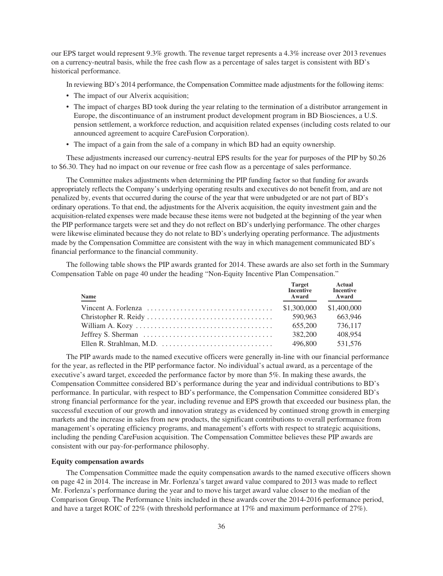our EPS target would represent 9.3% growth. The revenue target represents a 4.3% increase over 2013 revenues on a currency-neutral basis, while the free cash flow as a percentage of sales target is consistent with BD's historical performance.

In reviewing BD's 2014 performance, the Compensation Committee made adjustments for the following items:

- The impact of our Alverix acquisition;
- The impact of charges BD took during the year relating to the termination of a distributor arrangement in Europe, the discontinuance of an instrument product development program in BD Biosciences, a U.S. pension settlement, a workforce reduction, and acquisition related expenses (including costs related to our announced agreement to acquire CareFusion Corporation).
- The impact of a gain from the sale of a company in which BD had an equity ownership.

These adjustments increased our currency-neutral EPS results for the year for purposes of the PIP by \$0.26 to \$6.30. They had no impact on our revenue or free cash flow as a percentage of sales performance.

The Committee makes adjustments when determining the PIP funding factor so that funding for awards appropriately reflects the Company's underlying operating results and executives do not benefit from, and are not penalized by, events that occurred during the course of the year that were unbudgeted or are not part of BD's ordinary operations. To that end, the adjustments for the Alverix acquisition, the equity investment gain and the acquisition-related expenses were made because these items were not budgeted at the beginning of the year when the PIP performance targets were set and they do not reflect on BD's underlying performance. The other charges were likewise eliminated because they do not relate to BD's underlying operating performance. The adjustments made by the Compensation Committee are consistent with the way in which management communicated BD's financial performance to the financial community.

The following table shows the PIP awards granted for 2014. These awards are also set forth in the Summary Compensation Table on page 40 under the heading "Non-Equity Incentive Plan Compensation."

| <b>Name</b> | <b>Target</b><br>Incentive<br>Award | <b>Actual</b><br><b>Incentive</b><br>Award |
|-------------|-------------------------------------|--------------------------------------------|
|             | \$1,300,000                         | \$1,400,000                                |
|             | 590.963                             | 663.946                                    |
|             | 655,200                             | 736,117                                    |
|             | 382,200                             | 408.954                                    |
|             | 496,800                             | 531,576                                    |

The PIP awards made to the named executive officers were generally in-line with our financial performance for the year, as reflected in the PIP performance factor. No individual's actual award, as a percentage of the executive's award target, exceeded the performance factor by more than 5%. In making these awards, the Compensation Committee considered BD's performance during the year and individual contributions to BD's performance. In particular, with respect to BD's performance, the Compensation Committee considered BD's strong financial performance for the year, including revenue and EPS growth that exceeded our business plan, the successful execution of our growth and innovation strategy as evidenced by continued strong growth in emerging markets and the increase in sales from new products, the significant contributions to overall performance from management's operating efficiency programs, and management's efforts with respect to strategic acquisitions, including the pending CareFusion acquisition. The Compensation Committee believes these PIP awards are consistent with our pay-for-performance philosophy.

## **Equity compensation awards**

The Compensation Committee made the equity compensation awards to the named executive officers shown on page 42 in 2014. The increase in Mr. Forlenza's target award value compared to 2013 was made to reflect Mr. Forlenza's performance during the year and to move his target award value closer to the median of the Comparison Group. The Performance Units included in these awards cover the 2014-2016 performance period, and have a target ROIC of 22% (with threshold performance at 17% and maximum performance of 27%).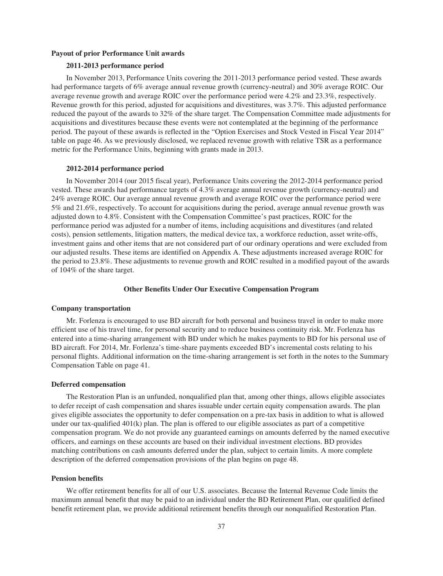### **Payout of prior Performance Unit awards**

## **2011-2013 performance period**

In November 2013, Performance Units covering the 2011-2013 performance period vested. These awards had performance targets of 6% average annual revenue growth (currency-neutral) and 30% average ROIC. Our average revenue growth and average ROIC over the performance period were 4.2% and 23.3%, respectively. Revenue growth for this period, adjusted for acquisitions and divestitures, was 3.7%. This adjusted performance reduced the payout of the awards to 32% of the share target. The Compensation Committee made adjustments for acquisitions and divestitures because these events were not contemplated at the beginning of the performance period. The payout of these awards is reflected in the "Option Exercises and Stock Vested in Fiscal Year 2014" table on page 46. As we previously disclosed, we replaced revenue growth with relative TSR as a performance metric for the Performance Units, beginning with grants made in 2013.

#### **2012-2014 performance period**

In November 2014 (our 2015 fiscal year), Performance Units covering the 2012-2014 performance period vested. These awards had performance targets of 4.3% average annual revenue growth (currency-neutral) and 24% average ROIC. Our average annual revenue growth and average ROIC over the performance period were 5% and 21.6%, respectively. To account for acquisitions during the period, average annual revenue growth was adjusted down to 4.8%. Consistent with the Compensation Committee's past practices, ROIC for the performance period was adjusted for a number of items, including acquisitions and divestitures (and related costs), pension settlements, litigation matters, the medical device tax, a workforce reduction, asset write-offs, investment gains and other items that are not considered part of our ordinary operations and were excluded from our adjusted results. These items are identified on Appendix A. These adjustments increased average ROIC for the period to 23.8%. These adjustments to revenue growth and ROIC resulted in a modified payout of the awards of 104% of the share target.

#### **Other Benefits Under Our Executive Compensation Program**

#### **Company transportation**

Mr. Forlenza is encouraged to use BD aircraft for both personal and business travel in order to make more efficient use of his travel time, for personal security and to reduce business continuity risk. Mr. Forlenza has entered into a time-sharing arrangement with BD under which he makes payments to BD for his personal use of BD aircraft. For 2014, Mr. Forlenza's time-share payments exceeded BD's incremental costs relating to his personal flights. Additional information on the time-sharing arrangement is set forth in the notes to the Summary Compensation Table on page 41.

#### **Deferred compensation**

The Restoration Plan is an unfunded, nonqualified plan that, among other things, allows eligible associates to defer receipt of cash compensation and shares issuable under certain equity compensation awards. The plan gives eligible associates the opportunity to defer compensation on a pre-tax basis in addition to what is allowed under our tax-qualified 401(k) plan. The plan is offered to our eligible associates as part of a competitive compensation program. We do not provide any guaranteed earnings on amounts deferred by the named executive officers, and earnings on these accounts are based on their individual investment elections. BD provides matching contributions on cash amounts deferred under the plan, subject to certain limits. A more complete description of the deferred compensation provisions of the plan begins on page 48.

### **Pension benefits**

We offer retirement benefits for all of our U.S. associates. Because the Internal Revenue Code limits the maximum annual benefit that may be paid to an individual under the BD Retirement Plan, our qualified defined benefit retirement plan, we provide additional retirement benefits through our nonqualified Restoration Plan.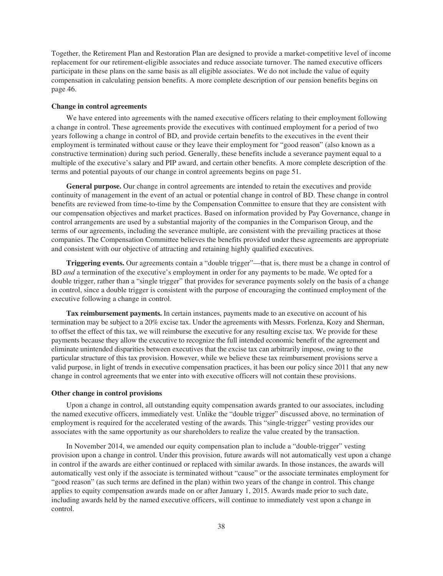Together, the Retirement Plan and Restoration Plan are designed to provide a market-competitive level of income replacement for our retirement-eligible associates and reduce associate turnover. The named executive officers participate in these plans on the same basis as all eligible associates. We do not include the value of equity compensation in calculating pension benefits. A more complete description of our pension benefits begins on page 46.

#### **Change in control agreements**

We have entered into agreements with the named executive officers relating to their employment following a change in control. These agreements provide the executives with continued employment for a period of two years following a change in control of BD, and provide certain benefits to the executives in the event their employment is terminated without cause or they leave their employment for "good reason" (also known as a constructive termination) during such period. Generally, these benefits include a severance payment equal to a multiple of the executive's salary and PIP award, and certain other benefits. A more complete description of the terms and potential payouts of our change in control agreements begins on page 51.

**General purpose.** Our change in control agreements are intended to retain the executives and provide continuity of management in the event of an actual or potential change in control of BD. These change in control benefits are reviewed from time-to-time by the Compensation Committee to ensure that they are consistent with our compensation objectives and market practices. Based on information provided by Pay Governance, change in control arrangements are used by a substantial majority of the companies in the Comparison Group, and the terms of our agreements, including the severance multiple, are consistent with the prevailing practices at those companies. The Compensation Committee believes the benefits provided under these agreements are appropriate and consistent with our objective of attracting and retaining highly qualified executives.

**Triggering events.** Our agreements contain a "double trigger"—that is, there must be a change in control of BD *and* a termination of the executive's employment in order for any payments to be made. We opted for a double trigger, rather than a "single trigger" that provides for severance payments solely on the basis of a change in control, since a double trigger is consistent with the purpose of encouraging the continued employment of the executive following a change in control.

**Tax reimbursement payments.** In certain instances, payments made to an executive on account of his termination may be subject to a 20% excise tax. Under the agreements with Messrs. Forlenza, Kozy and Sherman, to offset the effect of this tax, we will reimburse the executive for any resulting excise tax. We provide for these payments because they allow the executive to recognize the full intended economic benefit of the agreement and eliminate unintended disparities between executives that the excise tax can arbitrarily impose, owing to the particular structure of this tax provision. However, while we believe these tax reimbursement provisions serve a valid purpose, in light of trends in executive compensation practices, it has been our policy since 2011 that any new change in control agreements that we enter into with executive officers will not contain these provisions.

#### **Other change in control provisions**

Upon a change in control, all outstanding equity compensation awards granted to our associates, including the named executive officers, immediately vest. Unlike the "double trigger" discussed above, no termination of employment is required for the accelerated vesting of the awards. This "single-trigger" vesting provides our associates with the same opportunity as our shareholders to realize the value created by the transaction.

In November 2014, we amended our equity compensation plan to include a "double-trigger" vesting provision upon a change in control. Under this provision, future awards will not automatically vest upon a change in control if the awards are either continued or replaced with similar awards. In those instances, the awards will automatically vest only if the associate is terminated without "cause" or the associate terminates employment for "good reason" (as such terms are defined in the plan) within two years of the change in control. This change applies to equity compensation awards made on or after January 1, 2015. Awards made prior to such date, including awards held by the named executive officers, will continue to immediately vest upon a change in control.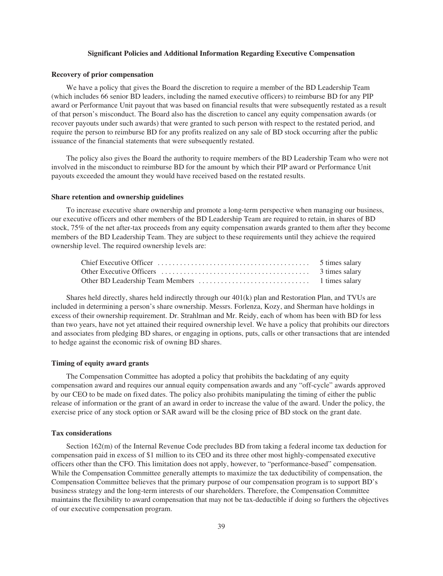### **Significant Policies and Additional Information Regarding Executive Compensation**

#### **Recovery of prior compensation**

We have a policy that gives the Board the discretion to require a member of the BD Leadership Team (which includes 66 senior BD leaders, including the named executive officers) to reimburse BD for any PIP award or Performance Unit payout that was based on financial results that were subsequently restated as a result of that person's misconduct. The Board also has the discretion to cancel any equity compensation awards (or recover payouts under such awards) that were granted to such person with respect to the restated period, and require the person to reimburse BD for any profits realized on any sale of BD stock occurring after the public issuance of the financial statements that were subsequently restated.

The policy also gives the Board the authority to require members of the BD Leadership Team who were not involved in the misconduct to reimburse BD for the amount by which their PIP award or Performance Unit payouts exceeded the amount they would have received based on the restated results.

#### **Share retention and ownership guidelines**

To increase executive share ownership and promote a long-term perspective when managing our business, our executive officers and other members of the BD Leadership Team are required to retain, in shares of BD stock, 75% of the net after-tax proceeds from any equity compensation awards granted to them after they become members of the BD Leadership Team. They are subject to these requirements until they achieve the required ownership level. The required ownership levels are:

Shares held directly, shares held indirectly through our 401(k) plan and Restoration Plan, and TVUs are included in determining a person's share ownership. Messrs. Forlenza, Kozy, and Sherman have holdings in excess of their ownership requirement. Dr. Strahlman and Mr. Reidy, each of whom has been with BD for less than two years, have not yet attained their required ownership level. We have a policy that prohibits our directors and associates from pledging BD shares, or engaging in options, puts, calls or other transactions that are intended to hedge against the economic risk of owning BD shares.

## **Timing of equity award grants**

The Compensation Committee has adopted a policy that prohibits the backdating of any equity compensation award and requires our annual equity compensation awards and any "off-cycle" awards approved by our CEO to be made on fixed dates. The policy also prohibits manipulating the timing of either the public release of information or the grant of an award in order to increase the value of the award. Under the policy, the exercise price of any stock option or SAR award will be the closing price of BD stock on the grant date.

#### **Tax considerations**

Section 162(m) of the Internal Revenue Code precludes BD from taking a federal income tax deduction for compensation paid in excess of \$1 million to its CEO and its three other most highly-compensated executive officers other than the CFO. This limitation does not apply, however, to "performance-based" compensation. While the Compensation Committee generally attempts to maximize the tax deductibility of compensation, the Compensation Committee believes that the primary purpose of our compensation program is to support BD's business strategy and the long-term interests of our shareholders. Therefore, the Compensation Committee maintains the flexibility to award compensation that may not be tax-deductible if doing so furthers the objectives of our executive compensation program.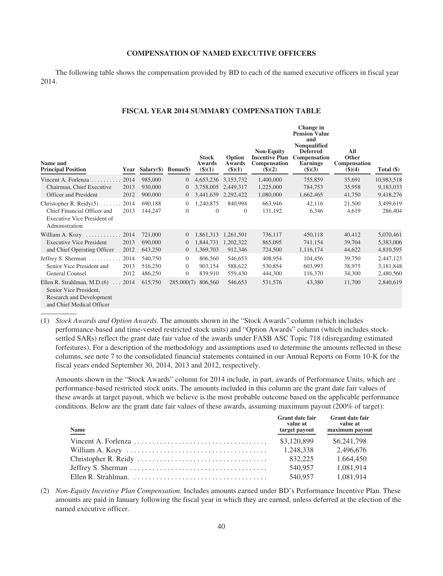### **COMPENSATION OF NAMED EXECUTIVE OFFICERS**

The following table shows the compensation provided by BD to each of the named executive officers in fiscal year 2014.

## **FISCAL YEAR 2014 SUMMARY COMPENSATION TABLE**

| Name and<br><b>Principal Position</b>                                                                                  | Year | Salary $(\$)$ Bonus $(\$)$ |                  | <b>Stock</b><br><b>Awards</b><br>(3)(1) | Option<br><b>Awards</b><br>$($ \$ $)(1)$ | <b>Non-Equity</b><br><b>Incentive Plan</b><br>Compensation<br>$($ \$ $)(2)$ | Change in<br><b>Pension Value</b><br>and<br>Nonqualified<br><b>Deferred</b><br>Compensation<br><b>Earnings</b><br>$\$)(3)$ | All<br>Other<br><b>Compensation</b><br>\$)(4) | Total $(\$)$ |
|------------------------------------------------------------------------------------------------------------------------|------|----------------------------|------------------|-----------------------------------------|------------------------------------------|-----------------------------------------------------------------------------|----------------------------------------------------------------------------------------------------------------------------|-----------------------------------------------|--------------|
| Vincent A. Forlenza $\ldots$                                                                                           | 2014 | 985,000                    | $\overline{0}$   | 4,653,236                               | 3,153,732                                | 1,400,000                                                                   | 755,859                                                                                                                    | 35,691                                        | 10,983,518   |
| Chairman, Chief Executive                                                                                              | 2013 | 930,000                    | $\overline{0}$   | 3,758,005                               | 2,449,317                                | 1,225,000                                                                   | 784,753                                                                                                                    | 35,958                                        | 9,183,033    |
| <b>Officer and President</b>                                                                                           | 2012 | 900,000                    | $\boldsymbol{0}$ | 3,441,639                               | 2,292,422                                | 1,080,000                                                                   | 1,662,465                                                                                                                  | 41,750                                        | 9,418,276    |
| Christopher R. Reidy $(5)$                                                                                             | 2014 | 690.188                    | $\overline{0}$   | 1,240,875                               | 840.994                                  | 663,946                                                                     | 42,116                                                                                                                     | 21,500                                        | 3,499,619    |
| Chief Financial Officer and<br><b>Executive Vice President of</b><br>Administration                                    | 2013 | 144,247                    | $\mathbf{0}$     | $\mathbf{0}$                            | $\overline{0}$                           | 131,192                                                                     | 6,346                                                                                                                      | 4,619                                         | 286,404      |
| William A. Kozy                                                                                                        | 2014 | 721,000                    | $\overline{0}$   | 1,861,313                               | 1,261,501                                | 736,117                                                                     | 450,118                                                                                                                    | 40,412                                        | 5,070,461    |
| <b>Executive Vice President</b>                                                                                        | 2013 | 690,000                    | $\theta$         | 1,844,731                               | 1,202,322                                | 865,095                                                                     | 741,154                                                                                                                    | 39,704                                        | 5,383,006    |
| and Chief Operating Officer                                                                                            | 2012 | 643,250                    | $\theta$         | 1,369,703                               | 912,346                                  | 724,500                                                                     | 1,116,174                                                                                                                  | 44,622                                        | 4,810,595    |
| Jeffrey S. Sherman                                                                                                     | 2014 | 540,750                    | $\overline{0}$   | 806,560                                 | 546,653                                  | 408,954                                                                     | 104,456                                                                                                                    | 39,750                                        | 2,447,123    |
| Senior Vice President and                                                                                              | 2013 | 516,250                    | $\mathbf{0}$     | 903,154                                 | 588,622                                  | 530,854                                                                     | 603,993                                                                                                                    | 38,975                                        | 3,181,848    |
| General Counsel                                                                                                        | 2012 | 486,250                    | $\mathbf{0}$     | 839,910                                 | 559,430                                  | 444,300                                                                     | 116,370                                                                                                                    | 34,300                                        | 2,480,560    |
| Ellen R. Strahlman, M.D. $(6)$ 2014<br>Senior Vice President,<br>Research and Development<br>and Chief Medical Officer |      | 615,750                    | 285,000(7)       | 806,560                                 | 546,653                                  | 531,576                                                                     | 43,380                                                                                                                     | 11,700                                        | 2,840,619    |

(1) *Stock Awards and Option Awards.* The amounts shown in the "Stock Awards" column (which includes performance-based and time-vested restricted stock units) and "Option Awards" column (which includes stocksettled SARs) reflect the grant date fair value of the awards under FASB ASC Topic 718 (disregarding estimated forfeitures). For a description of the methodology and assumptions used to determine the amounts reflected in these columns, see note 7 to the consolidated financial statements contained in our Annual Reports on Form 10-K for the fiscal years ended September 30, 2014, 2013 and 2012, respectively.

Amounts shown in the "Stock Awards" column for 2014 include, in part, awards of Performance Units, which are performance-based restricted stock units. The amounts included in this column are the grant date fair values of these awards at target payout, which we believe is the most probable outcome based on the applicable performance conditions. Below are the grant date fair values of these awards, assuming maximum payout (200% of target):

| <b>Name</b> | <b>Grant date fair</b><br>value at<br>target payout | <b>Grant date fair</b><br>value at<br>maximum payout |
|-------------|-----------------------------------------------------|------------------------------------------------------|
|             | \$3,120,899                                         | \$6,241,798                                          |
|             | 1.248.338                                           | 2.496.676                                            |
|             | 832.225                                             | 1.664.450                                            |
|             | 540,957                                             | 1.081.914                                            |
|             | 540,957                                             | 1,081,914                                            |

(2) *Non-Equity Incentive Plan Compensation.* Includes amounts earned under BD's Performance Incentive Plan. These amounts are paid in January following the fiscal year in which they are earned, unless deferred at the election of the named executive officer.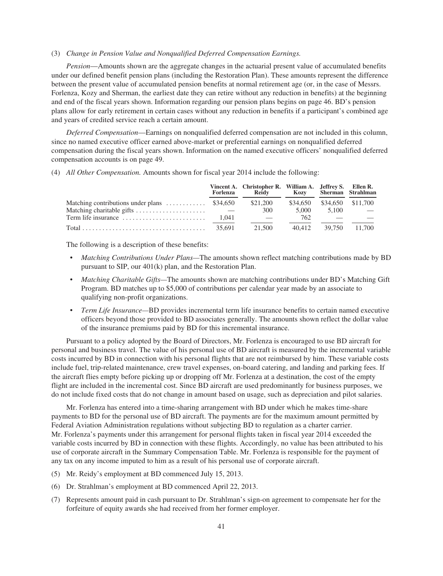#### (3) *Change in Pension Value and Nonqualified Deferred Compensation Earnings.*

*Pension*—Amounts shown are the aggregate changes in the actuarial present value of accumulated benefits under our defined benefit pension plans (including the Restoration Plan). These amounts represent the difference between the present value of accumulated pension benefits at normal retirement age (or, in the case of Messrs. Forlenza, Kozy and Sherman, the earliest date they can retire without any reduction in benefits) at the beginning and end of the fiscal years shown. Information regarding our pension plans begins on page 46. BD's pension plans allow for early retirement in certain cases without any reduction in benefits if a participant's combined age and years of credited service reach a certain amount.

*Deferred Compensation*—Earnings on nonqualified deferred compensation are not included in this column, since no named executive officer earned above-market or preferential earnings on nonqualified deferred compensation during the fiscal years shown. Information on the named executive officers' nonqualified deferred compensation accounts is on page 49.

(4) *All Other Compensation.* Amounts shown for fiscal year 2014 include the following:

|                                                                                      | Forlenza | Vincent A. Christopher R. William A. Jeffrey S. Ellen R.<br>Reidy |          |        | Kozy Sherman Strahlman |
|--------------------------------------------------------------------------------------|----------|-------------------------------------------------------------------|----------|--------|------------------------|
| Matching contributions under plans $\dots \dots \dots$ \$34,650                      |          | \$21,200                                                          | \$34,650 |        | \$34,650 \$11,700      |
| Matching charitable gifts                                                            |          | 300                                                               | 5.000    | 5.100  |                        |
| Term life insurance                                                                  | 1.041    |                                                                   | 762      |        |                        |
| Total $\ldots \ldots \ldots \ldots \ldots \ldots \ldots \ldots \ldots \ldots$ 35.691 |          | 21.500                                                            | 40.412   | 39.750 | 11.700                 |

The following is a description of these benefits:

- *Matching Contributions Under Plans—*The amounts shown reflect matching contributions made by BD pursuant to SIP, our 401(k) plan, and the Restoration Plan.
- *Matching Charitable Gifts—*The amounts shown are matching contributions under BD's Matching Gift Program. BD matches up to \$5,000 of contributions per calendar year made by an associate to qualifying non-profit organizations.
- *Term Life Insurance—*BD provides incremental term life insurance benefits to certain named executive officers beyond those provided to BD associates generally. The amounts shown reflect the dollar value of the insurance premiums paid by BD for this incremental insurance.

Pursuant to a policy adopted by the Board of Directors, Mr. Forlenza is encouraged to use BD aircraft for personal and business travel. The value of his personal use of BD aircraft is measured by the incremental variable costs incurred by BD in connection with his personal flights that are not reimbursed by him. These variable costs include fuel, trip-related maintenance, crew travel expenses, on-board catering, and landing and parking fees. If the aircraft flies empty before picking up or dropping off Mr. Forlenza at a destination, the cost of the empty flight are included in the incremental cost. Since BD aircraft are used predominantly for business purposes, we do not include fixed costs that do not change in amount based on usage, such as depreciation and pilot salaries.

Mr. Forlenza has entered into a time-sharing arrangement with BD under which he makes time-share payments to BD for the personal use of BD aircraft. The payments are for the maximum amount permitted by Federal Aviation Administration regulations without subjecting BD to regulation as a charter carrier. Mr. Forlenza's payments under this arrangement for personal flights taken in fiscal year 2014 exceeded the variable costs incurred by BD in connection with these flights. Accordingly, no value has been attributed to his use of corporate aircraft in the Summary Compensation Table. Mr. Forlenza is responsible for the payment of any tax on any income imputed to him as a result of his personal use of corporate aircraft.

- (5) Mr. Reidy's employment at BD commenced July 15, 2013.
- (6) Dr. Strahlman's employment at BD commenced April 22, 2013.
- (7) Represents amount paid in cash pursuant to Dr. Strahlman's sign-on agreement to compensate her for the forfeiture of equity awards she had received from her former employer.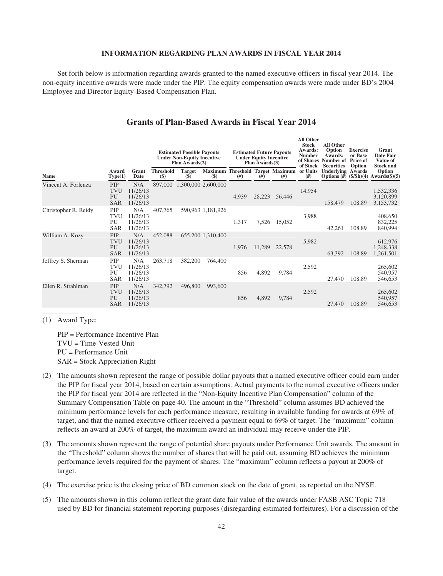## **INFORMATION REGARDING PLAN AWARDS IN FISCAL YEAR 2014**

Set forth below is information regarding awards granted to the named executive officers in fiscal year 2014. The non-equity incentive awards were made under the PIP. The equity compensation awards were made under BD's 2004 Employee and Director Equity-Based Compensation Plan.

## **Grants of Plan-Based Awards in Fiscal Year 2014**

|                      |                                       | <b>Estimated Possible Payouts</b><br><b>Under Non-Equity Incentive</b><br>Plan Awards(2) |                         |                        | <b>Estimated Future Payouts</b><br><b>Under Equity Incentive</b><br>Plan Awards(3) |       |        | All Other<br><b>Stock</b><br>Awards:<br><b>Number</b><br>of Shares<br>of Stock | All Other<br>Option<br>Awards:<br>Number of<br><b>Securities</b> | <b>Exercise</b><br>or Base<br><b>Price of</b><br>Option                     | Grant<br>Date Fair<br>Value of<br><b>Stock and</b> |                                     |
|----------------------|---------------------------------------|------------------------------------------------------------------------------------------|-------------------------|------------------------|------------------------------------------------------------------------------------|-------|--------|--------------------------------------------------------------------------------|------------------------------------------------------------------|-----------------------------------------------------------------------------|----------------------------------------------------|-------------------------------------|
| <b>Name</b>          | Award<br>Type(1)                      | Grant<br>Date                                                                            | <b>Threshold</b><br>\$) | <b>Target</b><br>$($)$ | $($)$                                                                              | #)    | #)     | Maximum Threshold Target Maximum<br>#)                                         | or Units<br>(f#)                                                 | <b>Underlying Awards</b><br>Options $(\#)$ $(\frac{\pi}{5} / \text{Sh})(4)$ |                                                    | Option<br>Awards $(\$)(5)$          |
| Vincent A. Forlenza  | PIP<br>TVU<br>PU<br><b>SAR</b>        | N/A<br>11/26/13<br>11/26/13<br>11/26/13                                                  | 897,000                 |                        | 1,300,000 2,600,000                                                                | 4,939 | 28,223 | 56,446                                                                         | 14,954                                                           | 158,479                                                                     | 108.89                                             | 1,532,336<br>3,120,899<br>3,153,732 |
| Christopher R. Reidy | PIP<br>TVU<br>PU<br><b>SAR</b>        | N/A<br>11/26/13<br>11/26/13<br>11/26/13                                                  | 407,765                 |                        | 590,963 1,181,926                                                                  | 1,317 | 7,526  | 15,052                                                                         | 3,988                                                            | 42,261                                                                      | 108.89                                             | 408,650<br>832,225<br>840,994       |
| William A. Kozy      | PIP<br><b>TVU</b><br>PU<br><b>SAR</b> | N/A<br>11/26/13<br>11/26/13<br>11/26/13                                                  | 452,088                 |                        | 655,200 1,310,400                                                                  | 1,976 | 11,289 | 22,578                                                                         | 5,982                                                            | 63,392                                                                      | 108.89                                             | 612,976<br>1,248,338<br>1,261,501   |
| Jeffrey S. Sherman   | PIP<br>TVU<br>PU<br><b>SAR</b>        | N/A<br>11/26/13<br>11/26/13<br>11/26/13                                                  | 263,718                 | 382,200                | 764,400                                                                            | 856   | 4,892  | 9,784                                                                          | 2,592                                                            | 27,470                                                                      | 108.89                                             | 265,602<br>540,957<br>546,653       |
| Ellen R. Strahlman   | PIP<br><b>TVU</b><br>PU<br><b>SAR</b> | N/A<br>11/26/13<br>11/26/13<br>11/26/13                                                  | 342,792                 | 496,800                | 993,600                                                                            | 856   | 4,892  | 9,784                                                                          | 2,592                                                            | 27,470                                                                      | 108.89                                             | 265,602<br>540,957<br>546,653       |
|                      |                                       |                                                                                          |                         |                        |                                                                                    |       |        |                                                                                |                                                                  |                                                                             |                                                    |                                     |

(1) Award Type:

PIP = Performance Incentive Plan TVU = Time-Vested Unit PU = Performance Unit SAR = Stock Appreciation Right

- (2) The amounts shown represent the range of possible dollar payouts that a named executive officer could earn under the PIP for fiscal year 2014, based on certain assumptions. Actual payments to the named executive officers under the PIP for fiscal year 2014 are reflected in the "Non-Equity Incentive Plan Compensation" column of the Summary Compensation Table on page 40. The amount in the "Threshold" column assumes BD achieved the minimum performance levels for each performance measure, resulting in available funding for awards at 69% of target, and that the named executive officer received a payment equal to 69% of target. The "maximum" column reflects an award at 200% of target, the maximum award an individual may receive under the PIP.
- (3) The amounts shown represent the range of potential share payouts under Performance Unit awards. The amount in the "Threshold" column shows the number of shares that will be paid out, assuming BD achieves the minimum performance levels required for the payment of shares. The "maximum" column reflects a payout at 200% of target.
- (4) The exercise price is the closing price of BD common stock on the date of grant, as reported on the NYSE.
- (5) The amounts shown in this column reflect the grant date fair value of the awards under FASB ASC Topic 718 used by BD for financial statement reporting purposes (disregarding estimated forfeitures). For a discussion of the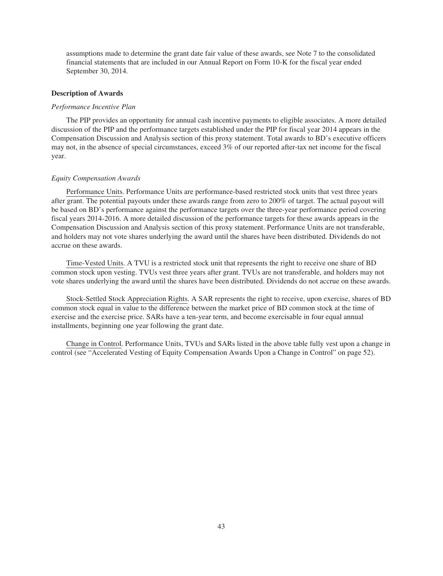assumptions made to determine the grant date fair value of these awards, see Note 7 to the consolidated financial statements that are included in our Annual Report on Form 10-K for the fiscal year ended September 30, 2014.

### **Description of Awards**

#### *Performance Incentive Plan*

The PIP provides an opportunity for annual cash incentive payments to eligible associates. A more detailed discussion of the PIP and the performance targets established under the PIP for fiscal year 2014 appears in the Compensation Discussion and Analysis section of this proxy statement. Total awards to BD's executive officers may not, in the absence of special circumstances, exceed 3% of our reported after-tax net income for the fiscal year.

#### *Equity Compensation Awards*

Performance Units. Performance Units are performance-based restricted stock units that vest three years after grant. The potential payouts under these awards range from zero to 200% of target. The actual payout will be based on BD's performance against the performance targets over the three-year performance period covering fiscal years 2014-2016. A more detailed discussion of the performance targets for these awards appears in the Compensation Discussion and Analysis section of this proxy statement. Performance Units are not transferable, and holders may not vote shares underlying the award until the shares have been distributed. Dividends do not accrue on these awards.

Time-Vested Units. A TVU is a restricted stock unit that represents the right to receive one share of BD common stock upon vesting. TVUs vest three years after grant. TVUs are not transferable, and holders may not vote shares underlying the award until the shares have been distributed. Dividends do not accrue on these awards.

Stock-Settled Stock Appreciation Rights. A SAR represents the right to receive, upon exercise, shares of BD common stock equal in value to the difference between the market price of BD common stock at the time of exercise and the exercise price. SARs have a ten-year term, and become exercisable in four equal annual installments, beginning one year following the grant date.

Change in Control. Performance Units, TVUs and SARs listed in the above table fully vest upon a change in control (see "Accelerated Vesting of Equity Compensation Awards Upon a Change in Control" on page 52).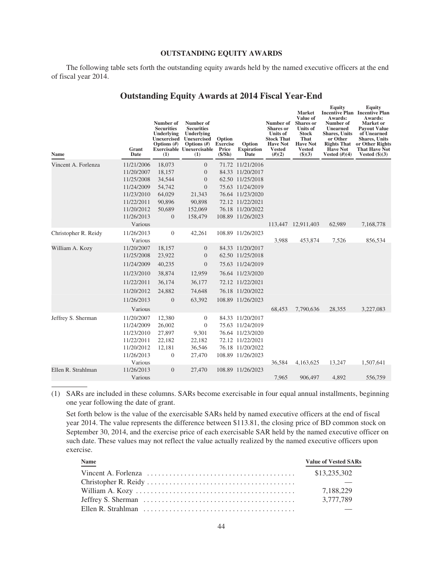#### **OUTSTANDING EQUITY AWARDS**

The following table sets forth the outstanding equity awards held by the named executive officers at the end of fiscal year 2014.

|  | <b>Outstanding Equity Awards at 2014 Fiscal Year-End</b> |
|--|----------------------------------------------------------|
|--|----------------------------------------------------------|

| <b>Name</b>          | Grant<br>Date         | Number of<br><b>Securities</b><br>Underlying<br><b>Unexercised</b><br>Options $(H)$<br>(1) | Number of<br><b>Securities</b><br>Underlying<br>Unexercised<br>Options $(H)$<br><b>Exercisable Unexercisable</b><br>(1) | Option<br><b>Exercise</b><br>Price<br>(S/Sh) | Option<br><b>Expiration</b><br>Date | Number of<br><b>Shares</b> or<br><b>Units of</b><br><b>Stock That</b><br><b>Have Not</b><br><b>Vested</b><br>(H)(2) | <b>Market</b><br>Value of<br><b>Shares</b> or<br><b>Units of</b><br>Stock<br>That<br><b>Have Not</b><br><b>Vested</b><br>$(\$)(3)$ | Equity<br>Awards:<br>Number of<br><b>Unearned</b><br><b>Shares</b> , Units<br>or Other<br><b>Rights That</b><br><b>Have Not</b><br>Vested $(H)(4)$ | Equity<br><b>Incentive Plan Incentive Plan</b><br>Awards:<br>Market or<br><b>Payout Value</b><br>of Unearned<br><b>Shares</b> , Units<br>or Other Rights<br><b>That Have Not</b><br>Vested $(\text{$}5)(3)$ |
|----------------------|-----------------------|--------------------------------------------------------------------------------------------|-------------------------------------------------------------------------------------------------------------------------|----------------------------------------------|-------------------------------------|---------------------------------------------------------------------------------------------------------------------|------------------------------------------------------------------------------------------------------------------------------------|----------------------------------------------------------------------------------------------------------------------------------------------------|-------------------------------------------------------------------------------------------------------------------------------------------------------------------------------------------------------------|
| Vincent A. Forlenza  | 11/21/2006            | 18,073                                                                                     | $\overline{0}$                                                                                                          |                                              | 71.72 11/21/2016                    |                                                                                                                     |                                                                                                                                    |                                                                                                                                                    |                                                                                                                                                                                                             |
|                      | 11/20/2007            | 18,157                                                                                     | $\overline{0}$                                                                                                          |                                              | 84.33 11/20/2017                    |                                                                                                                     |                                                                                                                                    |                                                                                                                                                    |                                                                                                                                                                                                             |
|                      | 11/25/2008            | 34,544                                                                                     | $\overline{0}$                                                                                                          |                                              | 62.50 11/25/2018                    |                                                                                                                     |                                                                                                                                    |                                                                                                                                                    |                                                                                                                                                                                                             |
|                      | 11/24/2009            | 54,742                                                                                     | $\overline{0}$                                                                                                          |                                              | 75.63 11/24/2019                    |                                                                                                                     |                                                                                                                                    |                                                                                                                                                    |                                                                                                                                                                                                             |
|                      | 11/23/2010            | 64,029                                                                                     | 21,343                                                                                                                  |                                              | 76.64 11/23/2020                    |                                                                                                                     |                                                                                                                                    |                                                                                                                                                    |                                                                                                                                                                                                             |
|                      | 11/22/2011            | 90,896                                                                                     | 90.898                                                                                                                  |                                              | 72.12 11/22/2021                    |                                                                                                                     |                                                                                                                                    |                                                                                                                                                    |                                                                                                                                                                                                             |
|                      | 11/20/2012            | 50,689                                                                                     | 152,069                                                                                                                 |                                              | 76.18 11/20/2022                    |                                                                                                                     |                                                                                                                                    |                                                                                                                                                    |                                                                                                                                                                                                             |
|                      | 11/26/2013            | $\mathbf{0}$                                                                               | 158,479                                                                                                                 |                                              | 108.89 11/26/2023                   |                                                                                                                     |                                                                                                                                    |                                                                                                                                                    |                                                                                                                                                                                                             |
|                      | Various               |                                                                                            |                                                                                                                         |                                              |                                     |                                                                                                                     | 113,447 12,911,403                                                                                                                 | 62,989                                                                                                                                             | 7,168,778                                                                                                                                                                                                   |
| Christopher R. Reidy | 11/26/2013<br>Various | $\theta$                                                                                   | 42,261                                                                                                                  |                                              | 108.89 11/26/2023                   | 3,988                                                                                                               | 453,874                                                                                                                            | 7,526                                                                                                                                              | 856,534                                                                                                                                                                                                     |
| William A. Kozy      | 11/20/2007            | 18,157                                                                                     | $\overline{0}$                                                                                                          |                                              | 84.33 11/20/2017                    |                                                                                                                     |                                                                                                                                    |                                                                                                                                                    |                                                                                                                                                                                                             |
|                      | 11/25/2008            | 23,922                                                                                     | $\overline{0}$                                                                                                          |                                              | 62.50 11/25/2018                    |                                                                                                                     |                                                                                                                                    |                                                                                                                                                    |                                                                                                                                                                                                             |
|                      | 11/24/2009            | 40,235                                                                                     | $\Omega$                                                                                                                |                                              | 75.63 11/24/2019                    |                                                                                                                     |                                                                                                                                    |                                                                                                                                                    |                                                                                                                                                                                                             |
|                      | 11/23/2010            | 38,874                                                                                     | 12,959                                                                                                                  |                                              | 76.64 11/23/2020                    |                                                                                                                     |                                                                                                                                    |                                                                                                                                                    |                                                                                                                                                                                                             |
|                      | 11/22/2011            | 36,174                                                                                     | 36,177                                                                                                                  |                                              | 72.12 11/22/2021                    |                                                                                                                     |                                                                                                                                    |                                                                                                                                                    |                                                                                                                                                                                                             |
|                      | 11/20/2012            | 24,882                                                                                     | 74,648                                                                                                                  |                                              | 76.18 11/20/2022                    |                                                                                                                     |                                                                                                                                    |                                                                                                                                                    |                                                                                                                                                                                                             |
|                      | 11/26/2013            | $\overline{0}$                                                                             | 63,392                                                                                                                  |                                              | 108.89 11/26/2023                   |                                                                                                                     |                                                                                                                                    |                                                                                                                                                    |                                                                                                                                                                                                             |
|                      | Various               |                                                                                            |                                                                                                                         |                                              |                                     | 68,453                                                                                                              | 7,790,636                                                                                                                          | 28,355                                                                                                                                             | 3,227,083                                                                                                                                                                                                   |
| Jeffrey S. Sherman   | 11/20/2007            | 12,380                                                                                     | $\mathbf{0}$                                                                                                            |                                              | 84.33 11/20/2017                    |                                                                                                                     |                                                                                                                                    |                                                                                                                                                    |                                                                                                                                                                                                             |
|                      | 11/24/2009            | 26,002                                                                                     | $\Omega$                                                                                                                |                                              | 75.63 11/24/2019                    |                                                                                                                     |                                                                                                                                    |                                                                                                                                                    |                                                                                                                                                                                                             |
|                      | 11/23/2010            | 27,897                                                                                     | 9,301                                                                                                                   |                                              | 76.64 11/23/2020                    |                                                                                                                     |                                                                                                                                    |                                                                                                                                                    |                                                                                                                                                                                                             |
|                      | 11/22/2011            | 22,182                                                                                     | 22,182                                                                                                                  |                                              | 72.12 11/22/2021                    |                                                                                                                     |                                                                                                                                    |                                                                                                                                                    |                                                                                                                                                                                                             |
|                      | 11/20/2012            | 12,181                                                                                     | 36,546                                                                                                                  |                                              | 76.18 11/20/2022                    |                                                                                                                     |                                                                                                                                    |                                                                                                                                                    |                                                                                                                                                                                                             |
|                      | 11/26/2013<br>Various | $\mathbf{0}$                                                                               | 27,470                                                                                                                  |                                              | 108.89 11/26/2023                   | 36,584                                                                                                              | 4,163,625                                                                                                                          | 13,247                                                                                                                                             | 1,507,641                                                                                                                                                                                                   |
| Ellen R. Strahlman   | 11/26/2013            | $\overline{0}$                                                                             | 27,470                                                                                                                  |                                              | 108.89 11/26/2023                   |                                                                                                                     |                                                                                                                                    |                                                                                                                                                    |                                                                                                                                                                                                             |
|                      | Various               |                                                                                            |                                                                                                                         |                                              |                                     | 7,965                                                                                                               | 906,497                                                                                                                            | 4,892                                                                                                                                              | 556,759                                                                                                                                                                                                     |

(1) SARs are included in these columns. SARs become exercisable in four equal annual installments, beginning one year following the date of grant.

Set forth below is the value of the exercisable SARs held by named executive officers at the end of fiscal year 2014. The value represents the difference between \$113.81, the closing price of BD common stock on September 30, 2014, and the exercise price of each exercisable SAR held by the named executive officer on such date. These values may not reflect the value actually realized by the named executive officers upon exercise.

| <b>Name</b><br>المستنسب | <b>Value of Vested SARs</b> |
|-------------------------|-----------------------------|
|                         |                             |
|                         |                             |
|                         | 7.188.229                   |
|                         | 3.777.789                   |
|                         |                             |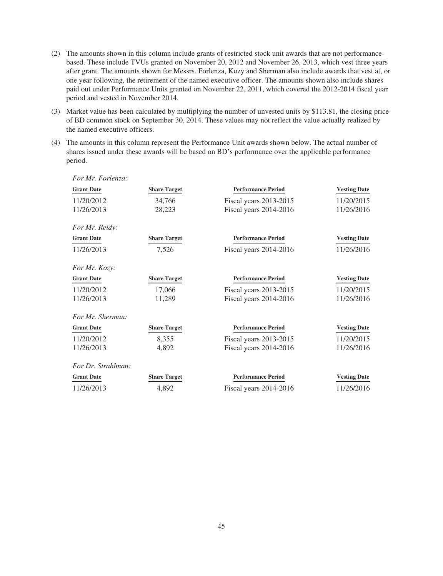- (2) The amounts shown in this column include grants of restricted stock unit awards that are not performancebased. These include TVUs granted on November 20, 2012 and November 26, 2013, which vest three years after grant. The amounts shown for Messrs. Forlenza, Kozy and Sherman also include awards that vest at, or one year following, the retirement of the named executive officer. The amounts shown also include shares paid out under Performance Units granted on November 22, 2011, which covered the 2012-2014 fiscal year period and vested in November 2014.
- (3) Market value has been calculated by multiplying the number of unvested units by \$113.81, the closing price of BD common stock on September 30, 2014. These values may not reflect the value actually realized by the named executive officers.
- (4) The amounts in this column represent the Performance Unit awards shown below. The actual number of shares issued under these awards will be based on BD's performance over the applicable performance period.

| For Mr. Forlenza:    |                     |                           |                     |
|----------------------|---------------------|---------------------------|---------------------|
| <b>Grant Date</b>    | <b>Share Target</b> | <b>Performance Period</b> | <b>Vesting Date</b> |
| 11/20/2012           | 34,766              | Fiscal years 2013-2015    | 11/20/2015          |
| 11/26/2013           | 28,223              | Fiscal years 2014-2016    | 11/26/2016          |
| For Mr. Reidy:       |                     |                           |                     |
| <b>Grant Date</b>    | <b>Share Target</b> | <b>Performance Period</b> | <b>Vesting Date</b> |
| 11/26/2013           | 7,526               | Fiscal years $2014-2016$  | 11/26/2016          |
|                      |                     |                           |                     |
| <i>For Mr. Kozy:</i> |                     |                           |                     |
| <b>Grant Date</b>    | <b>Share Target</b> | <b>Performance Period</b> | <b>Vesting Date</b> |
| 11/20/2012           | 17,066              | Fiscal years 2013-2015    | 11/20/2015          |
| 11/26/2013           | 11,289              | Fiscal years $2014-2016$  | 11/26/2016          |
| For Mr. Sherman:     |                     |                           |                     |
| <b>Grant Date</b>    | <b>Share Target</b> | <b>Performance Period</b> | <b>Vesting Date</b> |
| 11/20/2012           | 8,355               | Fiscal years 2013-2015    | 11/20/2015          |
| 11/26/2013           | 4,892               | Fiscal years 2014-2016    | 11/26/2016          |
| For Dr. Strahlman:   |                     |                           |                     |
| <b>Grant Date</b>    | <b>Share Target</b> | <b>Performance Period</b> | <b>Vesting Date</b> |
| 11/26/2013           | 4,892               | Fiscal years $2014-2016$  | 11/26/2016          |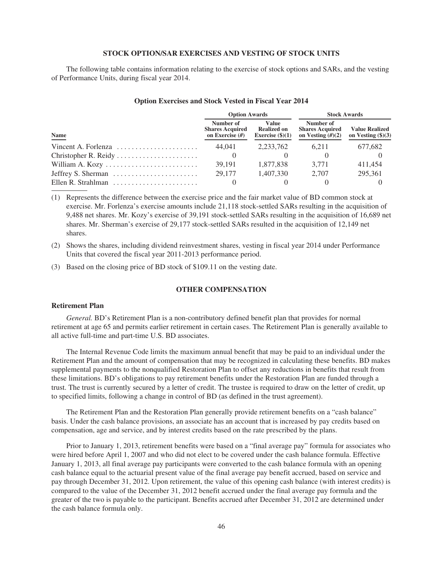### **STOCK OPTION/SAR EXERCISES AND VESTING OF STOCK UNITS**

The following table contains information relating to the exercise of stock options and SARs, and the vesting of Performance Units, during fiscal year 2014.

|                                                                | <b>Option Awards</b>                                     |                                                   | <b>Stock Awards</b>                                        |                                                      |  |
|----------------------------------------------------------------|----------------------------------------------------------|---------------------------------------------------|------------------------------------------------------------|------------------------------------------------------|--|
| <b>Name</b>                                                    | Number of<br><b>Shares Acquired</b><br>on Exercise $(H)$ | Value<br><b>Realized on</b><br>Exercise $(\$)(1)$ | Number of<br><b>Shares Acquired</b><br>on Vesting $(H)(2)$ | <b>Value Realized</b><br>on Vesting $(\text{$}5)(3)$ |  |
| Vincent A. Forlenza                                            | 44.041                                                   | 2.233.762                                         | 6.211                                                      | 677,682                                              |  |
| Christopher R. Reidy $\dots \dots \dots \dots \dots \dots$     |                                                          |                                                   |                                                            |                                                      |  |
|                                                                | 39.191                                                   | 1.877.838                                         | 3.771                                                      | 411.454                                              |  |
| Jeffrey S. Sherman $\dots \dots \dots \dots \dots \dots \dots$ | 29,177                                                   | 1.407.330                                         | 2.707                                                      | 295.361                                              |  |
|                                                                |                                                          |                                                   |                                                            |                                                      |  |

#### **Option Exercises and Stock Vested in Fiscal Year 2014**

(1) Represents the difference between the exercise price and the fair market value of BD common stock at exercise. Mr. Forlenza's exercise amounts include 21,118 stock-settled SARs resulting in the acquisition of 9,488 net shares. Mr. Kozy's exercise of 39,191 stock-settled SARs resulting in the acquisition of 16,689 net shares. Mr. Sherman's exercise of 29,177 stock-settled SARs resulted in the acquisition of 12,149 net shares.

(2) Shows the shares, including dividend reinvestment shares, vesting in fiscal year 2014 under Performance Units that covered the fiscal year 2011-2013 performance period.

(3) Based on the closing price of BD stock of \$109.11 on the vesting date.

## **OTHER COMPENSATION**

### **Retirement Plan**

*General.* BD's Retirement Plan is a non-contributory defined benefit plan that provides for normal retirement at age 65 and permits earlier retirement in certain cases. The Retirement Plan is generally available to all active full-time and part-time U.S. BD associates.

The Internal Revenue Code limits the maximum annual benefit that may be paid to an individual under the Retirement Plan and the amount of compensation that may be recognized in calculating these benefits. BD makes supplemental payments to the nonqualified Restoration Plan to offset any reductions in benefits that result from these limitations. BD's obligations to pay retirement benefits under the Restoration Plan are funded through a trust. The trust is currently secured by a letter of credit. The trustee is required to draw on the letter of credit, up to specified limits, following a change in control of BD (as defined in the trust agreement).

The Retirement Plan and the Restoration Plan generally provide retirement benefits on a "cash balance" basis. Under the cash balance provisions, an associate has an account that is increased by pay credits based on compensation, age and service, and by interest credits based on the rate prescribed by the plans.

Prior to January 1, 2013, retirement benefits were based on a "final average pay" formula for associates who were hired before April 1, 2007 and who did not elect to be covered under the cash balance formula. Effective January 1, 2013, all final average pay participants were converted to the cash balance formula with an opening cash balance equal to the actuarial present value of the final average pay benefit accrued, based on service and pay through December 31, 2012. Upon retirement, the value of this opening cash balance (with interest credits) is compared to the value of the December 31, 2012 benefit accrued under the final average pay formula and the greater of the two is payable to the participant. Benefits accrued after December 31, 2012 are determined under the cash balance formula only.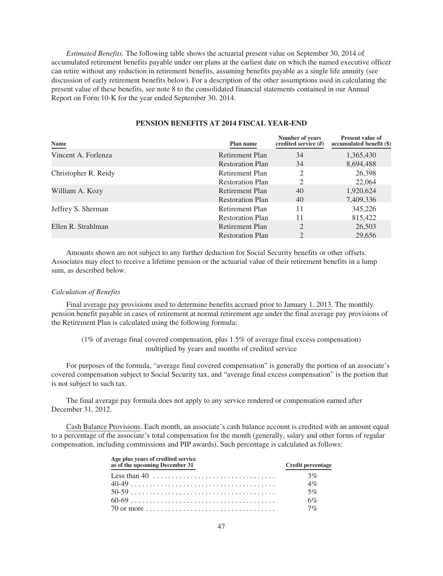*Estimated Benefits.* The following table shows the actuarial present value on September 30, 2014 of accumulated retirement benefits payable under our plans at the earliest date on which the named executive officer can retire without any reduction in retirement benefits, assuming benefits payable as a single life annuity (see discussion of early retirement benefits below). For a description of the other assumptions used in calculating the present value of these benefits, see note 8 to the consolidated financial statements contained in our Annual Report on Form 10-K for the year ended September 30, 2014.

| Name                 | Plan name               | Number of years<br>credited service $(H)$ | <b>Present value of</b><br>accumulated benefit (\$) |
|----------------------|-------------------------|-------------------------------------------|-----------------------------------------------------|
| Vincent A. Forlenza  | Retirement Plan         | 34                                        | 1,365,430                                           |
|                      | <b>Restoration Plan</b> | 34                                        | 8,694,488                                           |
| Christopher R. Reidy | Retirement Plan         |                                           | 26,398                                              |
|                      | <b>Restoration Plan</b> |                                           | 22,064                                              |
| William A. Kozy      | Retirement Plan         | 40                                        | 1,920,624                                           |
|                      | <b>Restoration Plan</b> | 40                                        | 7,409,336                                           |
| Jeffrey S. Sherman   | Retirement Plan         | 11                                        | 345,226                                             |
|                      | <b>Restoration Plan</b> | 11                                        | 815,422                                             |
| Ellen R. Strahlman   | Retirement Plan         |                                           | 26,503                                              |
|                      | <b>Restoration Plan</b> |                                           | 29,656                                              |

## **PENSION BENEFITS AT 2014 FISCAL YEAR-END**

Amounts shown are not subject to any further deduction for Social Security benefits or other offsets. Associates may elect to receive a lifetime pension or the actuarial value of their retirement benefits in a lump sum, as described below.

## *Calculation of Benefits*

Final average pay provisions used to determine benefits accrued prior to January 1, 2013. The monthly pension benefit payable in cases of retirement at normal retirement age under the final average pay provisions of the Retirement Plan is calculated using the following formula:

## (1% of average final covered compensation, plus 1.5% of average final excess compensation) multiplied by years and months of credited service

For purposes of the formula, "average final covered compensation" is generally the portion of an associate's covered compensation subject to Social Security tax, and "average final excess compensation" is the portion that is not subject to such tax.

The final average pay formula does not apply to any service rendered or compensation earned after December 31, 2012.

Cash Balance Provisions. Each month, an associate's cash balance account is credited with an amount equal to a percentage of the associate's total compensation for the month (generally, salary and other forms of regular compensation, including commissions and PIP awards). Such percentage is calculated as follows:

| Age plus vears of credited service<br>as of the upcoming December 31                                 | <b>Credit percentage</b> |
|------------------------------------------------------------------------------------------------------|--------------------------|
|                                                                                                      | 3%                       |
|                                                                                                      | 4%                       |
|                                                                                                      | $5\%$                    |
|                                                                                                      | 6%                       |
| 70 or more $\ldots$ $\ldots$ $\ldots$ $\ldots$ $\ldots$ $\ldots$ $\ldots$ $\ldots$ $\ldots$ $\ldots$ | 7%                       |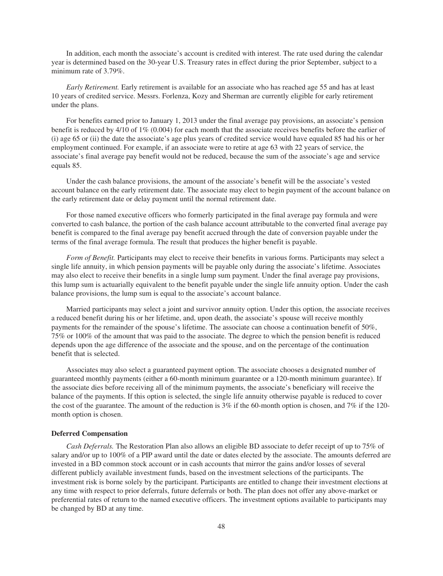In addition, each month the associate's account is credited with interest. The rate used during the calendar year is determined based on the 30-year U.S. Treasury rates in effect during the prior September, subject to a minimum rate of 3.79%.

*Early Retirement.* Early retirement is available for an associate who has reached age 55 and has at least 10 years of credited service. Messrs. Forlenza, Kozy and Sherman are currently eligible for early retirement under the plans.

For benefits earned prior to January 1, 2013 under the final average pay provisions, an associate's pension benefit is reduced by 4/10 of 1% (0.004) for each month that the associate receives benefits before the earlier of (i) age 65 or (ii) the date the associate's age plus years of credited service would have equaled 85 had his or her employment continued. For example, if an associate were to retire at age 63 with 22 years of service, the associate's final average pay benefit would not be reduced, because the sum of the associate's age and service equals 85.

Under the cash balance provisions, the amount of the associate's benefit will be the associate's vested account balance on the early retirement date. The associate may elect to begin payment of the account balance on the early retirement date or delay payment until the normal retirement date.

For those named executive officers who formerly participated in the final average pay formula and were converted to cash balance, the portion of the cash balance account attributable to the converted final average pay benefit is compared to the final average pay benefit accrued through the date of conversion payable under the terms of the final average formula. The result that produces the higher benefit is payable.

*Form of Benefit.* Participants may elect to receive their benefits in various forms. Participants may select a single life annuity, in which pension payments will be payable only during the associate's lifetime. Associates may also elect to receive their benefits in a single lump sum payment. Under the final average pay provisions, this lump sum is actuarially equivalent to the benefit payable under the single life annuity option. Under the cash balance provisions, the lump sum is equal to the associate's account balance.

Married participants may select a joint and survivor annuity option. Under this option, the associate receives a reduced benefit during his or her lifetime, and, upon death, the associate's spouse will receive monthly payments for the remainder of the spouse's lifetime. The associate can choose a continuation benefit of 50%, 75% or 100% of the amount that was paid to the associate. The degree to which the pension benefit is reduced depends upon the age difference of the associate and the spouse, and on the percentage of the continuation benefit that is selected.

Associates may also select a guaranteed payment option. The associate chooses a designated number of guaranteed monthly payments (either a 60-month minimum guarantee or a 120-month minimum guarantee). If the associate dies before receiving all of the minimum payments, the associate's beneficiary will receive the balance of the payments. If this option is selected, the single life annuity otherwise payable is reduced to cover the cost of the guarantee. The amount of the reduction is  $3\%$  if the 60-month option is chosen, and 7% if the 120month option is chosen.

#### **Deferred Compensation**

*Cash Deferrals.* The Restoration Plan also allows an eligible BD associate to defer receipt of up to 75% of salary and/or up to 100% of a PIP award until the date or dates elected by the associate. The amounts deferred are invested in a BD common stock account or in cash accounts that mirror the gains and/or losses of several different publicly available investment funds, based on the investment selections of the participants. The investment risk is borne solely by the participant. Participants are entitled to change their investment elections at any time with respect to prior deferrals, future deferrals or both. The plan does not offer any above-market or preferential rates of return to the named executive officers. The investment options available to participants may be changed by BD at any time.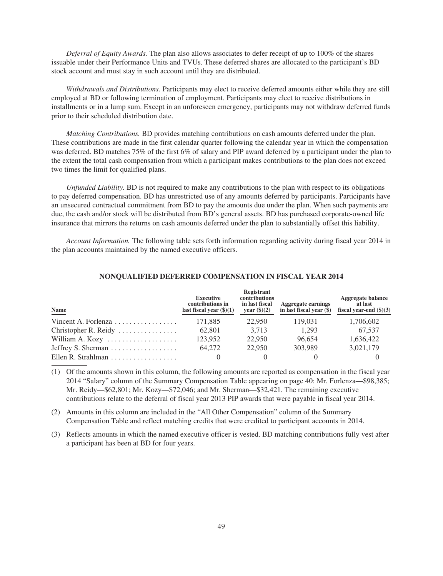*Deferral of Equity Awards.* The plan also allows associates to defer receipt of up to 100% of the shares issuable under their Performance Units and TVUs. These deferred shares are allocated to the participant's BD stock account and must stay in such account until they are distributed.

*Withdrawals and Distributions.* Participants may elect to receive deferred amounts either while they are still employed at BD or following termination of employment. Participants may elect to receive distributions in installments or in a lump sum. Except in an unforeseen emergency, participants may not withdraw deferred funds prior to their scheduled distribution date.

*Matching Contributions.* BD provides matching contributions on cash amounts deferred under the plan. These contributions are made in the first calendar quarter following the calendar year in which the compensation was deferred. BD matches 75% of the first 6% of salary and PIP award deferred by a participant under the plan to the extent the total cash compensation from which a participant makes contributions to the plan does not exceed two times the limit for qualified plans.

*Unfunded Liability.* BD is not required to make any contributions to the plan with respect to its obligations to pay deferred compensation. BD has unrestricted use of any amounts deferred by participants. Participants have an unsecured contractual commitment from BD to pay the amounts due under the plan. When such payments are due, the cash and/or stock will be distributed from BD's general assets. BD has purchased corporate-owned life insurance that mirrors the returns on cash amounts deferred under the plan to substantially offset this liability.

*Account Information.* The following table sets forth information regarding activity during fiscal year 2014 in the plan accounts maintained by the named executive officers.

| Name                                                    | <b>Executive</b><br>contributions in<br>last fiscal year $(\text{$}0)(1)$ | Registrant<br>contributions<br>in last fiscal<br>year $(\$)(2)$ | <b>Aggregate earnings</b><br>in last fiscal year $(\$)$ | <b>Aggregate balance</b><br>at last<br>fiscal vear-end $(\$)(3)$ |
|---------------------------------------------------------|---------------------------------------------------------------------------|-----------------------------------------------------------------|---------------------------------------------------------|------------------------------------------------------------------|
| Vincent A. Forlenza                                     | 171.885                                                                   | 22,950                                                          | 119.031                                                 | 1,706,602                                                        |
| Christopher R. Reidy                                    | 62.801                                                                    | 3.713                                                           | 1.293                                                   | 67.537                                                           |
| William A. Kozy                                         | 123,952                                                                   | 22,950                                                          | 96.654                                                  | 1,636,422                                                        |
| Jeffrey S. Sherman $\dots \dots \dots \dots \dots$      | 64.272                                                                    | 22,950                                                          | 303.989                                                 | 3,021,179                                                        |
| Ellen R. Strahlman $\ldots \ldots \ldots \ldots \ldots$ |                                                                           |                                                                 |                                                         |                                                                  |

#### **NONQUALIFIED DEFERRED COMPENSATION IN FISCAL YEAR 2014**

(1) Of the amounts shown in this column, the following amounts are reported as compensation in the fiscal year 2014 "Salary" column of the Summary Compensation Table appearing on page 40: Mr. Forlenza—\$98,385; Mr. Reidy—\$62,801; Mr. Kozy—\$72,046; and Mr. Sherman—\$32,421. The remaining executive contributions relate to the deferral of fiscal year 2013 PIP awards that were payable in fiscal year 2014.

(2) Amounts in this column are included in the "All Other Compensation" column of the Summary Compensation Table and reflect matching credits that were credited to participant accounts in 2014.

(3) Reflects amounts in which the named executive officer is vested. BD matching contributions fully vest after a participant has been at BD for four years.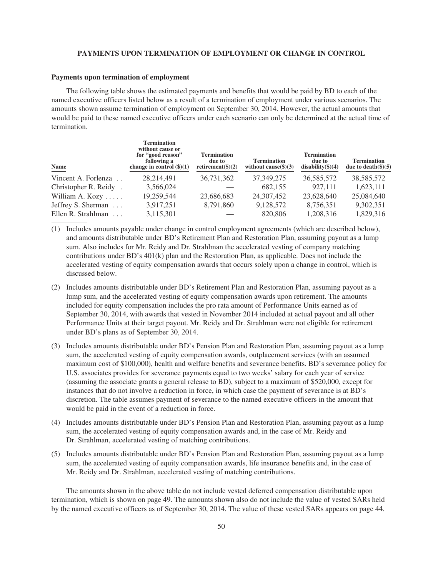### **PAYMENTS UPON TERMINATION OF EMPLOYMENT OR CHANGE IN CONTROL**

#### **Payments upon termination of employment**

The following table shows the estimated payments and benefits that would be paid by BD to each of the named executive officers listed below as a result of a termination of employment under various scenarios. The amounts shown assume termination of employment on September 30, 2014. However, the actual amounts that would be paid to these named executive officers under each scenario can only be determined at the actual time of termination.

| Name                               | <b>Termination</b><br>without cause or<br>for "good reason"<br>following a<br>change in control $(\frac{6}{3})(1)$ | <b>Termination</b><br>due to<br>retirement( $\$(2)$ | <b>Termination</b><br>without cause $(\$)(3)$ | <b>Termination</b><br>due to<br>$disability(\text{$}^{\circ})$ (4) | <b>Termination</b><br>due to death $(\$)(5)$ |
|------------------------------------|--------------------------------------------------------------------------------------------------------------------|-----------------------------------------------------|-----------------------------------------------|--------------------------------------------------------------------|----------------------------------------------|
| Vincent A. Forlenza                | 28,214,491                                                                                                         | 36,731,362                                          | 37, 349, 275                                  | 36,585,572                                                         | 38,585,572                                   |
| Christopher R. Reidy.              | 3,566,024                                                                                                          |                                                     | 682,155                                       | 927.111                                                            | 1,623,111                                    |
| William A. Kozy $\dots$            | 19,259,544                                                                                                         | 23,686,683                                          | 24,307,452                                    | 23,628,640                                                         | 25,084,640                                   |
| Jeffrey S. Sherman                 | 3,917,251                                                                                                          | 8,791,860                                           | 9,128,572                                     | 8,756,351                                                          | 9,302,351                                    |
| Ellen R. Strahlman<br>$\mathbf{1}$ | 3,115,301                                                                                                          |                                                     | 820,806                                       | 1,208,316                                                          | 1,829,316                                    |

- (1) Includes amounts payable under change in control employment agreements (which are described below), and amounts distributable under BD's Retirement Plan and Restoration Plan, assuming payout as a lump sum. Also includes for Mr. Reidy and Dr. Strahlman the accelerated vesting of company matching contributions under BD's 401(k) plan and the Restoration Plan, as applicable. Does not include the accelerated vesting of equity compensation awards that occurs solely upon a change in control, which is discussed below.
- (2) Includes amounts distributable under BD's Retirement Plan and Restoration Plan, assuming payout as a lump sum, and the accelerated vesting of equity compensation awards upon retirement. The amounts included for equity compensation includes the pro rata amount of Performance Units earned as of September 30, 2014, with awards that vested in November 2014 included at actual payout and all other Performance Units at their target payout. Mr. Reidy and Dr. Strahlman were not eligible for retirement under BD's plans as of September 30, 2014.
- (3) Includes amounts distributable under BD's Pension Plan and Restoration Plan, assuming payout as a lump sum, the accelerated vesting of equity compensation awards, outplacement services (with an assumed maximum cost of \$100,000), health and welfare benefits and severance benefits. BD's severance policy for U.S. associates provides for severance payments equal to two weeks' salary for each year of service (assuming the associate grants a general release to BD), subject to a maximum of \$520,000, except for instances that do not involve a reduction in force, in which case the payment of severance is at BD's discretion. The table assumes payment of severance to the named executive officers in the amount that would be paid in the event of a reduction in force.
- (4) Includes amounts distributable under BD's Pension Plan and Restoration Plan, assuming payout as a lump sum, the accelerated vesting of equity compensation awards and, in the case of Mr. Reidy and Dr. Strahlman, accelerated vesting of matching contributions.
- (5) Includes amounts distributable under BD's Pension Plan and Restoration Plan, assuming payout as a lump sum, the accelerated vesting of equity compensation awards, life insurance benefits and, in the case of Mr. Reidy and Dr. Strahlman, accelerated vesting of matching contributions.

The amounts shown in the above table do not include vested deferred compensation distributable upon termination, which is shown on page 49. The amounts shown also do not include the value of vested SARs held by the named executive officers as of September 30, 2014. The value of these vested SARs appears on page 44.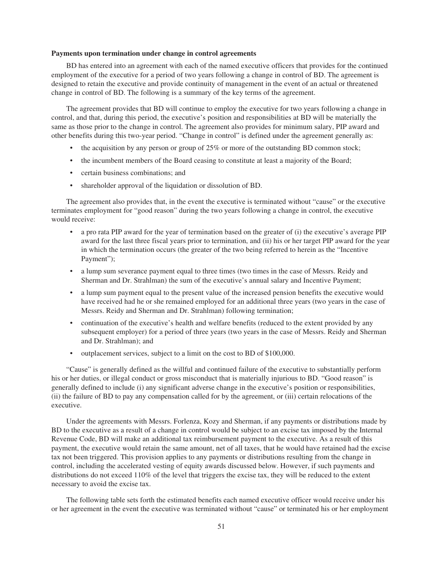### **Payments upon termination under change in control agreements**

BD has entered into an agreement with each of the named executive officers that provides for the continued employment of the executive for a period of two years following a change in control of BD. The agreement is designed to retain the executive and provide continuity of management in the event of an actual or threatened change in control of BD. The following is a summary of the key terms of the agreement.

The agreement provides that BD will continue to employ the executive for two years following a change in control, and that, during this period, the executive's position and responsibilities at BD will be materially the same as those prior to the change in control. The agreement also provides for minimum salary, PIP award and other benefits during this two-year period. "Change in control" is defined under the agreement generally as:

- the acquisition by any person or group of 25% or more of the outstanding BD common stock;
- the incumbent members of the Board ceasing to constitute at least a majority of the Board;
- certain business combinations; and
- shareholder approval of the liquidation or dissolution of BD.

The agreement also provides that, in the event the executive is terminated without "cause" or the executive terminates employment for "good reason" during the two years following a change in control, the executive would receive:

- a pro rata PIP award for the year of termination based on the greater of (i) the executive's average PIP award for the last three fiscal years prior to termination, and (ii) his or her target PIP award for the year in which the termination occurs (the greater of the two being referred to herein as the "Incentive Payment");
- a lump sum severance payment equal to three times (two times in the case of Messrs. Reidy and Sherman and Dr. Strahlman) the sum of the executive's annual salary and Incentive Payment;
- a lump sum payment equal to the present value of the increased pension benefits the executive would have received had he or she remained employed for an additional three years (two years in the case of Messrs. Reidy and Sherman and Dr. Strahlman) following termination;
- continuation of the executive's health and welfare benefits (reduced to the extent provided by any subsequent employer) for a period of three years (two years in the case of Messrs. Reidy and Sherman and Dr. Strahlman); and
- outplacement services, subject to a limit on the cost to BD of \$100,000.

"Cause" is generally defined as the willful and continued failure of the executive to substantially perform his or her duties, or illegal conduct or gross misconduct that is materially injurious to BD. "Good reason" is generally defined to include (i) any significant adverse change in the executive's position or responsibilities, (ii) the failure of BD to pay any compensation called for by the agreement, or (iii) certain relocations of the executive.

Under the agreements with Messrs. Forlenza, Kozy and Sherman, if any payments or distributions made by BD to the executive as a result of a change in control would be subject to an excise tax imposed by the Internal Revenue Code, BD will make an additional tax reimbursement payment to the executive. As a result of this payment, the executive would retain the same amount, net of all taxes, that he would have retained had the excise tax not been triggered. This provision applies to any payments or distributions resulting from the change in control, including the accelerated vesting of equity awards discussed below. However, if such payments and distributions do not exceed 110% of the level that triggers the excise tax, they will be reduced to the extent necessary to avoid the excise tax.

The following table sets forth the estimated benefits each named executive officer would receive under his or her agreement in the event the executive was terminated without "cause" or terminated his or her employment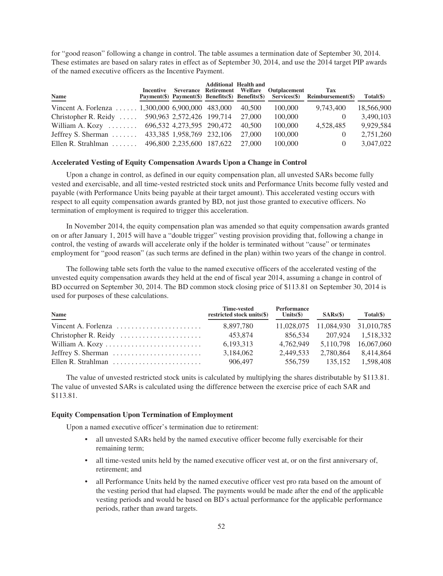for "good reason" following a change in control. The table assumes a termination date of September 30, 2014. These estimates are based on salary rates in effect as of September 30, 2014, and use the 2014 target PIP awards of the named executive officers as the Incentive Payment.

| Name                                                          |                           | <b>Additional Health and</b> | Incentive Severance Retirement Welfare Outplacement | Tax<br>Payment(\$) Payment(\$) Benefits(\$) Benefits(\$) Services(\$) Reimbursement(\$) | $Total(\$))$ |
|---------------------------------------------------------------|---------------------------|------------------------------|-----------------------------------------------------|-----------------------------------------------------------------------------------------|--------------|
| Vincent A. Forlenza $\dots \dots 1,300,000 6,900,000 483,000$ |                           | 40.500                       | 100,000                                             | 9,743,400                                                                               | 18,566,900   |
| Christopher R. Reidy  590,963 2,572,426 199,714               |                           | 27,000                       | 100,000                                             | $\left( \right)$                                                                        | 3,490,103    |
| William A. Kozy $\dots \dots$                                 | 696,532 4,273,595 290,472 | 40.500                       | 100,000                                             | 4,528,485                                                                               | 9,929,584    |
| Jeffrey S. Sherman                                            | 433,385 1,958,769 232,106 | 27,000                       | 100,000                                             | $\theta$                                                                                | 2,751,260    |
| Ellen R. Strahlman $\ldots$                                   | 496,800 2,235,600 187,622 | 27,000                       | 100,000                                             | $\theta$                                                                                | 3.047.022    |

#### **Accelerated Vesting of Equity Compensation Awards Upon a Change in Control**

Upon a change in control, as defined in our equity compensation plan, all unvested SARs become fully vested and exercisable, and all time-vested restricted stock units and Performance Units become fully vested and payable (with Performance Units being payable at their target amount). This accelerated vesting occurs with respect to all equity compensation awards granted by BD, not just those granted to executive officers. No termination of employment is required to trigger this acceleration.

In November 2014, the equity compensation plan was amended so that equity compensation awards granted on or after January 1, 2015 will have a "double trigger" vesting provision providing that, following a change in control, the vesting of awards will accelerate only if the holder is terminated without "cause" or terminates employment for "good reason" (as such terms are defined in the plan) within two years of the change in control.

The following table sets forth the value to the named executive officers of the accelerated vesting of the unvested equity compensation awards they held at the end of fiscal year 2014, assuming a change in control of BD occurred on September 30, 2014. The BD common stock closing price of \$113.81 on September 30, 2014 is used for purposes of these calculations.

| Name                                                                | Time-vested<br>restricted stock units(\$) | Performance<br>Units $(\$\)$ | SARS(S)                          | $Total(\$))$         |
|---------------------------------------------------------------------|-------------------------------------------|------------------------------|----------------------------------|----------------------|
| Vincent A. Forlenza $\dots\dots\dots\dots\dots\dots\dots\dots$      | 8.897.780                                 |                              | 11,028,075 11,084,930 31,010,785 |                      |
|                                                                     | 453.874                                   | 856.534                      | 207.924 1.518.332                |                      |
| William A. Kozy                                                     | 6,193,313                                 | 4.762.949                    |                                  | 5.110.798 16.067.060 |
| Jeffrey S. Sherman $\dots \dots \dots \dots \dots \dots \dots$      | 3,184,062                                 | 2.449.533                    | 2.780.864                        | 8.414.864            |
| Ellen R. Strahlman $\ldots, \ldots, \ldots, \ldots, \ldots, \ldots$ | 906.497                                   | 556,759                      | 135.152                          | 1.598.408            |

The value of unvested restricted stock units is calculated by multiplying the shares distributable by \$113.81. The value of unvested SARs is calculated using the difference between the exercise price of each SAR and \$113.81.

#### **Equity Compensation Upon Termination of Employment**

Upon a named executive officer's termination due to retirement:

- all unvested SARs held by the named executive officer become fully exercisable for their remaining term;
- all time-vested units held by the named executive officer vest at, or on the first anniversary of, retirement; and
- all Performance Units held by the named executive officer vest pro rata based on the amount of the vesting period that had elapsed. The payments would be made after the end of the applicable vesting periods and would be based on BD's actual performance for the applicable performance periods, rather than award targets.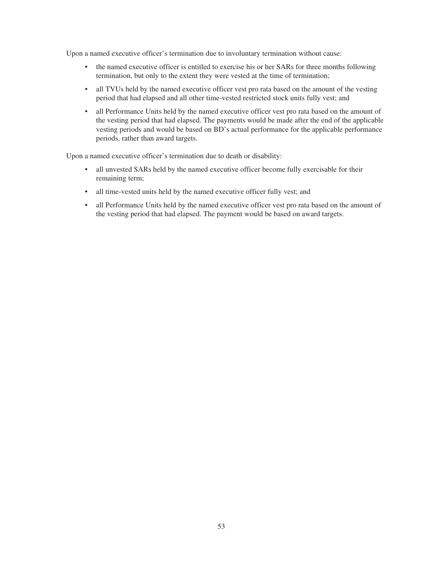Upon a named executive officer's termination due to involuntary termination without cause:

- the named executive officer is entitled to exercise his or her SARs for three months following termination, but only to the extent they were vested at the time of termination;
- all TVUs held by the named executive officer vest pro rata based on the amount of the vesting period that had elapsed and all other time-vested restricted stock units fully vest; and
- all Performance Units held by the named executive officer vest pro rata based on the amount of the vesting period that had elapsed. The payments would be made after the end of the applicable vesting periods and would be based on BD's actual performance for the applicable performance periods, rather than award targets.

Upon a named executive officer's termination due to death or disability:

- all unvested SARs held by the named executive officer become fully exercisable for their remaining term;
- all time-vested units held by the named executive officer fully vest; and
- all Performance Units held by the named executive officer vest pro rata based on the amount of the vesting period that had elapsed. The payment would be based on award targets.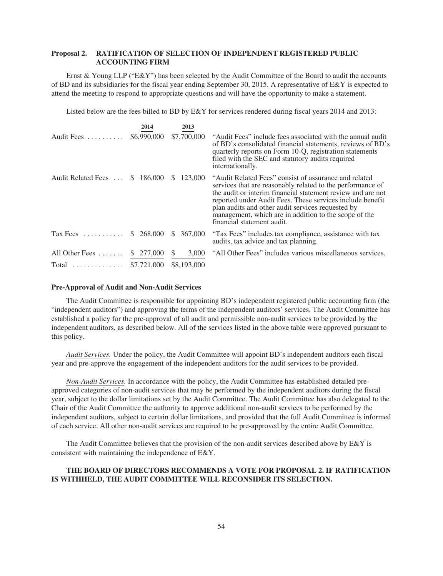## **Proposal 2. RATIFICATION OF SELECTION OF INDEPENDENT REGISTERED PUBLIC ACCOUNTING FIRM**

Ernst & Young LLP ("E&Y") has been selected by the Audit Committee of the Board to audit the accounts of BD and its subsidiaries for the fiscal year ending September 30, 2015. A representative of  $E\&Y$  is expected to attend the meeting to respond to appropriate questions and will have the opportunity to make a statement.

Listed below are the fees billed to BD by E&Y for services rendered during fiscal years 2014 and 2013:

|                    | 2014        | 2013          |                                                                                                                                                                                                                                                                                                                                                                                             |
|--------------------|-------------|---------------|---------------------------------------------------------------------------------------------------------------------------------------------------------------------------------------------------------------------------------------------------------------------------------------------------------------------------------------------------------------------------------------------|
| Audit Fees         | \$6,990,000 | \$7,700,000   | "Audit Fees" include fees associated with the annual audit<br>of BD's consolidated financial statements, reviews of BD's<br>quarterly reports on Form 10-Q, registration statements<br>filed with the SEC and statutory audits required<br>internationally.                                                                                                                                 |
| Audit Related Fees | \$186,000   | 123,000<br>S. | "Audit Related Fees" consist of assurance and related<br>services that are reasonably related to the performance of<br>the audit or interim financial statement review and are not<br>reported under Audit Fees. These services include benefit<br>plan audits and other audit services requested by<br>management, which are in addition to the scope of the<br>financial statement audit. |
| $\text{Tax Fees}$  | \$268,000   | 367,000<br>S. | "Tax Fees" includes tax compliance, assistance with tax<br>audits, tax advice and tax planning.                                                                                                                                                                                                                                                                                             |
| All Other Fees     | \$ 277,000  | 3,000<br>S.   | "All Other Fees" includes various miscellaneous services.                                                                                                                                                                                                                                                                                                                                   |
| $Total$            | \$7,721,000 | \$8,193,000   |                                                                                                                                                                                                                                                                                                                                                                                             |

#### **Pre-Approval of Audit and Non-Audit Services**

The Audit Committee is responsible for appointing BD's independent registered public accounting firm (the "independent auditors") and approving the terms of the independent auditors' services. The Audit Committee has established a policy for the pre-approval of all audit and permissible non-audit services to be provided by the independent auditors, as described below. All of the services listed in the above table were approved pursuant to this policy.

*Audit Services.* Under the policy, the Audit Committee will appoint BD's independent auditors each fiscal year and pre-approve the engagement of the independent auditors for the audit services to be provided.

*Non-Audit Services.* In accordance with the policy, the Audit Committee has established detailed preapproved categories of non-audit services that may be performed by the independent auditors during the fiscal year, subject to the dollar limitations set by the Audit Committee. The Audit Committee has also delegated to the Chair of the Audit Committee the authority to approve additional non-audit services to be performed by the independent auditors, subject to certain dollar limitations, and provided that the full Audit Committee is informed of each service. All other non-audit services are required to be pre-approved by the entire Audit Committee.

The Audit Committee believes that the provision of the non-audit services described above by  $E\&Y$  is consistent with maintaining the independence of E&Y.

## **THE BOARD OF DIRECTORS RECOMMENDS A VOTE FOR PROPOSAL 2. IF RATIFICATION IS WITHHELD, THE AUDIT COMMITTEE WILL RECONSIDER ITS SELECTION.**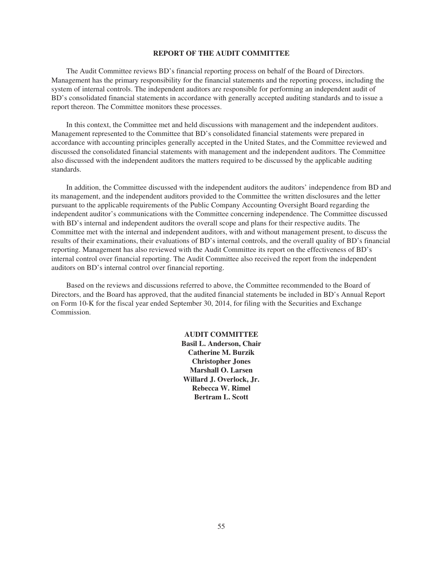#### **REPORT OF THE AUDIT COMMITTEE**

The Audit Committee reviews BD's financial reporting process on behalf of the Board of Directors. Management has the primary responsibility for the financial statements and the reporting process, including the system of internal controls. The independent auditors are responsible for performing an independent audit of BD's consolidated financial statements in accordance with generally accepted auditing standards and to issue a report thereon. The Committee monitors these processes.

In this context, the Committee met and held discussions with management and the independent auditors. Management represented to the Committee that BD's consolidated financial statements were prepared in accordance with accounting principles generally accepted in the United States, and the Committee reviewed and discussed the consolidated financial statements with management and the independent auditors. The Committee also discussed with the independent auditors the matters required to be discussed by the applicable auditing standards.

In addition, the Committee discussed with the independent auditors the auditors' independence from BD and its management, and the independent auditors provided to the Committee the written disclosures and the letter pursuant to the applicable requirements of the Public Company Accounting Oversight Board regarding the independent auditor's communications with the Committee concerning independence. The Committee discussed with BD's internal and independent auditors the overall scope and plans for their respective audits. The Committee met with the internal and independent auditors, with and without management present, to discuss the results of their examinations, their evaluations of BD's internal controls, and the overall quality of BD's financial reporting. Management has also reviewed with the Audit Committee its report on the effectiveness of BD's internal control over financial reporting. The Audit Committee also received the report from the independent auditors on BD's internal control over financial reporting.

Based on the reviews and discussions referred to above, the Committee recommended to the Board of Directors, and the Board has approved, that the audited financial statements be included in BD's Annual Report on Form 10-K for the fiscal year ended September 30, 2014, for filing with the Securities and Exchange Commission.

> **AUDIT COMMITTEE Basil L. Anderson, Chair Catherine M. Burzik Christopher Jones Marshall O. Larsen Willard J. Overlock, Jr. Rebecca W. Rimel Bertram L. Scott**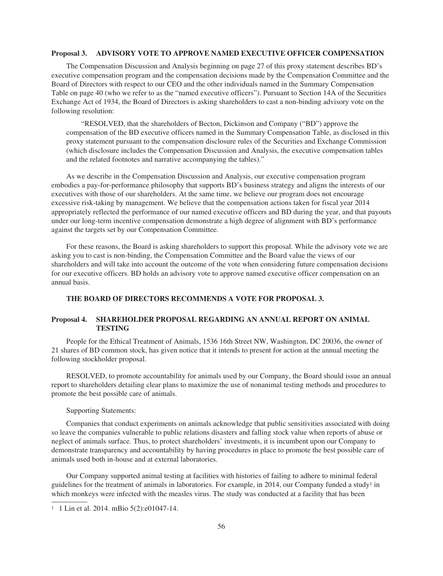#### **Proposal 3. ADVISORY VOTE TO APPROVE NAMED EXECUTIVE OFFICER COMPENSATION**

The Compensation Discussion and Analysis beginning on page 27 of this proxy statement describes BD's executive compensation program and the compensation decisions made by the Compensation Committee and the Board of Directors with respect to our CEO and the other individuals named in the Summary Compensation Table on page 40 (who we refer to as the "named executive officers"). Pursuant to Section 14A of the Securities Exchange Act of 1934, the Board of Directors is asking shareholders to cast a non-binding advisory vote on the following resolution:

"RESOLVED, that the shareholders of Becton, Dickinson and Company ("BD") approve the compensation of the BD executive officers named in the Summary Compensation Table, as disclosed in this proxy statement pursuant to the compensation disclosure rules of the Securities and Exchange Commission (which disclosure includes the Compensation Discussion and Analysis, the executive compensation tables and the related footnotes and narrative accompanying the tables)."

As we describe in the Compensation Discussion and Analysis, our executive compensation program embodies a pay-for-performance philosophy that supports BD's business strategy and aligns the interests of our executives with those of our shareholders. At the same time, we believe our program does not encourage excessive risk-taking by management. We believe that the compensation actions taken for fiscal year 2014 appropriately reflected the performance of our named executive officers and BD during the year, and that payouts under our long-term incentive compensation demonstrate a high degree of alignment with BD's performance against the targets set by our Compensation Committee.

For these reasons, the Board is asking shareholders to support this proposal. While the advisory vote we are asking you to cast is non-binding, the Compensation Committee and the Board value the views of our shareholders and will take into account the outcome of the vote when considering future compensation decisions for our executive officers. BD holds an advisory vote to approve named executive officer compensation on an annual basis.

## **THE BOARD OF DIRECTORS RECOMMENDS A VOTE FOR PROPOSAL 3.**

## **Proposal 4. SHAREHOLDER PROPOSAL REGARDING AN ANNUAL REPORT ON ANIMAL TESTING**

People for the Ethical Treatment of Animals, 1536 16th Street NW, Washington, DC 20036, the owner of 21 shares of BD common stock, has given notice that it intends to present for action at the annual meeting the following stockholder proposal.

RESOLVED, to promote accountability for animals used by our Company, the Board should issue an annual report to shareholders detailing clear plans to maximize the use of nonanimal testing methods and procedures to promote the best possible care of animals.

#### Supporting Statements:

Companies that conduct experiments on animals acknowledge that public sensitivities associated with doing so leave the companies vulnerable to public relations disasters and falling stock value when reports of abuse or neglect of animals surface. Thus, to protect shareholders' investments, it is incumbent upon our Company to demonstrate transparency and accountability by having procedures in place to promote the best possible care of animals used both in-house and at external laboratories.

Our Company supported animal testing at facilities with histories of failing to adhere to minimal federal guidelines for the treatment of animals in laboratories. For example, in 2014, our Company funded a study<sup>1</sup> in which monkeys were infected with the measles virus. The study was conducted at a facility that has been

<sup>1</sup> 1 Lin et al. 2014. mBio 5(2):e01047-14.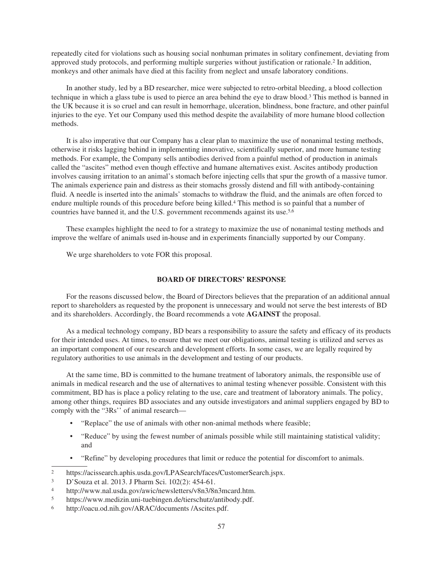repeatedly cited for violations such as housing social nonhuman primates in solitary confinement, deviating from approved study protocols, and performing multiple surgeries without justification or rationale.<sup>2</sup> In addition, monkeys and other animals have died at this facility from neglect and unsafe laboratory conditions.

In another study, led by a BD researcher, mice were subjected to retro-orbital bleeding, a blood collection technique in which a glass tube is used to pierce an area behind the eye to draw blood.<sup>3</sup> This method is banned in the UK because it is so cruel and can result in hemorrhage, ulceration, blindness, bone fracture, and other painful injuries to the eye. Yet our Company used this method despite the availability of more humane blood collection methods.

It is also imperative that our Company has a clear plan to maximize the use of nonanimal testing methods, otherwise it risks lagging behind in implementing innovative, scientifically superior, and more humane testing methods. For example, the Company sells antibodies derived from a painful method of production in animals called the "ascites" method even though effective and humane alternatives exist. Ascites antibody production involves causing irritation to an animal's stomach before injecting cells that spur the growth of a massive tumor. The animals experience pain and distress as their stomachs grossly distend and fill with antibody-containing fluid. A needle is inserted into the animals' stomachs to withdraw the fluid, and the animals are often forced to endure multiple rounds of this procedure before being killed.<sup>4</sup> This method is so painful that a number of countries have banned it, and the U.S. government recommends against its use.<sup>5,6</sup>

These examples highlight the need to for a strategy to maximize the use of nonanimal testing methods and improve the welfare of animals used in-house and in experiments financially supported by our Company.

We urge shareholders to vote FOR this proposal.

## **BOARD OF DIRECTORS' RESPONSE**

For the reasons discussed below, the Board of Directors believes that the preparation of an additional annual report to shareholders as requested by the proponent is unnecessary and would not serve the best interests of BD and its shareholders. Accordingly, the Board recommends a vote **AGAINST** the proposal.

As a medical technology company, BD bears a responsibility to assure the safety and efficacy of its products for their intended uses. At times, to ensure that we meet our obligations, animal testing is utilized and serves as an important component of our research and development efforts. In some cases, we are legally required by regulatory authorities to use animals in the development and testing of our products.

At the same time, BD is committed to the humane treatment of laboratory animals, the responsible use of animals in medical research and the use of alternatives to animal testing whenever possible. Consistent with this commitment, BD has is place a policy relating to the use, care and treatment of laboratory animals. The policy, among other things, requires BD associates and any outside investigators and animal suppliers engaged by BD to comply with the "3Rs'' of animal research—

- "Replace" the use of animals with other non-animal methods where feasible;
- "Reduce" by using the fewest number of animals possible while still maintaining statistical validity; and
- "Refine" by developing procedures that limit or reduce the potential for discomfort to animals.

<sup>2</sup> https://acissearch.aphis.usda.gov/LPASearch/faces/CustomerSearch.jspx.

<sup>3</sup> D'Souza et al. 2013. J Pharm Sci. 102(2): 454-61.

<sup>4</sup> http://www.nal.usda.gov/awic/newsletters/v8n3/8n3mcard.htm.

<sup>5</sup> https://www.medizin.uni-tuebingen.de/tierschutz/antibody.pdf.

<sup>6</sup> http://oacu.od.nih.gov/ARAC/documents /Ascites.pdf.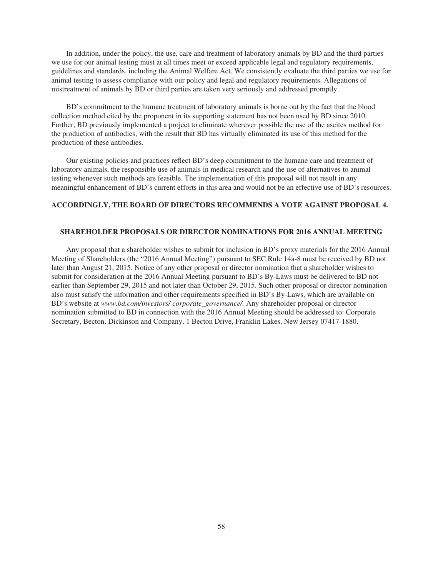In addition, under the policy, the use, care and treatment of laboratory animals by BD and the third parties we use for our animal testing must at all times meet or exceed applicable legal and regulatory requirements, guidelines and standards, including the Animal Welfare Act. We consistently evaluate the third parties we use for animal testing to assess compliance with our policy and legal and regulatory requirements. Allegations of mistreatment of animals by BD or third parties are taken very seriously and addressed promptly.

BD's commitment to the humane treatment of laboratory animals is borne out by the fact that the blood collection method cited by the proponent in its supporting statement has not been used by BD since 2010. Further, BD previously implemented a project to eliminate wherever possible the use of the ascites method for the production of antibodies, with the result that BD has virtually eliminated its use of this method for the production of these antibodies.

Our existing policies and practices reflect BD's deep commitment to the humane care and treatment of laboratory animals, the responsible use of animals in medical research and the use of alternatives to animal testing whenever such methods are feasible. The implementation of this proposal will not result in any meaningful enhancement of BD's current efforts in this area and would not be an effective use of BD's resources.

#### **ACCORDINGLY, THE BOARD OF DIRECTORS RECOMMENDS A VOTE AGAINST PROPOSAL 4.**

#### **SHAREHOLDER PROPOSALS OR DIRECTOR NOMINATIONS FOR 2016 ANNUAL MEETING**

Any proposal that a shareholder wishes to submit for inclusion in BD's proxy materials for the 2016 Annual Meeting of Shareholders (the "2016 Annual Meeting") pursuant to SEC Rule 14a-8 must be received by BD not later than August 21, 2015. Notice of any other proposal or director nomination that a shareholder wishes to submit for consideration at the 2016 Annual Meeting pursuant to BD's By-Laws must be delivered to BD not earlier than September 29, 2015 and not later than October 29, 2015. Such other proposal or director nomination also must satisfy the information and other requirements specified in BD's By-Laws, which are available on BD's website at *www.bd.com/investors/ corporate\_governance/.* Any shareholder proposal or director nomination submitted to BD in connection with the 2016 Annual Meeting should be addressed to: Corporate Secretary, Becton, Dickinson and Company, 1 Becton Drive, Franklin Lakes, New Jersey 07417-1880.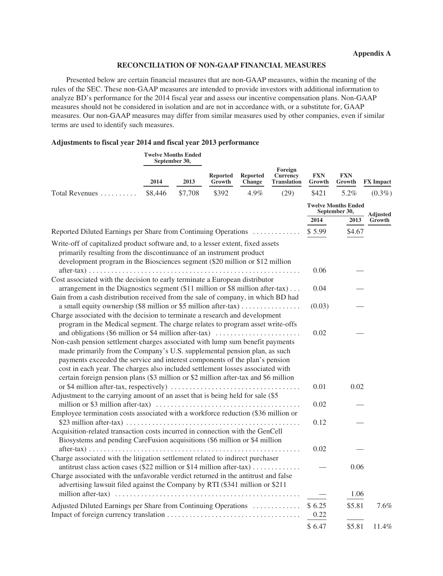## **RECONCILIATION OF NON-GAAP FINANCIAL MEASURES**

Presented below are certain financial measures that are non-GAAP measures, within the meaning of the rules of the SEC. These non-GAAP measures are intended to provide investors with additional information to analyze BD's performance for the 2014 fiscal year and assess our incentive compensation plans. Non-GAAP measures should not be considered in isolation and are not in accordance with, or a substitute for, GAAP measures. Our non-GAAP measures may differ from similar measures used by other companies, even if similar terms are used to identify such measures.

## **Adjustments to fiscal year 2014 and fiscal year 2013 performance**

|                                                                                                                                                                                                                                                                                                                                                                                                                    | <b>Twelve Months Ended</b><br>September 30, |         |                           |                                  |                                                  |                      |                                             |                  |
|--------------------------------------------------------------------------------------------------------------------------------------------------------------------------------------------------------------------------------------------------------------------------------------------------------------------------------------------------------------------------------------------------------------------|---------------------------------------------|---------|---------------------------|----------------------------------|--------------------------------------------------|----------------------|---------------------------------------------|------------------|
|                                                                                                                                                                                                                                                                                                                                                                                                                    | 2014                                        | 2013    | <b>Reported</b><br>Growth | <b>Reported</b><br><b>Change</b> | Foreign<br><b>Currency</b><br><b>Translation</b> | <b>FXN</b><br>Growth | <b>FXN</b><br>Growth                        | <b>FX</b> Impact |
| Total Revenues                                                                                                                                                                                                                                                                                                                                                                                                     | \$8,446                                     | \$7,708 | \$392                     | 4.9%                             | (29)                                             | \$421                | 5.2%                                        | $(0.3\%)$        |
|                                                                                                                                                                                                                                                                                                                                                                                                                    |                                             |         |                           |                                  |                                                  |                      | <b>Twelve Months Ended</b><br>September 30, | <b>Adjusted</b>  |
|                                                                                                                                                                                                                                                                                                                                                                                                                    |                                             |         |                           |                                  |                                                  | 2014                 | 2013                                        | Growth           |
| Reported Diluted Earnings per Share from Continuing Operations                                                                                                                                                                                                                                                                                                                                                     |                                             |         |                           |                                  |                                                  | \$5.99               | \$4.67                                      |                  |
| Write-off of capitalized product software and, to a lesser extent, fixed assets<br>primarily resulting from the discontinuance of an instrument product<br>development program in the Biosciences segment (\$20 million or \$12 million                                                                                                                                                                            |                                             |         |                           |                                  |                                                  |                      |                                             |                  |
| Cost associated with the decision to early terminate a European distributor                                                                                                                                                                                                                                                                                                                                        |                                             |         |                           |                                  |                                                  | 0.06                 |                                             |                  |
| arrangement in the Diagnostics segment (\$11 million or \$8 million after-tax)<br>Gain from a cash distribution received from the sale of company, in which BD had                                                                                                                                                                                                                                                 |                                             |         |                           |                                  |                                                  | 0.04                 |                                             |                  |
| a small equity ownership (\$8 million or \$5 million after-tax)                                                                                                                                                                                                                                                                                                                                                    |                                             |         |                           |                                  |                                                  | (0.03)               |                                             |                  |
| Charge associated with the decision to terminate a research and development<br>program in the Medical segment. The charge relates to program asset write-offs                                                                                                                                                                                                                                                      |                                             |         |                           |                                  |                                                  |                      |                                             |                  |
| and obligations (\$6 million or \$4 million after-tax)                                                                                                                                                                                                                                                                                                                                                             |                                             |         |                           |                                  |                                                  | 0.02                 |                                             |                  |
| Non-cash pension settlement charges associated with lump sum benefit payments<br>made primarily from the Company's U.S. supplemental pension plan, as such<br>payments exceeded the service and interest components of the plan's pension<br>cost in each year. The charges also included settlement losses associated with<br>certain foreign pension plans (\$3 million or \$2 million after-tax and \$6 million |                                             |         |                           |                                  |                                                  |                      |                                             |                  |
| Adjustment to the carrying amount of an asset that is being held for sale (\$5                                                                                                                                                                                                                                                                                                                                     |                                             |         |                           |                                  |                                                  | 0.01                 | 0.02                                        |                  |
|                                                                                                                                                                                                                                                                                                                                                                                                                    |                                             |         |                           |                                  |                                                  | 0.02                 |                                             |                  |
| Employee termination costs associated with a workforce reduction (\$36 million or<br>\$23 million after-tax) $\dots \dots \dots \dots \dots \dots \dots \dots \dots \dots \dots \dots \dots \dots \dots \dots \dots$<br>Acquisition-related transaction costs incurred in connection with the GenCell                                                                                                              |                                             |         |                           |                                  |                                                  | 0.12                 |                                             |                  |
| Biosystems and pending CareFusion acquisitions (\$6 million or \$4 million                                                                                                                                                                                                                                                                                                                                         |                                             |         |                           |                                  | .                                                | 0.02                 |                                             |                  |
| Charge associated with the litigation settlement related to indirect purchaser<br>antitrust class action cases (\$22 million or \$14 million after-tax)                                                                                                                                                                                                                                                            |                                             |         |                           |                                  |                                                  |                      | 0.06                                        |                  |
| Charge associated with the unfavorable verdict returned in the antitrust and false<br>advertising lawsuit filed against the Company by RTI (\$341 million or \$211                                                                                                                                                                                                                                                 |                                             |         |                           |                                  |                                                  |                      |                                             |                  |
|                                                                                                                                                                                                                                                                                                                                                                                                                    |                                             |         |                           |                                  |                                                  |                      | 1.06                                        |                  |
| Adjusted Diluted Earnings per Share from Continuing Operations                                                                                                                                                                                                                                                                                                                                                     |                                             |         |                           |                                  |                                                  | \$6.25<br>0.22       | \$5.81                                      | 7.6%             |
|                                                                                                                                                                                                                                                                                                                                                                                                                    |                                             |         |                           |                                  |                                                  | \$6.47               | \$5.81                                      | 11.4%            |